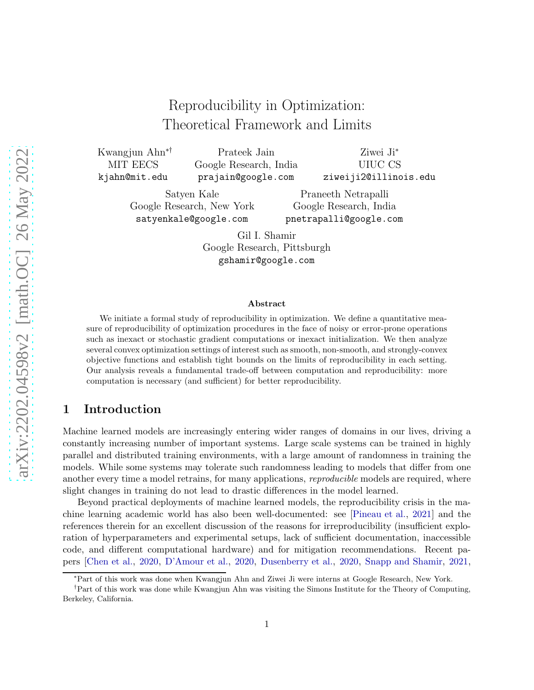## Reproducibility in Optimization: Theoretical Framework and Limits

Kwangjun Ahn∗† MIT EECS kjahn@mit.edu

Prateek Jain Google Research, India prajain@google.com

Ziwei Ji<sup>∗</sup> UIUC CS ziweiji2@illinois.edu

Satyen Kale Google Research, New York satyenkale@google.com

Praneeth Netrapalli Google Research, India pnetrapalli@google.com

Gil I. Shamir Google Research, Pittsburgh gshamir@google.com

#### Abstract

We initiate a formal study of reproducibility in optimization. We define a quantitative measure of reproducibility of optimization procedures in the face of noisy or error-prone operations such as inexact or stochastic gradient computations or inexact initialization. We then analyze several convex optimization settings of interest such as smooth, non-smooth, and strongly-convex objective functions and establish tight bounds on the limits of reproducibility in each setting. Our analysis reveals a fundamental trade-off between computation and reproducibility: more computation is necessary (and sufficient) for better reproducibility.

### 1 Introduction

Machine learned models are increasingly entering wider ranges of domains in our lives, driving a constantly increasing number of important systems. Large scale systems can be trained in highly parallel and distributed training environments, with a large amount of randomness in training the models. While some systems may tolerate such randomness leading to models that differ from one another every time a model retrains, for many applications, *reproducible* models are required, where slight changes in training do not lead to drastic differences in the model learned.

Beyond practical deployments of machine learned models, the reproducibility crisis in the machine learning academic world has also been well-documented: see [\[Pineau et al.](#page-13-0), [2021](#page-13-0)] and the references therein for an excellent discussion of the reasons for irreproducibility (insufficient exploration of hyperparameters and experimental setups, lack of sufficient documentation, inaccessible code, and different computational hardware) and for mitigation recommendations. Recent papers [\[Chen et al.](#page-12-0), [2020,](#page-12-0) [D'Amour et al.,](#page-12-1) [2020](#page-12-1), [Dusenberry et al.,](#page-13-1) [2020](#page-13-1), [Snapp and Shamir,](#page-14-0) [2021](#page-14-0),

<sup>∗</sup>Part of this work was done when Kwangjun Ahn and Ziwei Ji were interns at Google Research, New York.

<sup>†</sup>Part of this work was done while Kwangjun Ahn was visiting the Simons Institute for the Theory of Computing, Berkeley, California.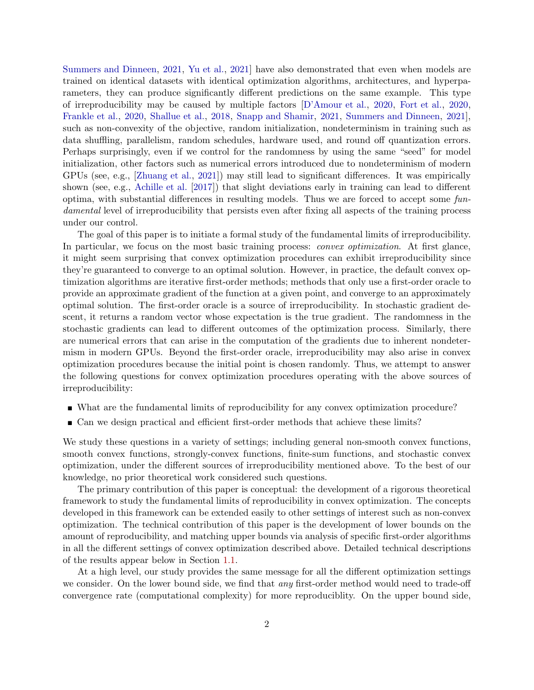[Summers and Dinneen,](#page-14-1) [2021,](#page-14-1) [Yu et al.](#page-14-2), [2021\]](#page-14-2) have also demonstrated that even when models are trained on identical datasets with identical optimization algorithms, architectures, and hyperparameters, they can produce significantly different predictions on the same example. This type of irreproducibility may be caused by multiple factors [\[D'Amour et al.](#page-12-1), [2020](#page-12-1), [Fort et al.,](#page-13-2) [2020](#page-13-2), [Frankle et al.](#page-13-3), [2020,](#page-13-3) [Shallue et al.,](#page-14-3) [2018](#page-14-3), [Snapp and Shamir](#page-14-0), [2021](#page-14-0), [Summers and Dinneen,](#page-14-1) [2021\]](#page-14-1), such as non-convexity of the objective, random initialization, nondeterminism in training such as data shuffling, parallelism, random schedules, hardware used, and round off quantization errors. Perhaps surprisingly, even if we control for the randomness by using the same "seed" for model initialization, other factors such as numerical errors introduced due to nondeterminism of modern GPUs (see, e.g., [\[Zhuang et al.,](#page-14-4) [2021\]](#page-14-4)) may still lead to significant differences. It was empirically shown (see, e.g., [Achille et al.](#page-11-0) [\[2017](#page-11-0)]) that slight deviations early in training can lead to different optima, with substantial differences in resulting models. Thus we are forced to accept some fundamental level of irreproducibility that persists even after fixing all aspects of the training process under our control.

The goal of this paper is to initiate a formal study of the fundamental limits of irreproducibility. In particular, we focus on the most basic training process: *convex optimization*. At first glance, it might seem surprising that convex optimization procedures can exhibit irreproducibility since they're guaranteed to converge to an optimal solution. However, in practice, the default convex optimization algorithms are iterative first-order methods; methods that only use a first-order oracle to provide an approximate gradient of the function at a given point, and converge to an approximately optimal solution. The first-order oracle is a source of irreproducibility. In stochastic gradient descent, it returns a random vector whose expectation is the true gradient. The randomness in the stochastic gradients can lead to different outcomes of the optimization process. Similarly, there are numerical errors that can arise in the computation of the gradients due to inherent nondetermism in modern GPUs. Beyond the first-order oracle, irreproducibility may also arise in convex optimization procedures because the initial point is chosen randomly. Thus, we attempt to answer the following questions for convex optimization procedures operating with the above sources of irreproducibility:

- What are the fundamental limits of reproducibility for any convex optimization procedure?
- Can we design practical and efficient first-order methods that achieve these limits?

We study these questions in a variety of settings; including general non-smooth convex functions, smooth convex functions, strongly-convex functions, finite-sum functions, and stochastic convex optimization, under the different sources of irreproducibility mentioned above. To the best of our knowledge, no prior theoretical work considered such questions.

The primary contribution of this paper is conceptual: the development of a rigorous theoretical framework to study the fundamental limits of reproducibility in convex optimization. The concepts developed in this framework can be extended easily to other settings of interest such as non-convex optimization. The technical contribution of this paper is the development of lower bounds on the amount of reproducibility, and matching upper bounds via analysis of specific first-order algorithms in all the different settings of convex optimization described above. Detailed technical descriptions of the results appear below in Section [1.1.](#page-2-0)

At a high level, our study provides the same message for all the different optimization settings we consider. On the lower bound side, we find that *any* first-order method would need to trade-off convergence rate (computational complexity) for more reproduciblity. On the upper bound side,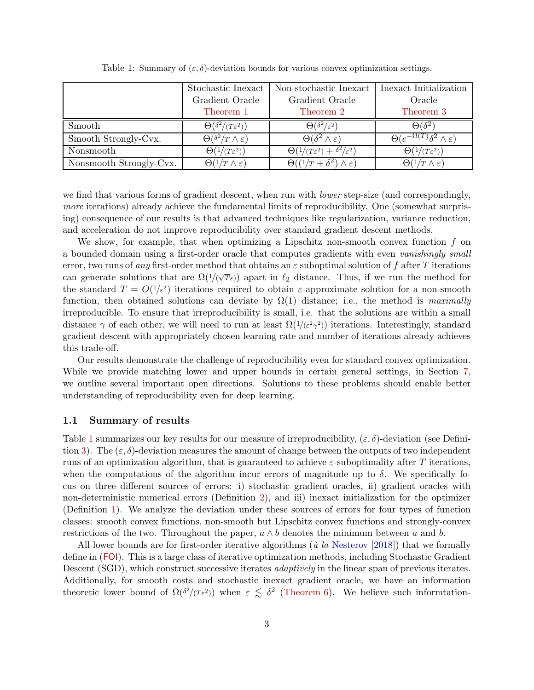<span id="page-2-1"></span>

|                         | Stochastic Inexact                      | Non-stochastic Inexact                              | Inexact Initialization                              |
|-------------------------|-----------------------------------------|-----------------------------------------------------|-----------------------------------------------------|
|                         | Gradient Oracle                         | Gradient Oracle                                     | Oracle                                              |
|                         | Theorem 1                               | Theorem 2                                           | Theorem 3                                           |
| Smooth                  | $\Theta(\delta^2/(T\varepsilon^2))$     | $\Theta(\delta^2/\varepsilon^2)$                    | $\Theta(\delta^2)$                                  |
| Smooth Strongly-Cvx.    | $\Theta(\delta^2/T \wedge \varepsilon)$ | $\Theta(\delta^2 \wedge \varepsilon)$               | $\Theta(e^{-\Omega(T)}\delta^2 \wedge \varepsilon)$ |
| Nonsmooth               | $\Theta(1/(T\varepsilon^2))$            | $\Theta(1/(T\varepsilon^2)+\delta^2/\varepsilon^2)$ | $\Theta(1/(T\epsilon^2))$                           |
| Nonsmooth Strongly-Cvx. | $\Theta(1/T \wedge \varepsilon)$        | $\Theta((1/T + \delta^2) \wedge \varepsilon)$       | $\Theta(1/T \wedge \varepsilon)$                    |

Table 1: Summary of  $(\varepsilon, \delta)$ -deviation bounds for various convex optimization settings.

we find that various forms of gradient descent, when run with *lower* step-size (and correspondingly, more iterations) already achieve the fundamental limits of reproducibility. One (somewhat surprising) consequence of our results is that advanced techniques like regularization, variance reduction, and acceleration do not improve reproducibility over standard gradient descent methods.

We show, for example, that when optimizing a Lipschitz non-smooth convex function  $f$  on a bounded domain using a first-order oracle that computes gradients with even vanishingly small error, two runs of any first-order method that obtains an  $\varepsilon$  suboptimal solution of f after T iterations can generate solutions that are  $\Omega(1/(\sqrt{T}\varepsilon))$  apart in  $\ell_2$  distance. Thus, if we run the method for the standard  $T = O(1/\epsilon^2)$  iterations required to obtain  $\epsilon$ -approximate solution for a non-smooth function, then obtained solutions can deviate by  $\Omega(1)$  distance; i.e., the method is maximally irreproducible. To ensure that irreproducibility is small, i.e. that the solutions are within a small distance  $\gamma$  of each other, we will need to run at least  $\Omega(1/(\varepsilon^2 \gamma^2))$  iterations. Interestingly, standard gradient descent with appropriately chosen learning rate and number of iterations already achieves this trade-off.

Our results demonstrate the challenge of reproducibility even for standard convex optimization. While we provide matching lower and upper bounds in certain general settings, in Section [7,](#page-11-1) we outline several important open directions. Solutions to these problems should enable better understanding of reproducibility even for deep learning.

### <span id="page-2-0"></span>1.1 Summary of results

Table [1](#page-2-1) summarizes our key results for our measure of irreproducibility,  $(\varepsilon, \delta)$ -deviation (see Defini-tion [3\)](#page-6-0). The  $(\varepsilon, \delta)$ -deviation measures the amount of change between the outputs of two independent runs of an optimization algorithm, that is guaranteed to achieve  $\varepsilon$ -suboptimality after T iterations, when the computations of the algorithm incur errors of magnitude up to  $\delta$ . We specifically focus on three different sources of errors: i) stochastic gradient oracles, ii) gradient oracles with non-deterministic numerical errors (Definition [2\)](#page-6-1), and iii) inexact initialization for the optimizer (Definition [1\)](#page-5-0). We analyze the deviation under these sources of errors for four types of function classes: smooth convex functions, non-smooth but Lipschitz convex functions and strongly-convex restrictions of the two. Throughout the paper,  $a \wedge b$  denotes the minimum between a and b.

All lower bounds are for first-order iterative algorithms ( $\dot{a}$  la [Nesterov](#page-13-4) [\[2018](#page-13-4)]) that we formally define in ([FOI](#page-5-1)). This is a large class of iterative optimization methods, including Stochastic Gradient Descent (SGD), which construct successive iterates *adaptively* in the linear span of previous iterates. Additionally, for smooth costs and stochastic inexact gradient oracle, we have an information theoretic lower bound of  $\Omega(\delta^2/(\tau_{\epsilon}^2))$  when  $\epsilon \leq \delta^2$  [\(Theorem 6\)](#page-17-0). We believe such informtation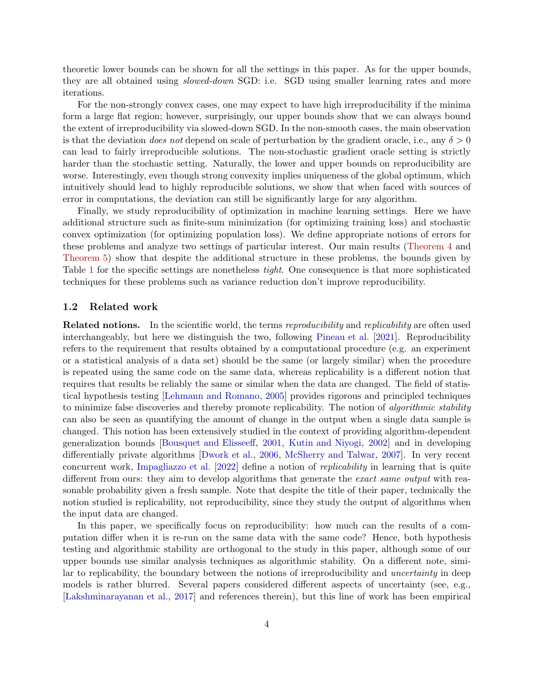theoretic lower bounds can be shown for all the settings in this paper. As for the upper bounds, they are all obtained using slowed-down SGD: i.e. SGD using smaller learning rates and more iterations.

For the non-strongly convex cases, one may expect to have high irreproducibility if the minima form a large flat region; however, surprisingly, our upper bounds show that we can always bound the extent of irreproducibility via slowed-down SGD. In the non-smooth cases, the main observation is that the deviation *does not* depend on scale of perturbation by the gradient oracle, i.e., any  $\delta > 0$ can lead to fairly irreproducible solutions. The non-stochastic gradient oracle setting is strictly harder than the stochastic setting. Naturally, the lower and upper bounds on reproducibility are worse. Interestingly, even though strong convexity implies uniqueness of the global optimum, which intuitively should lead to highly reproducible solutions, we show that when faced with sources of error in computations, the deviation can still be significantly large for any algorithm.

Finally, we study reproducibility of optimization in machine learning settings. Here we have additional structure such as finite-sum minimization (for optimizing training loss) and stochastic convex optimization (for optimizing population loss). We define appropriate notions of errors for these problems and analyze two settings of particular interest. Our main results [\(Theorem 4](#page-10-0) and [Theorem 5\)](#page-11-2) show that despite the additional structure in these problems, the bounds given by Table [1](#page-2-1) for the specific settings are nonetheless tight. One consequence is that more sophisticated techniques for these problems such as variance reduction don't improve reproducibility.

#### 1.2 Related work

**Related notions.** In the scientific world, the terms *reproducibility* and *replicability* are often used interchangeably, but here we distinguish the two, following [Pineau et al.](#page-13-0) [\[2021\]](#page-13-0). Reproducibility refers to the requirement that results obtained by a computational procedure (e.g. an experiment or a statistical analysis of a data set) should be the same (or largely similar) when the procedure is repeated using the same code on the same data, whereas replicability is a different notion that requires that results be reliably the same or similar when the data are changed. The field of statistical hypothesis testing [\[Lehmann and Romano,](#page-13-5) [2005](#page-13-5)] provides rigorous and principled techniques to minimize false discoveries and thereby promote replicability. The notion of algorithmic stability can also be seen as quantifying the amount of change in the output when a single data sample is changed. This notion has been extensively studied in the context of providing algorithm-dependent generalization bounds [\[Bousquet and Elisseeff](#page-12-2), [2001](#page-12-2), [Kutin and Niyogi](#page-13-6), [2002](#page-13-6)] and in developing differentially private algorithms [\[Dwork et al.](#page-13-7), [2006](#page-13-7), [McSherry and Talwar](#page-13-8), [2007](#page-13-8)]. In very recent concurrent work, [Impagliazzo et al.](#page-13-9) [\[2022](#page-13-9)] define a notion of replicability in learning that is quite different from ours: they aim to develop algorithms that generate the exact same output with reasonable probability given a fresh sample. Note that despite the title of their paper, technically the notion studied is replicability, not reproducibility, since they study the output of algorithms when the input data are changed.

In this paper, we specifically focus on reproducibility: how much can the results of a computation differ when it is re-run on the same data with the same code? Hence, both hypothesis testing and algorithmic stability are orthogonal to the study in this paper, although some of our upper bounds use similar analysis techniques as algorithmic stability. On a different note, similar to replicability, the boundary between the notions of irreproducibility and *uncertainty* in deep models is rather blurred. Several papers considered different aspects of uncertainty (see, e.g., [\[Lakshminarayanan et al.,](#page-13-10) [2017\]](#page-13-10) and references therein), but this line of work has been empirical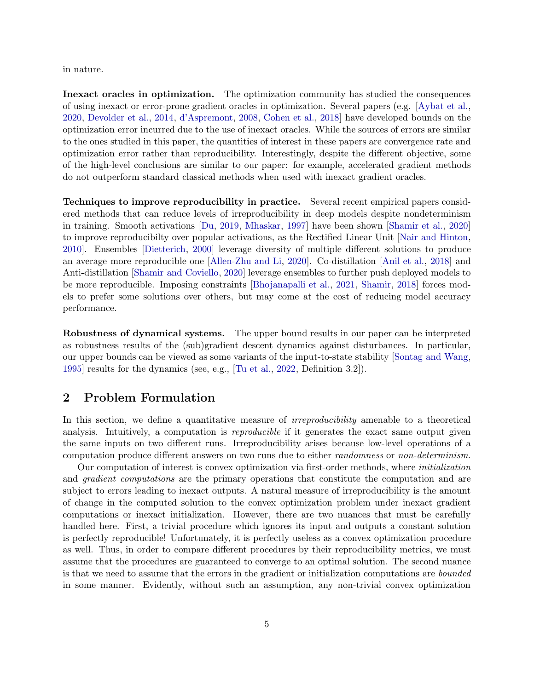in nature.

Inexact oracles in optimization. The optimization community has studied the consequences of using inexact or error-prone gradient oracles in optimization. Several papers (e.g. [\[Aybat et al.](#page-12-3), [2020,](#page-12-3) [Devolder et al.,](#page-12-4) [2014](#page-12-4), [d'Aspremont](#page-12-5), [2008,](#page-12-5) [Cohen et al.](#page-12-6), [2018](#page-12-6)] have developed bounds on the optimization error incurred due to the use of inexact oracles. While the sources of errors are similar to the ones studied in this paper, the quantities of interest in these papers are convergence rate and optimization error rather than reproducibility. Interestingly, despite the different objective, some of the high-level conclusions are similar to our paper: for example, accelerated gradient methods do not outperform standard classical methods when used with inexact gradient oracles.

Techniques to improve reproducibility in practice. Several recent empirical papers considered methods that can reduce levels of irreproducibility in deep models despite nondeterminism in training. Smooth activations [\[Du](#page-12-7), [2019](#page-12-7), [Mhaskar,](#page-13-11) [1997\]](#page-13-11) have been shown [\[Shamir et al.](#page-14-5), [2020](#page-14-5)] to improve reproducibilty over popular activations, as the Rectified Linear Unit [\[Nair and Hinton](#page-13-12), [2010\]](#page-13-12). Ensembles [\[Dietterich](#page-12-8), [2000\]](#page-12-8) leverage diversity of multiple different solutions to produce an average more reproducible one [\[Allen-Zhu and Li,](#page-11-3) [2020](#page-11-3)]. Co-distillation [\[Anil et al.](#page-11-4), [2018](#page-11-4)] and Anti-distillation [\[Shamir and Coviello,](#page-14-6) [2020](#page-14-6)] leverage ensembles to further push deployed models to be more reproducible. Imposing constraints [\[Bhojanapalli et al.](#page-12-9), [2021](#page-12-9), [Shamir,](#page-14-7) [2018](#page-14-7)] forces models to prefer some solutions over others, but may come at the cost of reducing model accuracy performance.

Robustness of dynamical systems. The upper bound results in our paper can be interpreted as robustness results of the (sub)gradient descent dynamics against disturbances. In particular, our upper bounds can be viewed as some variants of the input-to-state stability [\[Sontag and Wang](#page-14-8), [1995\]](#page-14-8) results for the dynamics (see, e.g., [\[Tu et al.,](#page-14-9) [2022](#page-14-9), Definition 3.2]).

### 2 Problem Formulation

In this section, we define a quantitative measure of *irreproducibility* amenable to a theoretical analysis. Intuitively, a computation is *reproducible* if it generates the exact same output given the same inputs on two different runs. Irreproducibility arises because low-level operations of a computation produce different answers on two runs due to either *randomness* or *non-determinism*.

Our computation of interest is convex optimization via first-order methods, where initialization and *gradient computations* are the primary operations that constitute the computation and are subject to errors leading to inexact outputs. A natural measure of irreproducibility is the amount of change in the computed solution to the convex optimization problem under inexact gradient computations or inexact initialization. However, there are two nuances that must be carefully handled here. First, a trivial procedure which ignores its input and outputs a constant solution is perfectly reproducible! Unfortunately, it is perfectly useless as a convex optimization procedure as well. Thus, in order to compare different procedures by their reproducibility metrics, we must assume that the procedures are guaranteed to converge to an optimal solution. The second nuance is that we need to assume that the errors in the gradient or initialization computations are bounded in some manner. Evidently, without such an assumption, any non-trivial convex optimization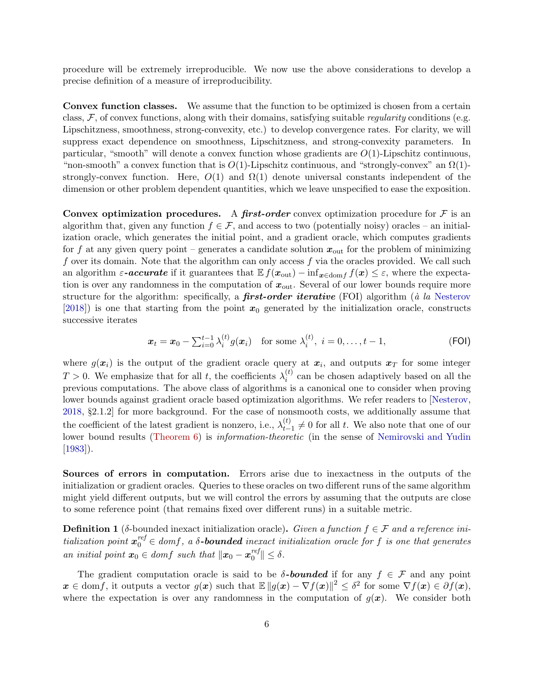procedure will be extremely irreproducible. We now use the above considerations to develop a precise definition of a measure of irreproducibility.

Convex function classes. We assume that the function to be optimized is chosen from a certain class,  $\mathcal{F}$ , of convex functions, along with their domains, satisfying suitable *regularity* conditions (e.g. Lipschitzness, smoothness, strong-convexity, etc.) to develop convergence rates. For clarity, we will suppress exact dependence on smoothness, Lipschitzness, and strong-convexity parameters. In particular, "smooth" will denote a convex function whose gradients are  $O(1)$ -Lipschitz continuous, "non-smooth" a convex function that is  $O(1)$ -Lipschitz continuous, and "strongly-convex" an  $\Omega(1)$ strongly-convex function. Here,  $O(1)$  and  $\Omega(1)$  denote universal constants independent of the dimension or other problem dependent quantities, which we leave unspecified to ease the exposition.

Convex optimization procedures. A first-order convex optimization procedure for  $\mathcal F$  is an algorithm that, given any function  $f \in \mathcal{F}$ , and access to two (potentially noisy) oracles – an initialization oracle, which generates the initial point, and a gradient oracle, which computes gradients for f at any given query point – generates a candidate solution  $x_{\text{out}}$  for the problem of minimizing f over its domain. Note that the algorithm can only access f via the oracles provided. We call such an algorithm  $\varepsilon$ -**accurate** if it guarantees that  $E f(x_{\text{out}}) - inf_{x \in \text{dom} f} f(x) \leq \varepsilon$ , where the expectation is over any randomness in the computation of  $x_{\text{out}}$ . Several of our lower bounds require more structure for the algorithm: specifically, a **first-order iterative** (FOI) algorithm ( $\dot{a}$  la [Nesterov](#page-13-4)  $[2018]$ ) is one that starting from the point  $x_0$  generated by the initialization oracle, constructs successive iterates

<span id="page-5-1"></span>
$$
\boldsymbol{x}_t = \boldsymbol{x}_0 - \sum_{i=0}^{t-1} \lambda_i^{(t)} g(\boldsymbol{x}_i) \quad \text{for some } \lambda_i^{(t)}, \ i = 0, \dots, t-1,
$$
 (FOI)

where  $g(x_i)$  is the output of the gradient oracle query at  $x_i$ , and outputs  $x_T$  for some integer  $T > 0$ . We emphasize that for all t, the coefficients  $\lambda_i^{(t)}$  $i_i^{(t)}$  can be chosen adaptively based on all the previous computations. The above class of algorithms is a canonical one to consider when proving lower bounds against gradient oracle based optimization algorithms. We refer readers to [\[Nesterov](#page-13-4), [2018,](#page-13-4) §2.1.2] for more background. For the case of nonsmooth costs, we additionally assume that the coefficient of the latest gradient is nonzero, i.e.,  $\lambda_t^{(t)}$  $t_{t-1}^{(t)} \neq 0$  for all t. We also note that one of our lower bound results [\(Theorem 6\)](#page-17-0) is *information-theoretic* (in the sense of [Nemirovski and Yudin](#page-13-13) [\[1983\]](#page-13-13)).

Sources of errors in computation. Errors arise due to inexactness in the outputs of the initialization or gradient oracles. Queries to these oracles on two different runs of the same algorithm might yield different outputs, but we will control the errors by assuming that the outputs are close to some reference point (that remains fixed over different runs) in a suitable metric.

<span id="page-5-0"></span>**Definition 1** (δ-bounded inexact initialization oracle). Given a function  $f \in \mathcal{F}$  and a reference initialization point  $x_0^{ref} \in domf$ , a  $\delta$ -**bounded** inexact initialization oracle for f is one that generates an initial point  $x_0 \in dom f$  such that  $\|x_0 - x_0^{ref}\|$  $\| \leq \delta.$ 

The gradient computation oracle is said to be  $\delta$ -bounded if for any  $f \in \mathcal{F}$  and any point  $\boldsymbol{x} \in \text{dom} f$ , it outputs a vector  $g(\boldsymbol{x})$  such that  $\mathbb{E} \|g(\boldsymbol{x}) - \nabla f(\boldsymbol{x})\|^2 \leq \delta^2$  for some  $\nabla f(\boldsymbol{x}) \in \partial f(\boldsymbol{x}),$ where the expectation is over any randomness in the computation of  $g(x)$ . We consider both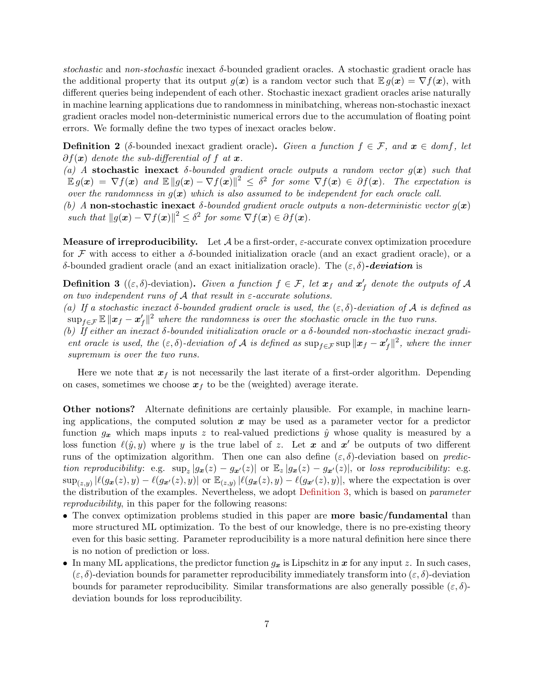stochastic and non-stochastic inexact  $\delta$ -bounded gradient oracles. A stochastic gradient oracle has the additional property that its output  $g(x)$  is a random vector such that  $\mathbb{E} g(x) = \nabla f(x)$ , with different queries being independent of each other. Stochastic inexact gradient oracles arise naturally in machine learning applications due to randomness in minibatching, whereas non-stochastic inexact gradient oracles model non-deterministic numerical errors due to the accumulation of floating point errors. We formally define the two types of inexact oracles below.

<span id="page-6-1"></span>**Definition 2** (δ-bounded inexact gradient oracle). Given a function  $f \in \mathcal{F}$ , and  $x \in dom f$ , let  $\partial f(x)$  denote the sub-differential of f at x.

(a) A stochastic inexact  $\delta$ -bounded gradient oracle outputs a random vector  $g(x)$  such that  $\mathbb{E}\, g(\bm{x}) \ = \ \nabla f(\bm{x}) \ \ and \ \ \mathbb{E}\, \| g(\bm{x}) - \nabla f(\bm{x}) \|^2 \ \leq \ \delta^2 \ \ for \ \ some \ \ \nabla f(\bm{x}) \ \in \ \partial f(\bm{x}). \ \ \ The \ \ expectation \ \ is$ over the randomness in  $g(x)$  which is also assumed to be independent for each oracle call.

(b) A non-stochastic inexact  $\delta$ -bounded gradient oracle outputs a non-deterministic vector  $g(x)$ such that  $||g(\mathbf{x}) - \nabla f(\mathbf{x})||^2 \leq \delta^2$  for some  $\nabla f(\mathbf{x}) \in \partial f(\mathbf{x})$ .

**Measure of irreproducibility.** Let  $A$  be a first-order,  $\varepsilon$ -accurate convex optimization procedure for F with access to either a  $\delta$ -bounded initialization oracle (and an exact gradient oracle), or a δ-bounded gradient oracle (and an exact initialization oracle). The  $(\varepsilon, \delta)$ -deviation is

<span id="page-6-0"></span>**Definition 3** (( $\varepsilon, \delta$ )-deviation). Given a function  $f \in \mathcal{F}$ , let  $x_f$  and  $x'_f$  denote the outputs of A on two independent runs of A that result in  $\varepsilon$ -accurate solutions.

(a) If a stochastic inexact  $\delta$ -bounded gradient oracle is used, the  $(\varepsilon, \delta)$ -deviation of A is defined as  $\sup_{f \in \mathcal{F}} \mathbb{E} ||x_f - x'_f||^2$  where the randomness is over the stochastic oracle in the two runs.

(b) If either an inexact  $\delta$ -bounded initialization oracle or a  $\delta$ -bounded non-stochastic inexact gradient oracle is used, the  $(\varepsilon, \delta)$ -deviation of A is defined as  $\sup_{f \in \mathcal{F}} \sup ||x_f - x'_f||^2$ , where the inner supremum is over the two runs.

Here we note that  $x_f$  is not necessarily the last iterate of a first-order algorithm. Depending on cases, sometimes we choose  $x_f$  to be the (weighted) average iterate.

Other notions? Alternate definitions are certainly plausible. For example, in machine learning applications, the computed solution  $x$  may be used as a parameter vector for a predictor function  $g_x$  which maps inputs z to real-valued predictions  $\hat{y}$  whose quality is measured by a loss function  $\ell(\hat{y}, y)$  where y is the true label of z. Let x and x' be outputs of two different runs of the optimization algorithm. Then one can also define  $(\varepsilon, \delta)$ -deviation based on prediction reproducibility: e.g.  $\sup_z |g_x(z) - g_{x'}(z)|$  or  $\mathbb{E}_z |g_x(z) - g_{x'}(z)|$ , or loss reproducibility: e.g.  $\sup_{(z,y)} |\ell(g_{\bm{x}}(z), y) - \ell(g_{\bm{x'}}(z), y)| \text{ or } \mathbb{E}_{(z,y)} |\ell(g_{\bm{x}}(z), y) - \ell(g_{\bm{x'}}(z), y)|$ , where the expectation is over the distribution of the examples. Nevertheless, we adopt [Definition 3,](#page-6-0) which is based on parameter reproducibility, in this paper for the following reasons:

- The convex optimization problems studied in this paper are **more basic/fundamental** than more structured ML optimization. To the best of our knowledge, there is no pre-existing theory even for this basic setting. Parameter reproducibility is a more natural definition here since there is no notion of prediction or loss.
- In many ML applications, the predictor function  $g_x$  is Lipschitz in x for any input z. In such cases,  $(\varepsilon, \delta)$ -deviation bounds for parametter reproducibility immediately transform into  $(\varepsilon, \delta)$ -deviation bounds for parameter reproducibility. Similar transformations are also generally possible  $(\varepsilon, \delta)$ deviation bounds for loss reproducibility.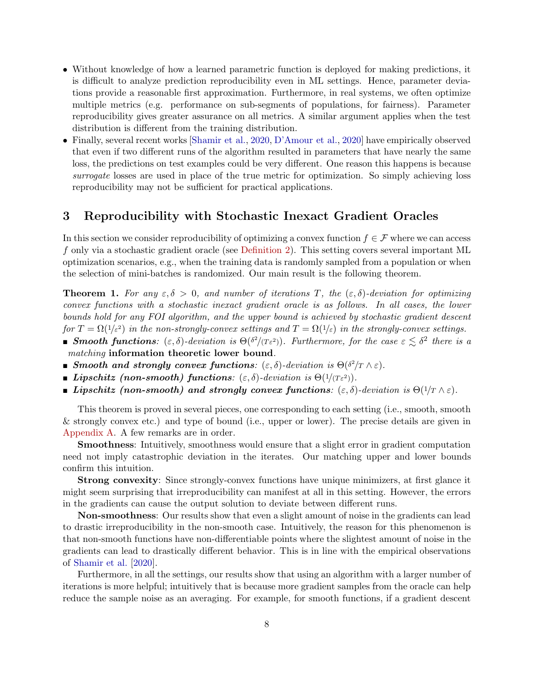- Without knowledge of how a learned parametric function is deployed for making predictions, it is difficult to analyze prediction reproducibility even in ML settings. Hence, parameter deviations provide a reasonable first approximation. Furthermore, in real systems, we often optimize multiple metrics (e.g. performance on sub-segments of populations, for fairness). Parameter reproducibility gives greater assurance on all metrics. A similar argument applies when the test distribution is different from the training distribution.
- Finally, several recent works [\[Shamir et al.,](#page-14-5) [2020](#page-14-5), [D'Amour et al.](#page-12-1), [2020](#page-12-1)] have empirically observed that even if two different runs of the algorithm resulted in parameters that have nearly the same loss, the predictions on test examples could be very different. One reason this happens is because surrogate losses are used in place of the true metric for optimization. So simply achieving loss reproducibility may not be sufficient for practical applications.

### 3 Reproducibility with Stochastic Inexact Gradient Oracles

In this section we consider reproducibility of optimizing a convex function  $f \in \mathcal{F}$  where we can access f only via a stochastic gradient oracle (see [Definition 2\)](#page-6-1). This setting covers several important ML optimization scenarios, e.g., when the training data is randomly sampled from a population or when the selection of mini-batches is randomized. Our main result is the following theorem.

<span id="page-7-0"></span>**Theorem 1.** For any  $\epsilon, \delta > 0$ , and number of iterations T, the  $(\epsilon, \delta)$ -deviation for optimizing convex functions with a stochastic inexact gradient oracle is as follows. In all cases, the lower bounds hold for any FOI algorithm, and the upper bound is achieved by stochastic gradient descent for  $T = \Omega(1/\varepsilon^2)$  in the non-strongly-convex settings and  $T = \Omega(1/\varepsilon)$  in the strongly-convex settings.

- **Smooth functions**:  $(\varepsilon, \delta)$ -deviation is  $\Theta(\delta^2/(\tau \varepsilon^2))$ . Furthermore, for the case  $\varepsilon \lesssim \delta^2$  there is a matching information theoretic lower bound.
- **■** Smooth and strongly convex functions:  $(\varepsilon, \delta)$ -deviation is  $\Theta(\delta^2/T \wedge \varepsilon)$ .
- **Lipschitz (non-smooth) functions**:  $(\varepsilon, \delta)$ -deviation is  $\Theta(1/(T_{\varepsilon}^2))$ .
- **Lipschitz (non-smooth) and strongly convex functions:**  $(\varepsilon, \delta)$ -deviation is  $\Theta(1/T \wedge \varepsilon)$ .

This theorem is proved in several pieces, one corresponding to each setting (i.e., smooth, smooth & strongly convex etc.) and type of bound (i.e., upper or lower). The precise details are given in [Appendix A.](#page-16-0) A few remarks are in order.

Smoothness: Intuitively, smoothness would ensure that a slight error in gradient computation need not imply catastrophic deviation in the iterates. Our matching upper and lower bounds confirm this intuition.

Strong convexity: Since strongly-convex functions have unique minimizers, at first glance it might seem surprising that irreproducibility can manifest at all in this setting. However, the errors in the gradients can cause the output solution to deviate between different runs.

Non-smoothness: Our results show that even a slight amount of noise in the gradients can lead to drastic irreproducibility in the non-smooth case. Intuitively, the reason for this phenomenon is that non-smooth functions have non-differentiable points where the slightest amount of noise in the gradients can lead to drastically different behavior. This is in line with the empirical observations of [Shamir et al.](#page-14-5) [\[2020](#page-14-5)].

Furthermore, in all the settings, our results show that using an algorithm with a larger number of iterations is more helpful; intuitively that is because more gradient samples from the oracle can help reduce the sample noise as an averaging. For example, for smooth functions, if a gradient descent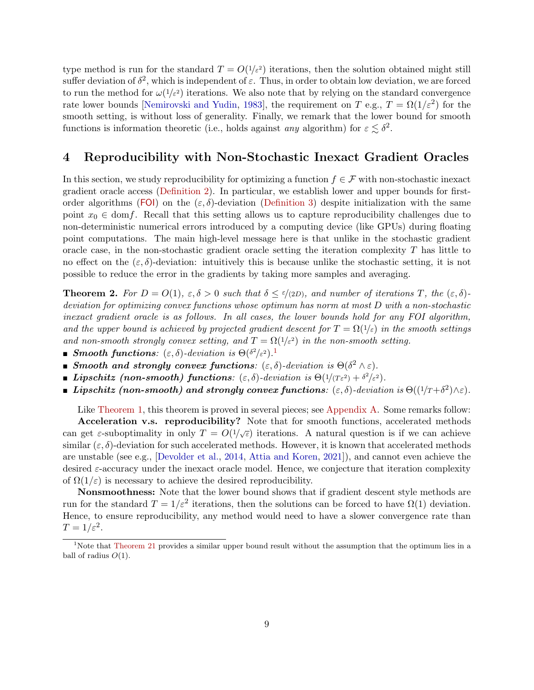type method is run for the standard  $T = O(1/\varepsilon^2)$  iterations, then the solution obtained might still suffer deviation of  $\delta^2$ , which is independent of  $\varepsilon$ . Thus, in order to obtain low deviation, we are forced to run the method for  $\omega(1/\varepsilon^2)$  iterations. We also note that by relying on the standard convergence rate lower bounds [\[Nemirovski and Yudin](#page-13-13), [1983\]](#page-13-13), the requirement on T e.g.,  $T = \Omega(1/\varepsilon^2)$  for the smooth setting, is without loss of generality. Finally, we remark that the lower bound for smooth functions is information theoretic (i.e., holds against *any* algorithm) for  $\varepsilon \lesssim \delta^2$ .

### 4 Reproducibility with Non-Stochastic Inexact Gradient Oracles

In this section, we study reproducibility for optimizing a function  $f \in \mathcal{F}$  with non-stochastic inexact gradient oracle access [\(Definition 2\)](#page-6-1). In particular, we establish lower and upper bounds for first-order algorithms ([FOI](#page-5-1)) on the  $(\varepsilon, \delta)$ -deviation [\(Definition 3\)](#page-6-0) despite initialization with the same point  $x_0 \in \text{dom} f$ . Recall that this setting allows us to capture reproducibility challenges due to non-deterministic numerical errors introduced by a computing device (like GPUs) during floating point computations. The main high-level message here is that unlike in the stochastic gradient oracle case, in the non-stochastic gradient oracle setting the iteration complexity  $T$  has little to no effect on the  $(\varepsilon, \delta)$ -deviation: intuitively this is because unlike the stochastic setting, it is not possible to reduce the error in the gradients by taking more samples and averaging.

<span id="page-8-0"></span>**Theorem 2.** For  $D = O(1)$ ,  $\varepsilon, \delta > 0$  such that  $\delta \leq \varepsilon/(2D)$ , and number of iterations T, the  $(\varepsilon, \delta)$ deviation for optimizing convex functions whose optimum has norm at most D with a non-stochastic inexact gradient oracle is as follows. In all cases, the lower bounds hold for any FOI algorithm, and the upper bound is achieved by projected gradient descent for  $T = \Omega(1/\varepsilon)$  in the smooth settings and non-smooth strongly convex setting, and  $T = \Omega(1/\varepsilon^2)$  in the non-smooth setting.

- **Smooth functions**:  $(\varepsilon, \delta)$ -deviation is  $\Theta(\delta^2/\varepsilon^2)$ .
- **■** Smooth and strongly convex functions:  $(\varepsilon, \delta)$ -deviation is  $\Theta(\delta^2 \wedge \varepsilon)$ .
- **Ii** Lipschitz (non-smooth) functions:  $(\varepsilon, \delta)$ -deviation is  $\Theta(1/(T\varepsilon^2) + \delta^2/\varepsilon^2)$ .
- **I** Lipschitz (non-smooth) and strongly convex functions:  $(\varepsilon, \delta)$ -deviation is  $\Theta((1/T + \delta^2) \wedge \varepsilon)$ .

Like [Theorem 1,](#page-7-0) this theorem is proved in several pieces; see [Appendix A.](#page-16-0) Some remarks follow:

Acceleration v.s. reproducibility? Note that for smooth functions, accelerated methods can get  $\varepsilon$ -suboptimality in only  $T = O(1/\sqrt{\varepsilon})$  iterations. A natural question is if we can achieve similar  $(\varepsilon, \delta)$ -deviation for such accelerated methods. However, it is known that accelerated methods are unstable (see e.g., [\[Devolder et al.,](#page-12-4) [2014](#page-12-4), [Attia and Koren](#page-12-10), [2021](#page-12-10)]), and cannot even achieve the desired  $\varepsilon$ -accuracy under the inexact oracle model. Hence, we conjecture that iteration complexity of  $\Omega(1/\varepsilon)$  is necessary to achieve the desired reproducibility.

Nonsmoothness: Note that the lower bound shows that if gradient descent style methods are run for the standard  $T = 1/\varepsilon^2$  iterations, then the solutions can be forced to have  $\Omega(1)$  deviation. Hence, to ensure reproducibility, any method would need to have a slower convergence rate than  $T=1/\varepsilon^2$ .

<span id="page-8-1"></span><sup>&</sup>lt;sup>1</sup>Note that [Theorem 21](#page-41-0) provides a similar upper bound result without the assumption that the optimum lies in a ball of radius  $O(1)$ .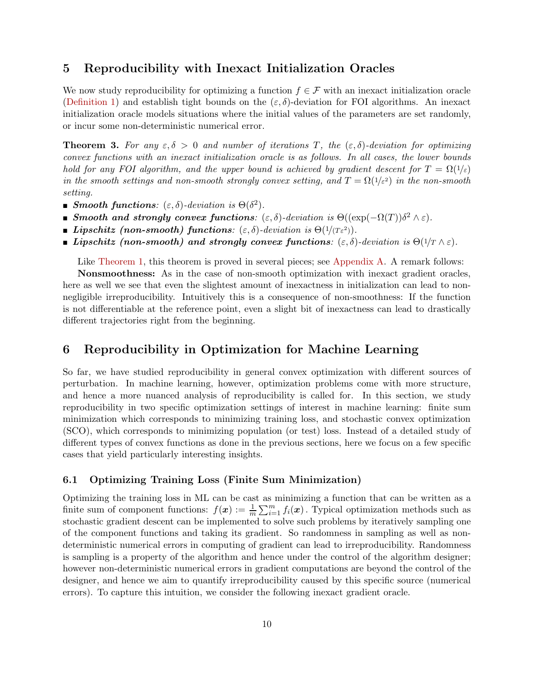### 5 Reproducibility with Inexact Initialization Oracles

We now study reproducibility for optimizing a function  $f \in \mathcal{F}$  with an inexact initialization oracle [\(Definition 1\)](#page-5-0) and establish tight bounds on the  $(\varepsilon, \delta)$ -deviation for FOI algorithms. An inexact initialization oracle models situations where the initial values of the parameters are set randomly, or incur some non-deterministic numerical error.

<span id="page-9-0"></span>**Theorem 3.** For any  $\epsilon, \delta > 0$  and number of iterations T, the  $(\epsilon, \delta)$ -deviation for optimizing convex functions with an inexact initialization oracle is as follows. In all cases, the lower bounds hold for any FOI algorithm, and the upper bound is achieved by gradient descent for  $T = \Omega(1/\varepsilon)$ in the smooth settings and non-smooth strongly convex setting, and  $T = \Omega(1/\varepsilon^2)$  in the non-smooth setting.

- **Smooth functions**:  $(\varepsilon, \delta)$ -deviation is  $\Theta(\delta^2)$ .
- **■** Smooth and strongly convex functions:  $(\varepsilon, \delta)$ -deviation is  $\Theta((\exp(-\Omega(T))\delta^2 \wedge \varepsilon)$ .
- **Lipschitz (non-smooth) functions**:  $(\varepsilon, \delta)$ -deviation is  $\Theta(1/(T_{\varepsilon}^2))$ .
- **Lipschitz (non-smooth) and strongly convex functions:**  $(\varepsilon, \delta)$ -deviation is  $\Theta(1/\tau \wedge \varepsilon)$ .

Like [Theorem 1,](#page-7-0) this theorem is proved in several pieces; see [Appendix A.](#page-16-0) A remark follows:

Nonsmoothness: As in the case of non-smooth optimization with inexact gradient oracles, here as well we see that even the slightest amount of inexactness in initialization can lead to nonnegligible irreproducibility. Intuitively this is a consequence of non-smoothness: If the function is not differentiable at the reference point, even a slight bit of inexactness can lead to drastically different trajectories right from the beginning.

### 6 Reproducibility in Optimization for Machine Learning

So far, we have studied reproducibility in general convex optimization with different sources of perturbation. In machine learning, however, optimization problems come with more structure, and hence a more nuanced analysis of reproducibility is called for. In this section, we study reproducibility in two specific optimization settings of interest in machine learning: finite sum minimization which corresponds to minimizing training loss, and stochastic convex optimization (SCO), which corresponds to minimizing population (or test) loss. Instead of a detailed study of different types of convex functions as done in the previous sections, here we focus on a few specific cases that yield particularly interesting insights.

### 6.1 Optimizing Training Loss (Finite Sum Minimization)

Optimizing the training loss in ML can be cast as minimizing a function that can be written as a finite sum of component functions:  $f(x) := \frac{1}{m} \sum_{i=1}^{m} f_i(x)$ . Typical optimization methods such as stochastic gradient descent can be implemented to solve such problems by iteratively sampling one of the component functions and taking its gradient. So randomness in sampling as well as nondeterministic numerical errors in computing of gradient can lead to irreproducibility. Randomness is sampling is a property of the algorithm and hence under the control of the algorithm designer; however non-deterministic numerical errors in gradient computations are beyond the control of the designer, and hence we aim to quantify irreproducibility caused by this specific source (numerical errors). To capture this intuition, we consider the following inexact gradient oracle.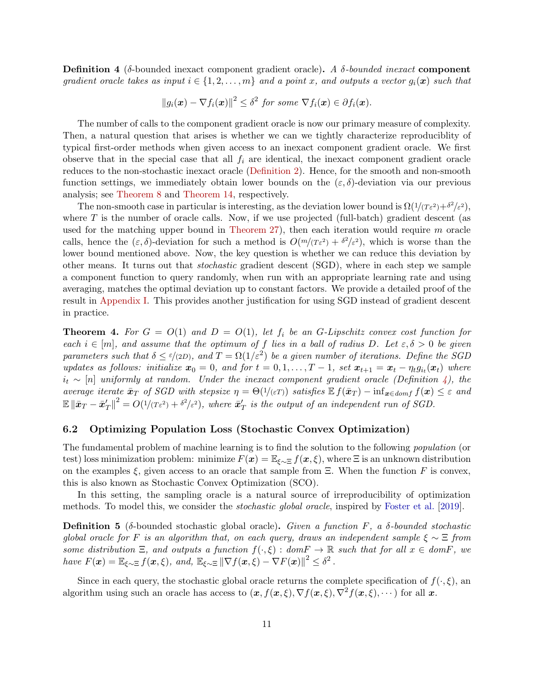<span id="page-10-1"></span>**Definition 4** (δ-bounded inexact component gradient oracle). A  $\delta$ -bounded inexact component gradient oracle takes as input  $i \in \{1, 2, ..., m\}$  and a point x, and outputs a vector  $g_i(x)$  such that

$$
||g_i(\boldsymbol{x}) - \nabla f_i(\boldsymbol{x})||^2 \leq \delta^2 \text{ for some } \nabla f_i(\boldsymbol{x}) \in \partial f_i(\boldsymbol{x}).
$$

The number of calls to the component gradient oracle is now our primary measure of complexity. Then, a natural question that arises is whether we can we tightly characterize reproduciblity of typical first-order methods when given access to an inexact component gradient oracle. We first observe that in the special case that all  $f_i$  are identical, the inexact component gradient oracle reduces to the non-stochastic inexact oracle [\(Definition 2\)](#page-6-1). Hence, for the smooth and non-smooth function settings, we immediately obtain lower bounds on the  $(\varepsilon, \delta)$ -deviation via our previous analysis; see [Theorem 8](#page-23-0) and [Theorem 14,](#page-32-0) respectively.

The non-smooth case in particular is interesting, as the deviation lower bound is  $\Omega(1/(T\epsilon^2) + \delta^2/\epsilon^2)$ , where  $T$  is the number of oracle calls. Now, if we use projected (full-batch) gradient descent (as used for the matching upper bound in [Theorem 27\)](#page-49-0), then each iteration would require  $m$  oracle calls, hence the  $(\varepsilon, \delta)$ -deviation for such a method is  $O(m/(T\varepsilon^2) + \delta^2/\varepsilon^2)$ , which is worse than the lower bound mentioned above. Now, the key question is whether we can reduce this deviation by other means. It turns out that stochastic gradient descent (SGD), where in each step we sample a component function to query randomly, when run with an appropriate learning rate and using averaging, matches the optimal deviation up to constant factors. We provide a detailed proof of the result in [Appendix I.](#page-52-0) This provides another justification for using SGD instead of gradient descent in practice.

<span id="page-10-0"></span>**Theorem 4.** For  $G = O(1)$  and  $D = O(1)$ , let  $f_i$  be an G-Lipschitz convex cost function for each  $i \in [m]$ , and assume that the optimum of f lies in a ball of radius D. Let  $\varepsilon, \delta > 0$  be given parameters such that  $\delta \le \epsilon/(2D)$ , and  $T = \Omega(1/\epsilon^2)$  be a given number of iterations. Define the SGD updates as follows: initialize  $x_0 = 0$ , and for  $t = 0, 1, \ldots, T-1$ , set  $x_{t+1} = x_t - \eta_t g_{i_t}(x_t)$  where  $i_t \sim [n]$  uniformly at random. Under the inexact component gradient oracle (Definition [4\)](#page-10-1), the average iterate  $\bar{x}_T$  of SGD with stepsize  $\eta = \Theta(1/(\epsilon T))$  satisfies  $\mathbb{E} f(\bar{x}_T) - \inf_{\bm{x} \in dom f} f(\bm{x}) \leq \epsilon$  and  $\mathbb{E}\left\|\bar{\boldsymbol{x}}_T-\bar{\boldsymbol{x}}_T'\right\|^2 = O(1/(T\varepsilon^2) + \delta^2/\varepsilon^2)$ , where  $\bar{\boldsymbol{x}}_T'$  is the output of an independent run of SGD.

### 6.2 Optimizing Population Loss (Stochastic Convex Optimization)

The fundamental problem of machine learning is to find the solution to the following population (or test) loss minimization problem: minimize  $F(x) = \mathbb{E}_{\xi \sim \Xi} f(x, \xi)$ , where  $\Xi$  is an unknown distribution on the examples  $\xi$ , given access to an oracle that sample from  $\Xi$ . When the function F is convex, this is also known as Stochastic Convex Optimization (SCO).

In this setting, the sampling oracle is a natural source of irreproducibility of optimization methods. To model this, we consider the *stochastic global oracle*, inspired by [Foster et al.](#page-13-14) [\[2019\]](#page-13-14).

<span id="page-10-2"></span>**Definition 5** (δ-bounded stochastic global oracle). Given a function F, a  $\delta$ -bounded stochastic global oracle for F is an algorithm that, on each query, draws an independent sample  $\xi \sim \Xi$  from some distribution  $\Xi$ , and outputs a function  $f(\cdot,\xi)$ : dom $F \to \mathbb{R}$  such that for all  $x \in domF$ , we have  $F(\boldsymbol{x}) = \mathbb{E}_{\xi \sim \Xi} f(\boldsymbol{x}, \xi)$ , and,  $\mathbb{E}_{\xi \sim \Xi} || \nabla f(\boldsymbol{x}, \xi) - \nabla F(\boldsymbol{x}) ||^2 \leq \delta^2$ .

Since in each query, the stochastic global oracle returns the complete specification of  $f(\cdot,\xi)$ , and algorithm using such an oracle has access to  $(x, f(x, \xi), \nabla f(x, \xi), \nabla^2 f(x, \xi), \cdots)$  for all x.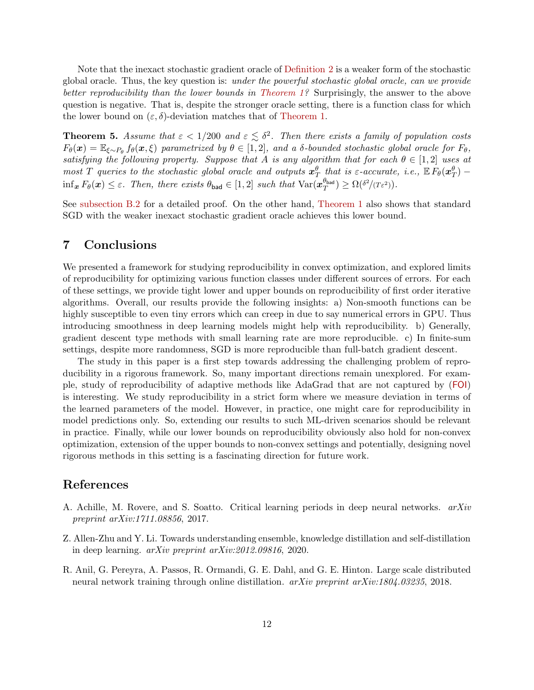Note that the inexact stochastic gradient oracle of [Definition 2](#page-6-1) is a weaker form of the stochastic global oracle. Thus, the key question is: under the powerful stochastic global oracle, can we provide better reproducibility than the lower bounds in [Theorem 1?](#page-7-0) Surprisingly, the answer to the above question is negative. That is, despite the stronger oracle setting, there is a function class for which the lower bound on  $(\varepsilon, \delta)$ -deviation matches that of [Theorem 1.](#page-7-0)

<span id="page-11-2"></span>**Theorem 5.** Assume that  $\varepsilon < 1/200$  and  $\varepsilon \leq \delta^2$ . Then there exists a family of population costs  $F_{\theta}(\boldsymbol{x}) = \mathbb{E}_{\xi \sim P_{\theta}} f_{\theta}(\boldsymbol{x}, \xi)$  parametrized by  $\theta \in [1, 2]$ , and a δ-bounded stochastic global oracle for  $F_{\theta}$ , satisfying the following property. Suppose that A is any algorithm that for each  $\theta \in [1,2]$  uses at most T queries to the stochastic global oracle and outputs  $x_T^{\theta}$  that is  $\varepsilon$ -accurate, i.e.,  $\mathbb{E}\tilde{F}_{\theta}(x_T^{\theta})$  - $\inf_{\bm{x}} F_{\theta}(\bm{x}) \leq \varepsilon$ . Then, there exists  $\theta_{bad} \in [1,2]$  such that  $\text{Var}(\bm{x}_T^{\theta_{bad}})$  $T^{(b_{\text{bad}})} \geq \Omega(\delta^2/(T\varepsilon^2)).$ 

See [subsection B.2](#page-20-0) for a detailed proof. On the other hand, [Theorem 1](#page-7-0) also shows that standard SGD with the weaker inexact stochastic gradient oracle achieves this lower bound.

### <span id="page-11-1"></span>7 Conclusions

We presented a framework for studying reproducibility in convex optimization, and explored limits of reproducibility for optimizing various function classes under different sources of errors. For each of these settings, we provide tight lower and upper bounds on reproducibility of first order iterative algorithms. Overall, our results provide the following insights: a) Non-smooth functions can be highly susceptible to even tiny errors which can creep in due to say numerical errors in GPU. Thus introducing smoothness in deep learning models might help with reproducibility. b) Generally, gradient descent type methods with small learning rate are more reproducible. c) In finite-sum settings, despite more randomness, SGD is more reproducible than full-batch gradient descent.

The study in this paper is a first step towards addressing the challenging problem of reproducibility in a rigorous framework. So, many important directions remain unexplored. For example, study of reproducibility of adaptive methods like AdaGrad that are not captured by ([FOI](#page-5-1)) is interesting. We study reproducibility in a strict form where we measure deviation in terms of the learned parameters of the model. However, in practice, one might care for reproducibility in model predictions only. So, extending our results to such ML-driven scenarios should be relevant in practice. Finally, while our lower bounds on reproducibility obviously also hold for non-convex optimization, extension of the upper bounds to non-convex settings and potentially, designing novel rigorous methods in this setting is a fascinating direction for future work.

### References

- <span id="page-11-0"></span>A. Achille, M. Rovere, and S. Soatto. Critical learning periods in deep neural networks. arXiv preprint arXiv:1711.08856, 2017.
- <span id="page-11-3"></span>Z. Allen-Zhu and Y. Li. Towards understanding ensemble, knowledge distillation and self-distillation in deep learning. arXiv preprint arXiv:2012.09816, 2020.
- <span id="page-11-4"></span>R. Anil, G. Pereyra, A. Passos, R. Ormandi, G. E. Dahl, and G. E. Hinton. Large scale distributed neural network training through online distillation. arXiv preprint arXiv:1804.03235, 2018.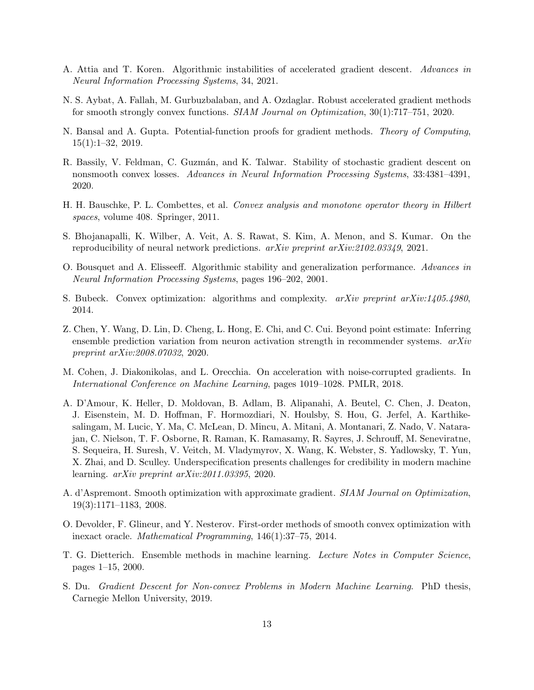- <span id="page-12-10"></span>A. Attia and T. Koren. Algorithmic instabilities of accelerated gradient descent. Advances in Neural Information Processing Systems, 34, 2021.
- <span id="page-12-3"></span>N. S. Aybat, A. Fallah, M. Gurbuzbalaban, and A. Ozdaglar. Robust accelerated gradient methods for smooth strongly convex functions. SIAM Journal on Optimization, 30(1):717–751, 2020.
- <span id="page-12-14"></span>N. Bansal and A. Gupta. Potential-function proofs for gradient methods. Theory of Computing, 15(1):1–32, 2019.
- <span id="page-12-13"></span>R. Bassily, V. Feldman, C. Guzmán, and K. Talwar. Stability of stochastic gradient descent on nonsmooth convex losses. Advances in Neural Information Processing Systems, 33:4381–4391, 2020.
- <span id="page-12-12"></span>H. H. Bauschke, P. L. Combettes, et al. Convex analysis and monotone operator theory in Hilbert spaces, volume 408. Springer, 2011.
- <span id="page-12-9"></span>S. Bhojanapalli, K. Wilber, A. Veit, A. S. Rawat, S. Kim, A. Menon, and S. Kumar. On the reproducibility of neural network predictions. arXiv preprint arXiv:2102.03349, 2021.
- <span id="page-12-2"></span>O. Bousquet and A. Elisseeff. Algorithmic stability and generalization performance. Advances in Neural Information Processing Systems, pages 196–202, 2001.
- <span id="page-12-11"></span>S. Bubeck. Convex optimization: algorithms and complexity.  $arXiv$  preprint  $arXiv:1405.4980$ , 2014.
- <span id="page-12-0"></span>Z. Chen, Y. Wang, D. Lin, D. Cheng, L. Hong, E. Chi, and C. Cui. Beyond point estimate: Inferring ensemble prediction variation from neuron activation strength in recommender systems.  $arXiv$ preprint arXiv:2008.07032, 2020.
- <span id="page-12-6"></span>M. Cohen, J. Diakonikolas, and L. Orecchia. On acceleration with noise-corrupted gradients. In International Conference on Machine Learning, pages 1019–1028. PMLR, 2018.
- <span id="page-12-1"></span>A. D'Amour, K. Heller, D. Moldovan, B. Adlam, B. Alipanahi, A. Beutel, C. Chen, J. Deaton, J. Eisenstein, M. D. Hoffman, F. Hormozdiari, N. Houlsby, S. Hou, G. Jerfel, A. Karthikesalingam, M. Lucic, Y. Ma, C. McLean, D. Mincu, A. Mitani, A. Montanari, Z. Nado, V. Natarajan, C. Nielson, T. F. Osborne, R. Raman, K. Ramasamy, R. Sayres, J. Schrouff, M. Seneviratne, S. Sequeira, H. Suresh, V. Veitch, M. Vladymyrov, X. Wang, K. Webster, S. Yadlowsky, T. Yun, X. Zhai, and D. Sculley. Underspecification presents challenges for credibility in modern machine learning. arXiv preprint arXiv:2011.03395, 2020.
- <span id="page-12-5"></span>A. d'Aspremont. Smooth optimization with approximate gradient. SIAM Journal on Optimization, 19(3):1171–1183, 2008.
- <span id="page-12-4"></span>O. Devolder, F. Glineur, and Y. Nesterov. First-order methods of smooth convex optimization with inexact oracle. Mathematical Programming, 146(1):37–75, 2014.
- <span id="page-12-8"></span>T. G. Dietterich. Ensemble methods in machine learning. Lecture Notes in Computer Science, pages 1–15, 2000.
- <span id="page-12-7"></span>S. Du. Gradient Descent for Non-convex Problems in Modern Machine Learning. PhD thesis, Carnegie Mellon University, 2019.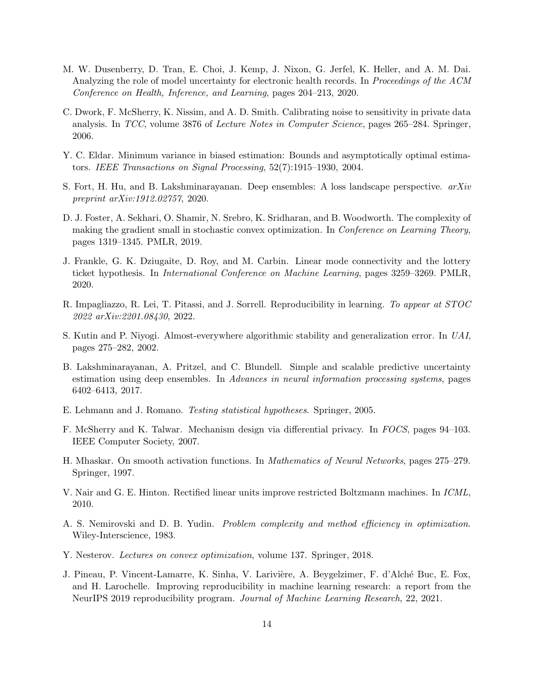- <span id="page-13-1"></span>M. W. Dusenberry, D. Tran, E. Choi, J. Kemp, J. Nixon, G. Jerfel, K. Heller, and A. M. Dai. Analyzing the role of model uncertainty for electronic health records. In *Proceedings of the ACM* Conference on Health, Inference, and Learning, pages 204–213, 2020.
- <span id="page-13-7"></span>C. Dwork, F. McSherry, K. Nissim, and A. D. Smith. Calibrating noise to sensitivity in private data analysis. In TCC, volume 3876 of Lecture Notes in Computer Science, pages 265–284. Springer, 2006.
- <span id="page-13-15"></span>Y. C. Eldar. Minimum variance in biased estimation: Bounds and asymptotically optimal estimators. IEEE Transactions on Signal Processing, 52(7):1915–1930, 2004.
- <span id="page-13-2"></span>S. Fort, H. Hu, and B. Lakshminarayanan. Deep ensembles: A loss landscape perspective.  $arXiv$ preprint arXiv:1912.02757, 2020.
- <span id="page-13-14"></span>D. J. Foster, A. Sekhari, O. Shamir, N. Srebro, K. Sridharan, and B. Woodworth. The complexity of making the gradient small in stochastic convex optimization. In *Conference on Learning Theory*, pages 1319–1345. PMLR, 2019.
- <span id="page-13-3"></span>J. Frankle, G. K. Dziugaite, D. Roy, and M. Carbin. Linear mode connectivity and the lottery ticket hypothesis. In International Conference on Machine Learning, pages 3259–3269. PMLR, 2020.
- <span id="page-13-9"></span>R. Impagliazzo, R. Lei, T. Pitassi, and J. Sorrell. Reproducibility in learning. To appear at STOC 2022 arXiv:2201.08430, 2022.
- <span id="page-13-6"></span>S. Kutin and P. Niyogi. Almost-everywhere algorithmic stability and generalization error. In UAI, pages 275–282, 2002.
- <span id="page-13-10"></span>B. Lakshminarayanan, A. Pritzel, and C. Blundell. Simple and scalable predictive uncertainty estimation using deep ensembles. In Advances in neural information processing systems, pages 6402–6413, 2017.
- <span id="page-13-5"></span>E. Lehmann and J. Romano. Testing statistical hypotheses. Springer, 2005.
- <span id="page-13-8"></span>F. McSherry and K. Talwar. Mechanism design via differential privacy. In FOCS, pages 94–103. IEEE Computer Society, 2007.
- <span id="page-13-11"></span>H. Mhaskar. On smooth activation functions. In Mathematics of Neural Networks, pages 275–279. Springer, 1997.
- <span id="page-13-12"></span>V. Nair and G. E. Hinton. Rectified linear units improve restricted Boltzmann machines. In ICML, 2010.
- <span id="page-13-13"></span>A. S. Nemirovski and D. B. Yudin. Problem complexity and method efficiency in optimization. Wiley-Interscience, 1983.
- <span id="page-13-4"></span>Y. Nesterov. Lectures on convex optimization, volume 137. Springer, 2018.
- <span id="page-13-0"></span>J. Pineau, P. Vincent-Lamarre, K. Sinha, V. Larivière, A. Beygelzimer, F. d'Alché Buc, E. Fox, and H. Larochelle. Improving reproducibility in machine learning research: a report from the NeurIPS 2019 reproducibility program. Journal of Machine Learning Research, 22, 2021.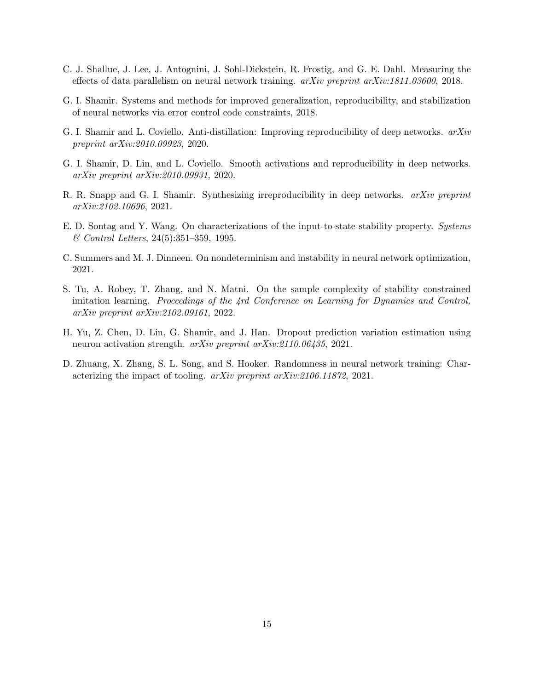- <span id="page-14-3"></span>C. J. Shallue, J. Lee, J. Antognini, J. Sohl-Dickstein, R. Frostig, and G. E. Dahl. Measuring the effects of data parallelism on neural network training. arXiv preprint arXiv:1811.03600, 2018.
- <span id="page-14-7"></span>G. I. Shamir. Systems and methods for improved generalization, reproducibility, and stabilization of neural networks via error control code constraints, 2018.
- <span id="page-14-6"></span>G. I. Shamir and L. Coviello. Anti-distillation: Improving reproducibility of deep networks. arXiv preprint arXiv:2010.09923, 2020.
- <span id="page-14-5"></span>G. I. Shamir, D. Lin, and L. Coviello. Smooth activations and reproducibility in deep networks. arXiv preprint arXiv:2010.09931, 2020.
- <span id="page-14-0"></span>R. R. Snapp and G. I. Shamir. Synthesizing irreproducibility in deep networks. arXiv preprint arXiv:2102.10696, 2021.
- <span id="page-14-8"></span>E. D. Sontag and Y. Wang. On characterizations of the input-to-state stability property. Systems & Control Letters, 24(5):351–359, 1995.
- <span id="page-14-1"></span>C. Summers and M. J. Dinneen. On nondeterminism and instability in neural network optimization, 2021.
- <span id="page-14-9"></span>S. Tu, A. Robey, T. Zhang, and N. Matni. On the sample complexity of stability constrained imitation learning. Proceedings of the 4rd Conference on Learning for Dynamics and Control, arXiv preprint arXiv:2102.09161, 2022.
- <span id="page-14-2"></span>H. Yu, Z. Chen, D. Lin, G. Shamir, and J. Han. Dropout prediction variation estimation using neuron activation strength. arXiv preprint arXiv:2110.06435, 2021.
- <span id="page-14-4"></span>D. Zhuang, X. Zhang, S. L. Song, and S. Hooker. Randomness in neural network training: Characterizing the impact of tooling. arXiv preprint arXiv:2106.11872, 2021.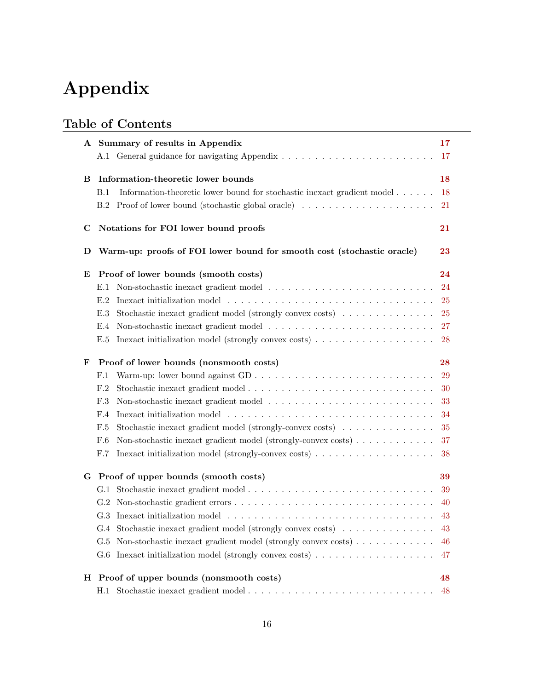# Appendix

# Table of Contents

| A Summary of results in Appendix                                                                        | 17 |
|---------------------------------------------------------------------------------------------------------|----|
|                                                                                                         | 17 |
|                                                                                                         |    |
| Information-theoretic lower bounds<br>в                                                                 | 18 |
| Information-theoretic lower bound for stochastic inexact gradient model<br><b>B.1</b>                   | 18 |
| B.2                                                                                                     | 21 |
| Notations for FOI lower bound proofs<br>C                                                               | 21 |
| Warm-up: proofs of FOI lower bound for smooth cost (stochastic oracle)<br>D                             | 23 |
| Proof of lower bounds (smooth costs)<br>E                                                               | 24 |
| E.1                                                                                                     | 24 |
| E.2                                                                                                     | 25 |
| Stochastic inexact gradient model (strongly convex costs)<br>E.3                                        | 25 |
| E.4                                                                                                     | 27 |
| Inexact initialization model (strongly convex costs) $\ldots \ldots \ldots \ldots \ldots \ldots$<br>E.5 | 28 |
| Proof of lower bounds (nonsmooth costs)<br>F                                                            | 28 |
| F.1                                                                                                     | 29 |
| Stochastic inexact gradient model<br>F.2                                                                | 30 |
| F.3                                                                                                     | 33 |
| F.4                                                                                                     | 34 |
| Stochastic inexact gradient model (strongly-convex costs)<br>F.5                                        | 35 |
| Non-stochastic inexact gradient model (strongly-convex costs)<br>F.6                                    | 37 |
| F.7                                                                                                     | 38 |
| G Proof of upper bounds (smooth costs)                                                                  | 39 |
|                                                                                                         | 39 |
|                                                                                                         | 40 |
|                                                                                                         | 43 |
| G.4 Stochastic inexact gradient model (strongly convex costs)                                           | 43 |
| Non-stochastic inexact gradient model (strongly convex costs)<br>G.5                                    | 46 |
| G.6                                                                                                     | 47 |
| H Proof of upper bounds (nonsmooth costs)                                                               | 48 |
|                                                                                                         | 48 |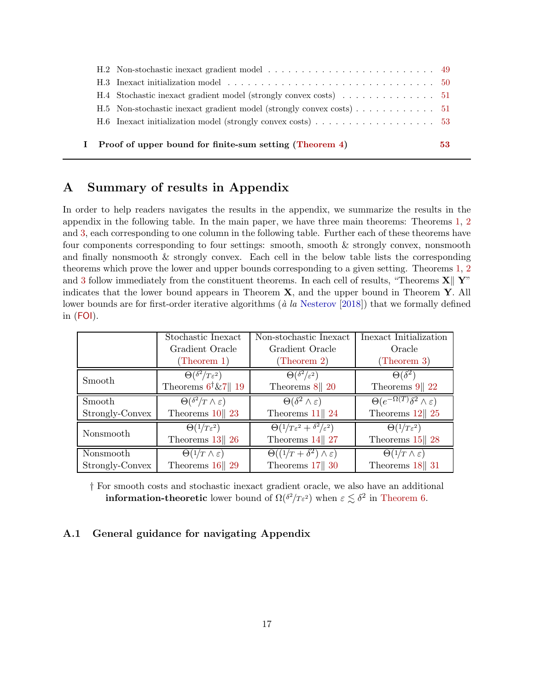|  | Proof of upper bound for finite-sum setting (Theorem 4)                                                 | 53. |
|--|---------------------------------------------------------------------------------------------------------|-----|
|  | H.6 Inexact initialization model (strongly convex costs) $\ldots \ldots \ldots \ldots \ldots \ldots$ 53 |     |
|  | H.5 Non-stochastic inexact gradient model (strongly convex costs) 51                                    |     |
|  |                                                                                                         |     |
|  |                                                                                                         |     |
|  |                                                                                                         |     |

### <span id="page-16-0"></span>A Summary of results in Appendix

In order to help readers navigates the results in the appendix, we summarize the results in the appendix in the following table. In the main paper, we have three main theorems: Theorems [1,](#page-7-0) [2](#page-8-0) and [3,](#page-9-0) each corresponding to one column in the following table. Further each of these theorems have four components corresponding to four settings: smooth, smooth & strongly convex, nonsmooth and finally nonsmooth & strongly convex. Each cell in the below table lists the corresponding theorems which prove the lower and upper bounds corresponding to a given setting. Theorems [1,](#page-7-0) [2](#page-8-0) and [3](#page-9-0) follow immediately from the constituent theorems. In each cell of results, "Theorems  $\mathbf{X} \parallel \mathbf{Y}$ " indicates that the lower bound appears in Theorem  $X$ , and the upper bound in Theorem  $Y$ . All lower bounds are for first-order iterative algorithms  $(\dot{a} \, la \, Nesterov [2018])$  $(\dot{a} \, la \, Nesterov [2018])$  $(\dot{a} \, la \, Nesterov [2018])$  $(\dot{a} \, la \, Nesterov [2018])$  $(\dot{a} \, la \, Nesterov [2018])$  that we formally defined in ([FOI](#page-5-1)).

|                 | Stochastic Inexact                      | Non-stochastic Inexact                        | Inexact Initialization                              |
|-----------------|-----------------------------------------|-----------------------------------------------|-----------------------------------------------------|
|                 | Gradient Oracle                         | Gradient Oracle                               | Oracle                                              |
|                 | (Theorem 1)                             | (Theorem 2)                                   | (Theorem 3)                                         |
| Smooth          | $\Theta(\delta^2/T\varepsilon^2)$       | $\overline{\Theta(\delta^2/\varepsilon^2)}$   | $\Theta(\delta^2)$                                  |
|                 | Theorems $6^{\dagger}\&7$    19         | Theorems $8  20$                              | Theorems $9  22$                                    |
| Smooth          | $\Theta(\delta^2/T \wedge \varepsilon)$ | $\Theta(\delta^2 \wedge \varepsilon)$         | $\Theta(e^{-\Omega(T)}\delta^2 \wedge \varepsilon)$ |
| Strongly-Convex | Theorems $10  23$                       | Theorems $11   24$                            | Theorems $12  25$                                   |
| Nonsmooth       | $\Theta(1/T\epsilon^2)$                 | $\Theta(1/T\epsilon^2+\delta^2/\epsilon^2)$   | $\Theta(1/T\epsilon^2)$                             |
|                 | Theorems $13  26$                       | Theorems $14  27$                             | Theorems $15  28$                                   |
| Nonsmooth       | $\Theta(1/T \wedge \varepsilon)$        | $\Theta((1/T + \delta^2) \wedge \varepsilon)$ | $\Theta(1/T \wedge \varepsilon)$                    |
| Strongly-Convex | Theorems $16  29$                       | Theorems $17  30$                             | Theorems $18  31$                                   |

† For smooth costs and stochastic inexact gradient oracle, we also have an additional **information-theoretic** lower bound of  $\Omega(\delta^2/T \epsilon^2)$  when  $\epsilon \lesssim \delta^2$  in [Theorem 6.](#page-17-0)

### <span id="page-16-1"></span>A.1 General guidance for navigating Appendix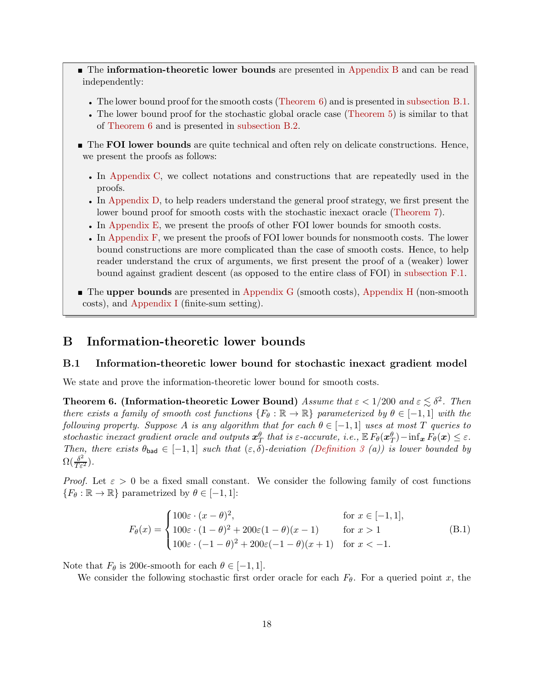- **The information-theoretic lower bounds** are presented in [Appendix B](#page-17-1) and can be read independently:
	- The lower bound proof for the smooth costs [\(Theorem 6\)](#page-17-0) and is presented in [subsection B.1.](#page-17-2)
	- The lower bound proof for the stochastic global oracle case [\(Theorem 5\)](#page-11-2) is similar to that of [Theorem 6](#page-17-0) and is presented in [subsection B.2.](#page-20-0)
- **The FOI lower bounds** are quite technical and often rely on delicate constructions. Hence, we present the proofs as follows:
	- In [Appendix C,](#page-20-1) we collect notations and constructions that are repeatedly used in the proofs.
	- In [Appendix D,](#page-22-0) to help readers understand the general proof strategy, we first present the lower bound proof for smooth costs with the stochastic inexact oracle [\(Theorem 7\)](#page-22-1).
	- In [Appendix E,](#page-23-1) we present the proofs of other FOI lower bounds for smooth costs.
	- In [Appendix F,](#page-27-1) we present the proofs of FOI lower bounds for nonsmooth costs. The lower bound constructions are more complicated than the case of smooth costs. Hence, to help reader understand the crux of arguments, we first present the proof of a (weaker) lower bound against gradient descent (as opposed to the entire class of FOI) in [subsection F.1.](#page-28-0)
- The upper bounds are presented in [Appendix G](#page-38-0) (smooth costs), [Appendix H](#page-47-0) (non-smooth costs), and [Appendix I](#page-52-0) (finite-sum setting).

### <span id="page-17-2"></span><span id="page-17-1"></span>B Information-theoretic lower bounds

### B.1 Information-theoretic lower bound for stochastic inexact gradient model

We state and prove the information-theoretic lower bound for smooth costs.

<span id="page-17-0"></span>**Theorem 6. (Information-theoretic Lower Bound)** Assume that  $\varepsilon < 1/200$  and  $\varepsilon \lesssim \delta^2$ . Then there exists a family of smooth cost functions  $\{F_\theta : \mathbb{R} \to \mathbb{R}\}\$  parameterized by  $\theta \in [-1,1]$  with the following property. Suppose A is any algorithm that for each  $\theta \in [-1,1]$  uses at most T queries to stochastic inexact gradient oracle and outputs  $x_T^{\theta}$  that is  $\varepsilon$ -accurate, i.e.,  $\mathbb{E}\, F_{\theta}(x_T^{\theta}) - \inf_{\bm{x}} F_{\theta}(\bm{x}) \leq \varepsilon$ . Then, there exists  $\theta_{bad} \in [-1,1]$  such that  $(\varepsilon,\delta)$ -deviation [\(Definition 3](#page-6-0) (a)) is lower bounded by  $\Omega(\frac{\delta^2}{T\varepsilon^2}).$ 

*Proof.* Let  $\varepsilon > 0$  be a fixed small constant. We consider the following family of cost functions  ${F_{\theta}: \mathbb{R} \to \mathbb{R}}$  parametrized by  $\theta \in [-1, 1]$ :

$$
F_{\theta}(x) = \begin{cases} 100\varepsilon \cdot (x - \theta)^2, & \text{for } x \in [-1, 1], \\ 100\varepsilon \cdot (1 - \theta)^2 + 200\varepsilon(1 - \theta)(x - 1) & \text{for } x > 1 \\ 100\varepsilon \cdot (-1 - \theta)^2 + 200\varepsilon(-1 - \theta)(x + 1) & \text{for } x < -1. \end{cases}
$$
(B.1)

Note that  $F_{\theta}$  is 200 $\epsilon$ -smooth for each  $\theta \in [-1, 1]$ .

We consider the following stochastic first order oracle for each  $F_{\theta}$ . For a queried point x, the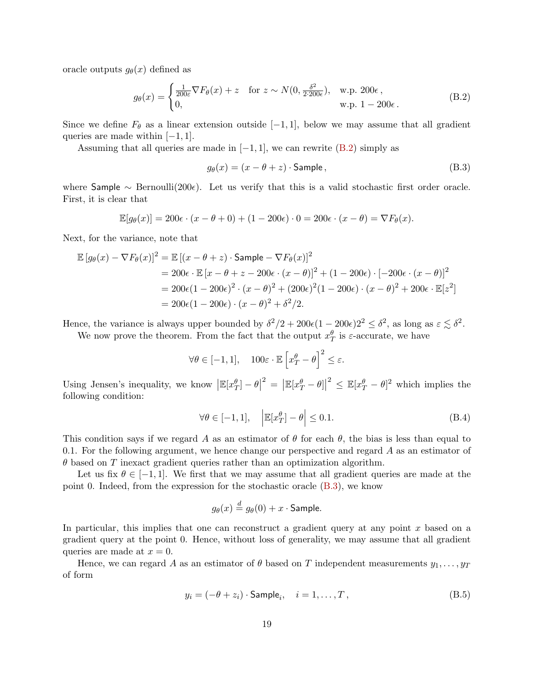oracle outputs  $g_{\theta}(x)$  defined as

$$
g_{\theta}(x) = \begin{cases} \frac{1}{200\varepsilon} \nabla F_{\theta}(x) + z & \text{for } z \sim N(0, \frac{\delta^2}{2 \cdot 200\varepsilon}), \quad \text{w.p. } 200\varepsilon, \\ 0, & \text{w.p. } 1 - 200\varepsilon. \end{cases}
$$
(B.2)

Since we define  $F_{\theta}$  as a linear extension outside [-1, 1], below we may assume that all gradient queries are made within  $[-1, 1]$ .

Assuming that all queries are made in  $[-1, 1]$ , we can rewrite  $(B.2)$  simply as

<span id="page-18-1"></span><span id="page-18-0"></span>
$$
g_{\theta}(x) = (x - \theta + z) \cdot \text{Sample},\tag{B.3}
$$

where Sample  $\sim$  Bernoulli(200 $\epsilon$ ). Let us verify that this is a valid stochastic first order oracle. First, it is clear that

$$
\mathbb{E}[g_{\theta}(x)] = 200\epsilon \cdot (x - \theta + 0) + (1 - 200\epsilon) \cdot 0 = 200\epsilon \cdot (x - \theta) = \nabla F_{\theta}(x).
$$

Next, for the variance, note that

$$
\mathbb{E}[g_{\theta}(x) - \nabla F_{\theta}(x)]^2 = \mathbb{E}[(x - \theta + z) \cdot \text{Sample} - \nabla F_{\theta}(x)]^2
$$
  
= 200\epsilon \cdot \mathbb{E}[x - \theta + z - 200\epsilon \cdot (x - \theta)]^2 + (1 - 200\epsilon) \cdot [-200\epsilon \cdot (x - \theta)]^2  
= 200\epsilon (1 - 200\epsilon)^2 \cdot (x - \theta)^2 + (200\epsilon)^2 (1 - 200\epsilon) \cdot (x - \theta)^2 + 200\epsilon \cdot \mathbb{E}[z^2]  
= 200\epsilon (1 - 200\epsilon) \cdot (x - \theta)^2 + \delta^2/2.

Hence, the variance is always upper bounded by  $\delta^2/2 + 200\epsilon(1 - 200\epsilon)2^2 \leq \delta^2$ , as long as  $\epsilon \lesssim \delta^2$ .

We now prove the theorem. From the fact that the output  $x_T^{\theta}$  is  $\varepsilon$ -accurate, we have

$$
\forall \theta \in [-1, 1], \quad 100\varepsilon \cdot \mathbb{E} \left[ x_T^{\theta} - \theta \right]^2 \le \varepsilon.
$$

Using Jensen's inequality, we know  $\left|\mathbb{E}[x_{T}^{\theta}]-\theta\right|^{2}=\left|\mathbb{E}[x_{T}^{\theta}-\theta]\right|^{2} \leq \mathbb{E}[x_{T}^{\theta}-\theta]^{2}$  which implies the following condition:

<span id="page-18-2"></span>
$$
\forall \theta \in [-1, 1], \quad \left| \mathbb{E}[x_T^{\theta}] - \theta \right| \le 0.1. \tag{B.4}
$$

This condition says if we regard A as an estimator of  $\theta$  for each  $\theta$ , the bias is less than equal to 0.1. For the following argument, we hence change our perspective and regard A as an estimator of  $\theta$  based on T inexact gradient queries rather than an optimization algorithm.

Let us fix  $\theta \in [-1, 1]$ . We first that we may assume that all gradient queries are made at the point 0. Indeed, from the expression for the stochastic oracle [\(B.3\)](#page-18-1), we know

$$
g_{\theta}(x) \stackrel{d}{=} g_{\theta}(0) + x \cdot \mathsf{Sample}.
$$

In particular, this implies that one can reconstruct a gradient query at any point  $x$  based on a gradient query at the point 0. Hence, without loss of generality, we may assume that all gradient queries are made at  $x = 0$ .

Hence, we can regard A as an estimator of  $\theta$  based on T independent measurements  $y_1, \ldots, y_T$ of form

$$
y_i = (-\theta + z_i) \cdot \text{Sample}_i, \quad i = 1, \dots, T,
$$
 (B.5)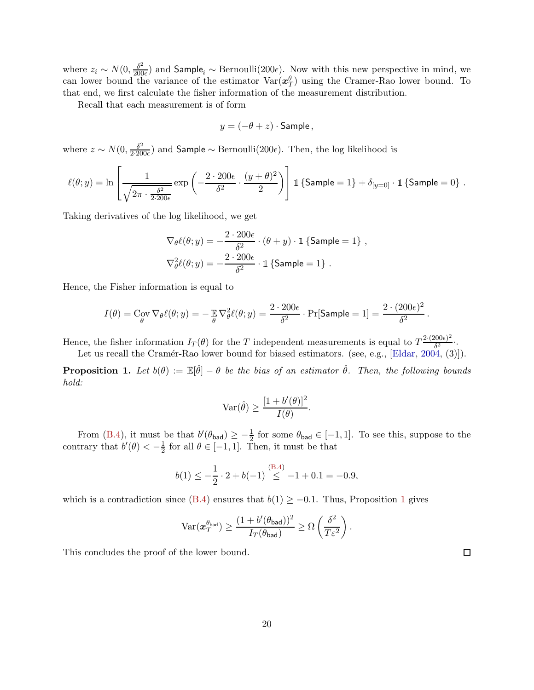where  $z_i \sim N(0, \frac{\delta^2}{200})$  $\frac{\partial^2}{\partial 00\epsilon}$  and Sample<sub>i</sub> ~ Bernoulli(200 $\epsilon$ ). Now with this new perspective in mind, we can lower bound the variance of the estimator  $\text{Var}(\mathbf{x}_T^{\theta})$  using the Cramer-Rao lower bound. To that end, we first calculate the fisher information of the measurement distribution.

Recall that each measurement is of form

$$
y = (-\theta + z) \cdot \mathsf{Sample}\,,
$$

where  $z \sim N(0, \frac{\delta^2}{2 \cdot 20})$  $\frac{\delta^2}{2!200\epsilon}$  and Sample  $\sim$  Bernoulli(200 $\epsilon$ ). Then, the log likelihood is

$$
\ell(\theta; y) = \ln \left[ \frac{1}{\sqrt{2\pi \cdot \frac{\delta^2}{2 \cdot 200 \epsilon}}} \exp \left( - \frac{2 \cdot 200 \epsilon}{\delta^2} \cdot \frac{(y + \theta)^2}{2} \right) \right] \, \mathbb{1} \left\{ \mathsf{Sample} = 1 \right\} + \delta_{[y=0]} \cdot \mathbb{1} \left\{ \mathsf{Sample} = 0 \right\} \, .
$$

Taking derivatives of the log likelihood, we get

$$
\nabla_{\theta} \ell(\theta; y) = -\frac{2 \cdot 200 \epsilon}{\delta^2} \cdot (\theta + y) \cdot \mathbb{1} \left\{ \text{Sample} = 1 \right\},
$$
  

$$
\nabla_{\theta}^2 \ell(\theta; y) = -\frac{2 \cdot 200 \epsilon}{\delta^2} \cdot \mathbb{1} \left\{ \text{Sample} = 1 \right\}.
$$

Hence, the Fisher information is equal to

$$
I(\theta) = \text{Cov}_{\theta} \nabla_{\theta} \ell(\theta; y) = -\mathop{\mathbb{E}}_{\theta} \nabla_{\theta}^{2} \ell(\theta; y) = \frac{2 \cdot 200 \epsilon}{\delta^{2}} \cdot \Pr[\text{Sample} = 1] = \frac{2 \cdot (200 \epsilon)^{2}}{\delta^{2}}.
$$

Hence, the fisher information  $I_T(\theta)$  for the T independent measurements is equal to  $T^{\frac{2\cdot(200\epsilon)^2}{\delta^2}}$  $\frac{\delta^{2}}{\delta^{2}}$ .

Let us recall the Cramér-Rao lower bound for biased estimators. (see, e.g., [\[Eldar](#page-13-15), [2004](#page-13-15), (3)]).

<span id="page-19-0"></span>**Proposition 1.** Let  $b(\theta) := \mathbb{E}[\hat{\theta}] - \theta$  be the bias of an estimator  $\hat{\theta}$ . Then, the following bounds hold:

$$
\operatorname{Var}(\hat{\theta}) \ge \frac{[1 + b'(\theta)]^2}{I(\theta)}.
$$

From [\(B.4\)](#page-18-2), it must be that  $b'(\theta_{bad}) \geq -\frac{1}{2}$  for some  $\theta_{bad} \in [-1,1]$ . To see this, suppose to the contrary that  $b'(\theta) < -\frac{1}{2}$  $\frac{1}{2}$  for all  $\theta \in [-1, 1]$ . Then, it must be that

$$
b(1) \le -\frac{1}{2} \cdot 2 + b(-1) \stackrel{\text{(B.4)}}{\le} -1 + 0.1 = -0.9,
$$

which is a contradiction since [\(B.4\)](#page-18-2) ensures that  $b(1) \ge -0.1$  $b(1) \ge -0.1$  $b(1) \ge -0.1$ . Thus, Proposition 1 gives

$$
\text{Var}(\boldsymbol{x}_T^{\theta_{\text{bad}}}) \ge \frac{(1 + b'(\theta_{\text{bad}}))^2}{I_T(\theta_{\text{bad}})} \ge \Omega\left(\frac{\delta^2}{T\varepsilon^2}\right).
$$

This concludes the proof of the lower bound.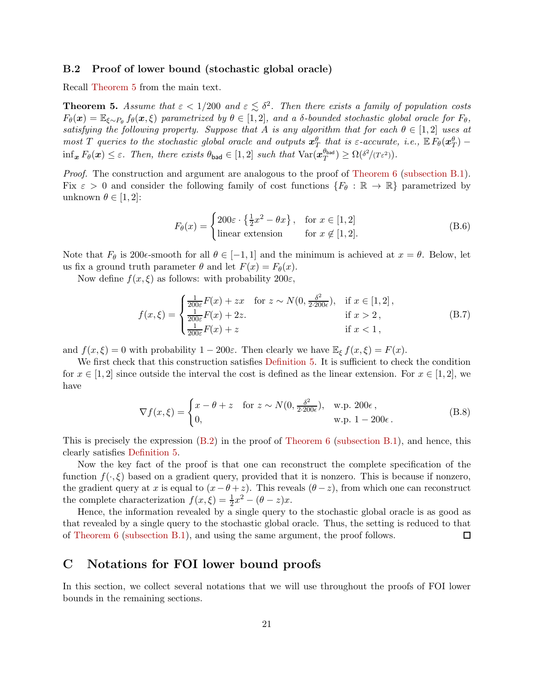### <span id="page-20-0"></span>B.2 Proof of lower bound (stochastic global oracle)

Recall [Theorem 5](#page-11-2) from the main text.

**Theorem 5.** Assume that  $\varepsilon < 1/200$  and  $\varepsilon \leq \delta^2$ . Then there exists a family of population costs  $F_{\theta}(\boldsymbol{x}) = \mathbb{E}_{\xi \sim P_{\theta}} f_{\theta}(\boldsymbol{x}, \xi)$  parametrized by  $\theta \in [1, 2]$ , and a δ-bounded stochastic global oracle for  $F_{\theta}$ , satisfying the following property. Suppose that A is any algorithm that for each  $\theta \in [1,2]$  uses at most T queries to the stochastic global oracle and outputs  $x_T^{\theta}$  that is  $\varepsilon$ -accurate, i.e.,  $\mathbb{E}\tilde{F}_{\theta}(x_T^{\theta})$  - $\inf_{\bm{x}} F_{\theta}(\bm{x}) \leq \varepsilon$ . Then, there exists  $\theta_{bad} \in [1,2]$  such that  $\text{Var}(\bm{x}_T^{\theta_{bad}})$  $T^{(b_{\text{bad}})} \geq \Omega(\delta^2/(T\varepsilon^2)).$ 

Proof. The construction and argument are analogous to the proof of [Theorem 6](#page-17-0) [\(subsection B.1\)](#page-17-2). Fix  $\varepsilon > 0$  and consider the following family of cost functions  $\{F_\theta : \mathbb{R} \to \mathbb{R}\}\$  parametrized by unknown  $\theta \in [1, 2]$ :

$$
F_{\theta}(x) = \begin{cases} 200\varepsilon \cdot \left\{\frac{1}{2}x^2 - \theta x\right\}, & \text{for } x \in [1, 2] \\ \text{linear extension} & \text{for } x \notin [1, 2]. \end{cases}
$$
(B.6)

Note that  $F_{\theta}$  is 200 $\epsilon$ -smooth for all  $\theta \in [-1, 1]$  and the minimum is achieved at  $x = \theta$ . Below, let us fix a ground truth parameter  $\theta$  and let  $F(x) = F_{\theta}(x)$ .

Now define  $f(x,\xi)$  as follows: with probability  $200\varepsilon$ ,

$$
f(x,\xi) = \begin{cases} \frac{1}{200\varepsilon} F(x) + zx & \text{for } z \sim N(0, \frac{\delta^2}{2 \cdot 200\varepsilon}), & \text{if } x \in [1,2],\\ \frac{1}{200\varepsilon} F(x) + 2z & \text{if } x > 2,\\ \frac{1}{200\varepsilon} F(x) + z & \text{if } x < 1, \end{cases}
$$
(B.7)

and  $f(x,\xi) = 0$  with probability  $1 - 200\varepsilon$ . Then clearly we have  $\mathbb{E}_{\xi} f(x,\xi) = F(x)$ .

We first check that this construction satisfies [Definition 5.](#page-10-2) It is sufficient to check the condition for  $x \in [1, 2]$  since outside the interval the cost is defined as the linear extension. For  $x \in [1, 2]$ , we have

$$
\nabla f(x,\xi) = \begin{cases} x - \theta + z & \text{for } z \sim N(0, \frac{\delta^2}{2 \cdot 200\epsilon}), & \text{w.p. } 200\epsilon, \\ 0, & \text{w.p. } 1 - 200\epsilon. \end{cases}
$$
(B.8)

This is precisely the expression  $(B.2)$  in the proof of [Theorem 6](#page-17-0) [\(subsection B.1\)](#page-17-2), and hence, this clearly satisfies [Definition 5.](#page-10-2)

Now the key fact of the proof is that one can reconstruct the complete specification of the function  $f(\cdot,\xi)$  based on a gradient query, provided that it is nonzero. This is because if nonzero, the gradient query at x is equal to  $(x - \theta + z)$ . This reveals  $(\theta - z)$ , from which one can reconstruct the complete characterization  $f(x,\xi) = \frac{1}{2}x^2 - (\theta - z)x$ .

Hence, the information revealed by a single query to the stochastic global oracle is as good as that revealed by a single query to the stochastic global oracle. Thus, the setting is reduced to that of [Theorem 6](#page-17-0) [\(subsection B.1\)](#page-17-2), and using the same argument, the proof follows.  $\Box$ 

### <span id="page-20-1"></span>C Notations for FOI lower bound proofs

In this section, we collect several notations that we will use throughout the proofs of FOI lower bounds in the remaining sections.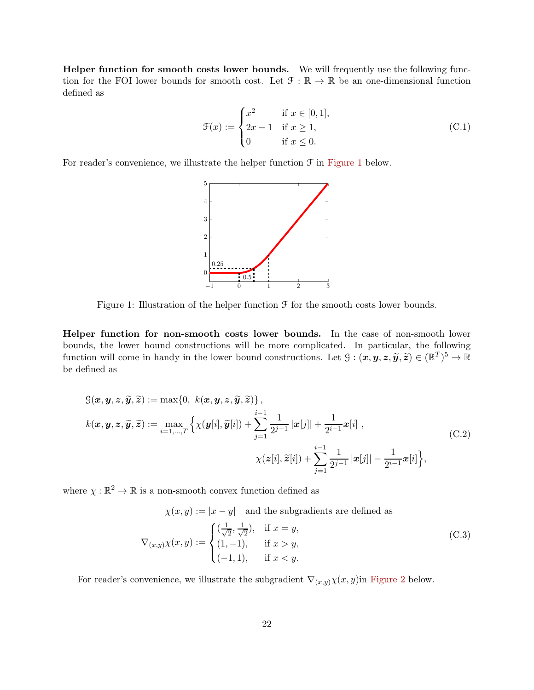Helper function for smooth costs lower bounds. We will frequently use the following function for the FOI lower bounds for smooth cost. Let  $\mathcal{F} : \mathbb{R} \to \mathbb{R}$  be an one-dimensional function defined as

<span id="page-21-1"></span>
$$
\mathcal{F}(x) := \begin{cases} x^2 & \text{if } x \in [0, 1], \\ 2x - 1 & \text{if } x \ge 1, \\ 0 & \text{if } x \le 0. \end{cases}
$$
 (C.1)

<span id="page-21-0"></span>For reader's convenience, we illustrate the helper function  $\mathcal F$  in [Figure 1](#page-21-0) below.



Figure 1: Illustration of the helper function  $\mathcal F$  for the smooth costs lower bounds.

Helper function for non-smooth costs lower bounds. In the case of non-smooth lower bounds, the lower bound constructions will be more complicated. In particular, the following function will come in handy in the lower bound constructions. Let  $\mathcal{G} : (\mathbf{x}, \mathbf{y}, \mathbf{z}, \widetilde{\mathbf{y}}, \widetilde{\mathbf{z}}) \in (\mathbb{R}^T)^5 \to \mathbb{R}$ be defined as

$$
G(\boldsymbol{x}, \boldsymbol{y}, \boldsymbol{z}, \widetilde{\boldsymbol{y}}, \widetilde{\boldsymbol{z}}) := \max\{0, \ k(\boldsymbol{x}, \boldsymbol{y}, \boldsymbol{z}, \widetilde{\boldsymbol{y}}, \widetilde{\boldsymbol{z}})\},
$$
  
\n
$$
k(\boldsymbol{x}, \boldsymbol{y}, \boldsymbol{z}, \widetilde{\boldsymbol{y}}, \widetilde{\boldsymbol{z}}) := \max_{i=1,\dots,T} \left\{ \chi(\boldsymbol{y}[i], \widetilde{\boldsymbol{y}}[i]) + \sum_{j=1}^{i-1} \frac{1}{2^{j-1}} |\boldsymbol{x}[j]| + \frac{1}{2^{i-1}} \boldsymbol{x}[i] ,
$$
  
\n
$$
\chi(\boldsymbol{z}[i], \widetilde{\boldsymbol{z}}[i]) + \sum_{j=1}^{i-1} \frac{1}{2^{j-1}} |\boldsymbol{x}[j]| - \frac{1}{2^{i-1}} \boldsymbol{x}[i] \right\},
$$
\n(C.2)

where  $\chi : \mathbb{R}^2 \to \mathbb{R}$  is a non-smooth convex function defined as

<span id="page-21-2"></span>
$$
\chi(x, y) := |x - y| \text{ and the subgradients are defined as}
$$

$$
\nabla_{(x, y)} \chi(x, y) := \begin{cases} \left(\frac{1}{\sqrt{2}}, \frac{1}{\sqrt{2}}\right), & \text{if } x = y, \\ (1, -1), & \text{if } x > y, \\ (-1, 1), & \text{if } x < y. \end{cases}
$$
(C.3)

For reader's convenience, we illustrate the subgradient  $\nabla_{(x,y)}\chi(x,y)$ in [Figure 2](#page-22-2) below.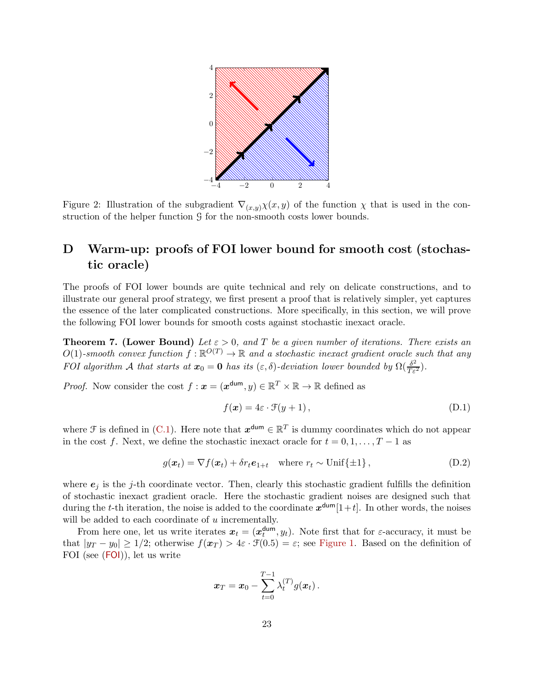<span id="page-22-2"></span>

Figure 2: Illustration of the subgradient  $\nabla_{(x,y)}\chi(x,y)$  of the function  $\chi$  that is used in the construction of the helper function G for the non-smooth costs lower bounds.

### <span id="page-22-0"></span>D Warm-up: proofs of FOI lower bound for smooth cost (stochastic oracle)

The proofs of FOI lower bounds are quite technical and rely on delicate constructions, and to illustrate our general proof strategy, we first present a proof that is relatively simpler, yet captures the essence of the later complicated constructions. More specifically, in this section, we will prove the following FOI lower bounds for smooth costs against stochastic inexact oracle.

<span id="page-22-1"></span>**Theorem 7.** (Lower Bound) Let  $\varepsilon > 0$ , and T be a given number of iterations. There exists an  $O(1)$ -smooth convex function  $f : \mathbb{R}^{O(T)} \to \mathbb{R}$  and a stochastic inexact gradient oracle such that any FOI algorithm A that starts at  $x_0 = 0$  has its  $(\varepsilon, \delta)$ -deviation lower bounded by  $\Omega(\frac{\delta^2}{T\varepsilon^2})$ .

*Proof.* Now consider the cost  $f : \mathbf{x} = (\mathbf{x}^{\text{dum}}, y) \in \mathbb{R}^T \times \mathbb{R} \to \mathbb{R}$  defined as

<span id="page-22-4"></span><span id="page-22-3"></span>
$$
f(\boldsymbol{x}) = 4\varepsilon \cdot \mathcal{F}(y+1), \tag{D.1}
$$

where  $\mathcal F$  is defined in [\(C.1\)](#page-21-1). Here note that  $x^{\text{dum}} \in \mathbb{R}^T$  is dummy coordinates which do not appear in the cost f. Next, we define the stochastic inexact oracle for  $t = 0, 1, \ldots, T - 1$  as

$$
g(\boldsymbol{x}_t) = \nabla f(\boldsymbol{x}_t) + \delta r_t \boldsymbol{e}_{1+t} \quad \text{where } r_t \sim \text{Unif}\{\pm 1\},\tag{D.2}
$$

where  $e_j$  is the j-th coordinate vector. Then, clearly this stochastic gradient fulfills the definition of stochastic inexact gradient oracle. Here the stochastic gradient noises are designed such that during the t-th iteration, the noise is added to the coordinate  $x^{\text{dum}}[1+t]$ . In other words, the noises will be added to each coordinate of  $u$  incrementally.

From here one, let us write iterates  $x_t = (x_t^{\text{dum}})$  $t_t^{\text{dum}}, y_t$ ). Note first that for  $\varepsilon$ -accuracy, it must be that  $|y_T - y_0| \ge 1/2$ ; otherwise  $f(x_T) > 4\varepsilon \cdot \mathcal{F}(0.5) = \varepsilon$ ; see [Figure 1.](#page-21-0) Based on the definition of FOI (see ([FOI](#page-5-1))), let us write

$$
\boldsymbol{x}_T = \boldsymbol{x}_0 - \sum_{t=0}^{T-1} \lambda_t^{(T)} g(\boldsymbol{x}_t) \,.
$$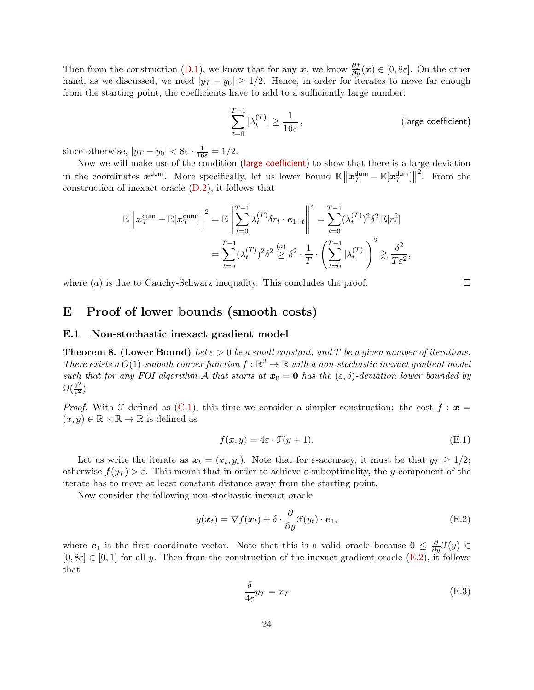Then from the construction [\(D.1\)](#page-22-3), we know that for any  $x$ , we know  $\frac{\partial f}{\partial y}(x) \in [0, \delta \varepsilon]$ . On the other hand, as we discussed, we need  $|y_T - y_0| \ge 1/2$ . Hence, in order for iterates to move far enough from the starting point, the coefficients have to add to a sufficiently large number:

<span id="page-23-3"></span>
$$
\sum_{t=0}^{T-1} |\lambda_t^{(T)}| \ge \frac{1}{16\varepsilon},
$$
 (large coefficient)

since otherwise,  $|y_T - y_0| < 8\varepsilon \cdot \frac{1}{16\varepsilon} = 1/2$ .

Now we will make use of the condition ([large coefficient](#page-23-3)) to show that there is a large deviation in the coordinates  $x^{\text{dum}}$ . More specifically, let us lower bound  $\mathbb{E} \|x_T^{\text{dum}} - \mathbb{E}[x_T^{\text{dum}}]$  $T$ <sup>dum</sup>] $\big\|^{2}$ . From the construction of inexact oracle [\(D.2\)](#page-22-4), it follows that

$$
\mathbb{E}\left\|\boldsymbol{x}_T^{\text{dum}} - \mathbb{E}[\boldsymbol{x}_T^{\text{dum}}]\right\|^2 = \mathbb{E}\left\|\sum_{t=0}^{T-1} \lambda_t^{(T)} \delta r_t \cdot \boldsymbol{e}_{1+t}\right\|^2 = \sum_{t=0}^{T-1} (\lambda_t^{(T)})^2 \delta^2 \mathbb{E}[r_t^2]
$$

$$
= \sum_{t=0}^{T-1} (\lambda_t^{(T)})^2 \delta^2 \stackrel{(a)}{\geq} \delta^2 \cdot \frac{1}{T} \cdot \left(\sum_{t=0}^{T-1} |\lambda_t^{(T)}|\right)^2 \gtrsim \frac{\delta^2}{T\varepsilon^2},
$$

where  $(a)$  is due to Cauchy-Schwarz inequality. This concludes the proof.

### <span id="page-23-1"></span>E Proof of lower bounds (smooth costs)

#### <span id="page-23-2"></span>E.1 Non-stochastic inexact gradient model

<span id="page-23-0"></span>**Theorem 8. (Lower Bound)** Let  $\varepsilon > 0$  be a small constant, and T be a given number of iterations. There exists a  $O(1)$ -smooth convex function  $f : \mathbb{R}^2 \to \mathbb{R}$  with a non-stochastic inexact gradient model such that for any FOI algorithm A that starts at  $x_0 = 0$  has the  $(\varepsilon, \delta)$ -deviation lower bounded by  $\Omega(\frac{\delta^2}{\varepsilon^2})$  $\frac{\delta^2}{\varepsilon^2}$ ).

*Proof.* With F defined as [\(C.1\)](#page-21-1), this time we consider a simpler construction: the cost  $f : x =$  $(x, y) \in \mathbb{R} \times \mathbb{R} \to \mathbb{R}$  is defined as

$$
f(x, y) = 4\varepsilon \cdot \mathcal{F}(y + 1). \tag{E.1}
$$

Let us write the iterate as  $x_t = (x_t, y_t)$ . Note that for  $\varepsilon$ -accuracy, it must be that  $y_T \ge 1/2$ ; otherwise  $f(y_T) > \varepsilon$ . This means that in order to achieve  $\varepsilon$ -suboptimality, the y-component of the iterate has to move at least constant distance away from the starting point.

Now consider the following non-stochastic inexact oracle

$$
g(\boldsymbol{x}_t) = \nabla f(\boldsymbol{x}_t) + \delta \cdot \frac{\partial}{\partial y} \mathcal{F}(y_t) \cdot \boldsymbol{e}_1,
$$
\n(E.2)

where  $e_1$  is the first coordinate vector. Note that this is a valid oracle because  $0 \leq \frac{\partial}{\partial y} \mathcal{F}(y) \in$  $[0, 8\varepsilon] \in [0, 1]$  for all y. Then from the construction of the inexact gradient oracle [\(E.2\)](#page-23-4), it follows that

<span id="page-23-5"></span><span id="page-23-4"></span>
$$
\frac{\delta}{4\varepsilon}y_T = x_T \tag{E.3}
$$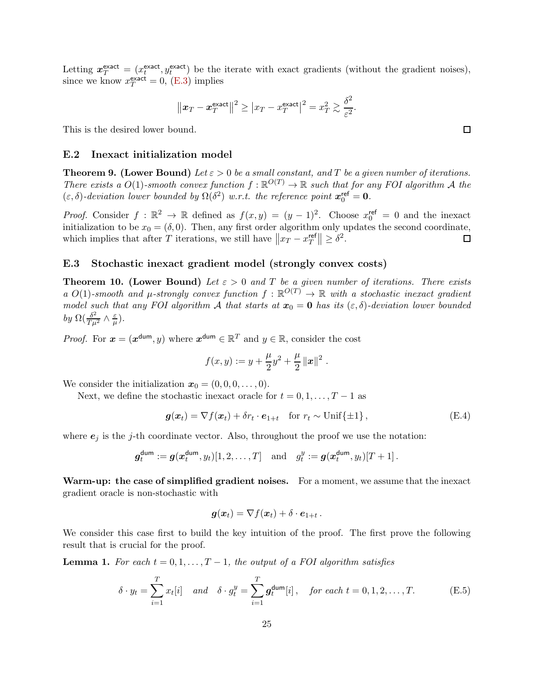Letting  $x_T^{\text{exact}} = (x_t^{\text{exact}})$  $t^{\text{exact}}$ ,  $y_t^{\text{exact}}$  be the iterate with exact gradients (without the gradient noises), since we know  $x_T^{\text{exact}} = 0$ , [\(E.3\)](#page-23-5) implies

$$
\left\|\boldsymbol{x}_T - \boldsymbol{x}_T^{\text{exact}}\right\|^2 \ge \left|x_T - x_T^{\text{exact}}\right|^2 = x_T^2 \gtrsim \frac{\delta^2}{\varepsilon^2}
$$

.

<span id="page-24-0"></span>This is the desired lower bound.

#### E.2 Inexact initialization model

<span id="page-24-2"></span>**Theorem 9.** (Lower Bound) Let  $\varepsilon > 0$  be a small constant, and T be a given number of iterations. There exists a  $O(1)$ -smooth convex function  $f : \mathbb{R}^{O(T)} \to \mathbb{R}$  such that for any FOI algorithm A the  $(\varepsilon, \delta)$ -deviation lower bounded by  $\Omega(\delta^2)$  w.r.t. the reference point  $x_0^{\text{ref}} = 0$ .

*Proof.* Consider  $f : \mathbb{R}^2 \to \mathbb{R}$  defined as  $f(x, y) = (y - 1)^2$ . Choose  $x_0^{\text{ref}} = 0$  and the inexact initialization to be  $x_0 = (\delta, 0)$ . Then, any first order algorithm only updates the second coordinate, which implies that after T iterations, we still have  $||x_T - x_T^{\text{ref}}||$  $\left| \frac{\text{ref}}{T} \right| \geq \delta^2.$  $\Box$ 

#### <span id="page-24-1"></span>E.3 Stochastic inexact gradient model (strongly convex costs)

<span id="page-24-3"></span>**Theorem 10. (Lower Bound)** Let  $\varepsilon > 0$  and T be a given number of iterations. There exists a  $O(1)$ -smooth and  $\mu$ -strongly convex function  $f : \mathbb{R}^{O(T)} \to \mathbb{R}$  with a stochastic inexact gradient model such that any FOI algorithm A that starts at  $x_0 = 0$  has its  $(\varepsilon, \delta)$ -deviation lower bounded by  $\Omega(\frac{\delta^2}{T\mu^2} \wedge \frac{\varepsilon}{\mu})$  $\frac{\varepsilon}{\mu}).$ 

*Proof.* For  $x = (x^{\text{dum}}, y)$  where  $x^{\text{dum}} \in \mathbb{R}^T$  and  $y \in \mathbb{R}$ , consider the cost

<span id="page-24-5"></span>
$$
f(x,y) := y + \frac{\mu}{2}y^2 + \frac{\mu}{2} ||x||^2
$$
.

We consider the initialization  $x_0 = (0, 0, 0, \ldots, 0)$ .

Next, we define the stochastic inexact oracle for  $t = 0, 1, \ldots, T - 1$  as

$$
\boldsymbol{g}(\boldsymbol{x}_t) = \nabla f(\boldsymbol{x}_t) + \delta r_t \cdot \boldsymbol{e}_{1+t} \quad \text{for } r_t \sim \text{Unif}\{\pm 1\},\tag{E.4}
$$

where  $e_i$  is the j-th coordinate vector. Also, throughout the proof we use the notation:

$$
g_t^{\text{dum}} := g(x_t^{\text{dum}}, y_t)[1, 2, \dots, T] \text{ and } g_t^y := g(x_t^{\text{dum}}, y_t)[T + 1].
$$

Warm-up: the case of simplified gradient noises. For a moment, we assume that the inexact gradient oracle is non-stochastic with

$$
\boldsymbol{g}(\boldsymbol{x}_t) = \nabla f(\boldsymbol{x}_t) + \delta \cdot \boldsymbol{e}_{1+t} \,.
$$

We consider this case first to build the key intuition of the proof. The first prove the following result that is crucial for the proof.

<span id="page-24-4"></span>**Lemma 1.** For each  $t = 0, 1, ..., T-1$ , the output of a FOI algorithm satisfies

$$
\delta \cdot y_t = \sum_{i=1}^T x_t[i] \quad and \quad \delta \cdot g_t^y = \sum_{i=1}^T \mathbf{g}_t^{\text{dum}}[i], \quad \text{for each } t = 0, 1, 2, \dots, T. \tag{E.5}
$$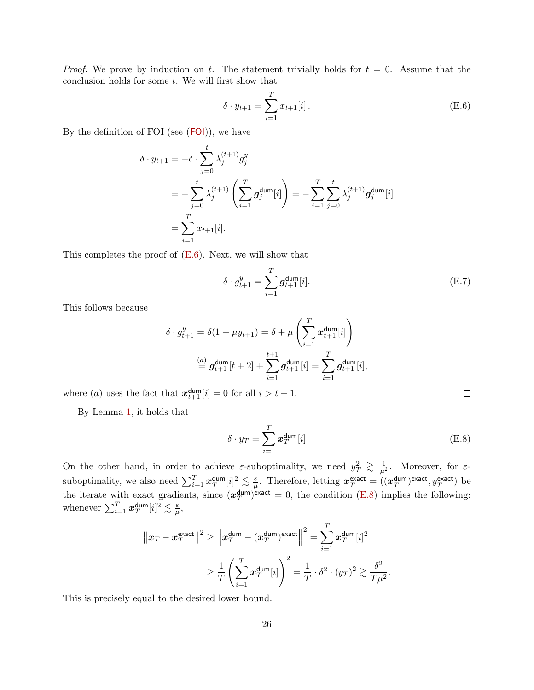*Proof.* We prove by induction on t. The statement trivially holds for  $t = 0$ . Assume that the conclusion holds for some  $t$ . We will first show that

<span id="page-25-0"></span>
$$
\delta \cdot y_{t+1} = \sum_{i=1}^{T} x_{t+1}[i].
$$
 (E.6)

By the definition of [FOI](#page-5-1) (see  $(FOI)$ ), we have

$$
\delta \cdot y_{t+1} = -\delta \cdot \sum_{j=0}^{t} \lambda_j^{(t+1)} g_j^y
$$
  
=  $-\sum_{j=0}^{t} \lambda_j^{(t+1)} \left( \sum_{i=1}^{T} g_j^{\text{dum}}[i] \right) = -\sum_{i=1}^{T} \sum_{j=0}^{t} \lambda_j^{(t+1)} g_j^{\text{dum}}[i]$   
=  $\sum_{i=1}^{T} x_{t+1}[i].$ 

This completes the proof of  $(E.6)$ . Next, we will show that

$$
\delta \cdot g_{t+1}^y = \sum_{i=1}^T g_{t+1}^{\text{dum}}[i].
$$
 (E.7)

This follows because

$$
\delta \cdot g_{t+1}^y = \delta(1 + \mu y_{t+1}) = \delta + \mu \left( \sum_{i=1}^T x_{t+1}^{\dim}[i] \right)
$$

$$
\stackrel{(a)}{=} g_{t+1}^{\dim}[t+2] + \sum_{i=1}^{t+1} g_{t+1}^{\dim}[i] = \sum_{i=1}^T g_{t+1}^{\dim}[i],
$$

where (*a*) uses the fact that  $x_{t+1}^{\text{dum}}[i] = 0$  for all  $i > t+1$ .

By Lemma [1,](#page-24-4) it holds that

$$
\delta \cdot y_T = \sum_{i=1}^T x_T^{\text{dum}}[i] \tag{E.8}
$$

.

<span id="page-25-1"></span> $\Box$ 

On the other hand, in order to achieve  $\varepsilon$ -suboptimality, we need  $y_T^2 \geq \frac{1}{\mu^2}$ . Moreover, for  $\varepsilon$ suboptimality, we also need  $\sum_{i=1}^{T} x_T^{\text{dum}}$  $_{T}^{\sf dum}[i]^{2} \lesssim \frac{\varepsilon}{\mu}$  $\frac{\varepsilon}{\mu}$ . Therefore, letting  $\boldsymbol{x}_T^{\text{exact}} = ((\boldsymbol{x}_T^{\text{dum}})$  $\frac{d \text{um}}{T}$ <sup>exact</sup>,  $y_T^{\text{exact}}$ ) be the iterate with exact gradients, since  $(x_T^{\text{dum}})$  $\binom{dum}{T}$  exact = 0, the condition [\(E.8\)](#page-25-1) implies the following: whenever  $\sum_{i=1}^T \bm{x}_T^{\mathsf{dum}}$  $_{T}^{\sf dum}[i]^{2} \lesssim \frac{\varepsilon}{\mu}$  $\frac{\varepsilon}{\mu},$ 

$$
\|x_T - x_T^{\text{exact}}\|^2 \ge \|x_T^{\text{dum}} - (x_T^{\text{dum}})^{\text{exact}}\|^2 = \sum_{i=1}^T x_T^{\text{dum}}[i]^2
$$

$$
\ge \frac{1}{T} \left(\sum_{i=1}^T x_T^{\text{dum}}[i]\right)^2 = \frac{1}{T} \cdot \delta^2 \cdot (y_T)^2 \gtrsim \frac{\delta^2}{T\mu^2}
$$

This is precisely equal to the desired lower bound.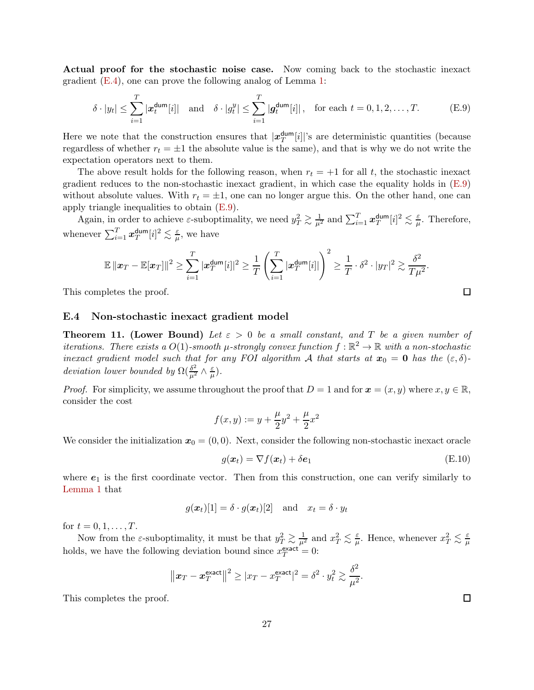Actual proof for the stochastic noise case. Now coming back to the stochastic inexact gradient [\(E.4\)](#page-24-5), one can prove the following analog of Lemma [1:](#page-24-4)

<span id="page-26-2"></span>
$$
\delta \cdot |y_t| \le \sum_{i=1}^T |\boldsymbol{x}_t^{\text{dum}}[i]| \quad \text{and} \quad \delta \cdot |g_t^y| \le \sum_{i=1}^T |\boldsymbol{g}_t^{\text{dum}}[i]| \,, \quad \text{for each } t = 0, 1, 2, \dots, T. \tag{E.9}
$$

Here we note that the construction ensures that  $|x_T^{\text{dum}}|$  $T<sup>dum</sup>[i]|$ 's are deterministic quantities (because regardless of whether  $r_t = \pm 1$  the absolute value is the same), and that is why we do not write the expectation operators next to them.

The above result holds for the following reason, when  $r_t = +1$  for all t, the stochastic inexact gradient reduces to the non-stochastic inexact gradient, in which case the equality holds in [\(E.9\)](#page-26-2) without absolute values. With  $r_t = \pm 1$ , one can no longer argue this. On the other hand, one can apply triangle inequalities to obtain [\(E.9\)](#page-26-2).

Again, in order to achieve  $\varepsilon$ -suboptimality, we need  $y_T^2 \gtrsim \frac{1}{\mu^2}$  and  $\sum_{i=1}^T \boldsymbol{x}_T^{\text{dum}}$  $_{T}^{\mathsf{dum}}[i]^{2}\lesssim\frac{\varepsilon}{\mu}$  $\frac{\varepsilon}{\mu}$ . Therefore, whenever  $\sum_{i=1}^T \bm{x}_T^{\mathsf{dum}}$  $_{T}^{\sf dum}[i]^{2} \lesssim \frac{\varepsilon}{\mu}$  $\frac{\varepsilon}{\mu}$ , we have

$$
\mathbb{E} \left\| \boldsymbol{x}_T - \mathbb{E}[\boldsymbol{x}_T] \right\|^2 \geq \sum_{i=1}^T |\boldsymbol{x}_T^{\text{dum}}[i]|^2 \geq \frac{1}{T} \left( \sum_{i=1}^T |\boldsymbol{x}_T^{\text{dum}}[i]| \right)^2 \geq \frac{1}{T} \cdot \delta^2 \cdot |y_T|^2 \gtrsim \frac{\delta^2}{T\mu^2}.
$$

<span id="page-26-0"></span>This completes the proof.

#### E.4 Non-stochastic inexact gradient model

<span id="page-26-1"></span>**Theorem 11. (Lower Bound)** Let  $\varepsilon > 0$  be a small constant, and T be a given number of iterations. There exists a  $O(1)$ -smooth  $\mu$ -strongly convex function  $f : \mathbb{R}^2 \to \mathbb{R}$  with a non-stochastic inexact gradient model such that for any FOI algorithm A that starts at  $x_0 = 0$  has the  $(\varepsilon, \delta)$ deviation lower bounded by  $\Omega(\frac{\delta^2}{\mu^2} \wedge \frac{\varepsilon}{\mu})$  $\frac{\varepsilon}{\mu}).$ 

*Proof.* For simplicity, we assume throughout the proof that  $D = 1$  and for  $x = (x, y)$  where  $x, y \in \mathbb{R}$ , consider the cost

$$
f(x,y) := y + \frac{\mu}{2}y^2 + \frac{\mu}{2}x^2
$$

We consider the initialization  $x_0 = (0, 0)$ . Next, consider the following non-stochastic inexact oracle

$$
g(\boldsymbol{x}_t) = \nabla f(\boldsymbol{x}_t) + \delta \boldsymbol{e}_1 \tag{E.10}
$$

where  $e_1$  is the first coordinate vector. Then from this construction, one can verify similarly to [Lemma 1](#page-24-4) that

$$
g(\boldsymbol{x}_t)[1] = \delta \cdot g(\boldsymbol{x}_t)[2]
$$
 and  $x_t = \delta \cdot y_t$ 

for  $t = 0, 1, ..., T$ .

Now from the *ε*-suboptimality, it must be that  $y_T^2 \gtrsim \frac{1}{\mu^2}$  and  $x_T^2 \lesssim \frac{\varepsilon}{\mu}$  $\frac{\varepsilon}{\mu}$ . Hence, whenever  $x_T^2 \lesssim \frac{\varepsilon}{\mu}$  $\overline{\mu}$ holds, we have the following deviation bound since  $x_T^{\text{exact}} = 0$ :

$$
\|\boldsymbol{x}_T - \boldsymbol{x}_T^{\text{exact}}\|^2 \geq |x_T - x_T^{\text{exact}}|^2 = \delta^2 \cdot y_t^2 \gtrsim \frac{\delta^2}{\mu^2}.
$$

This completes the proof.

 $\Box$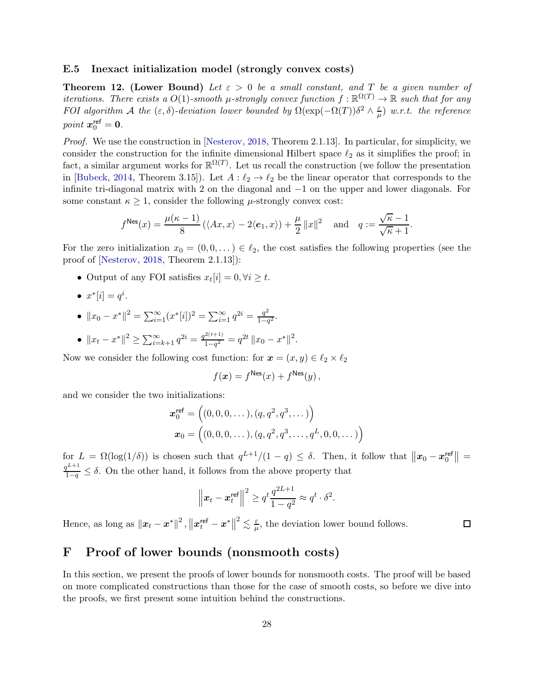### <span id="page-27-0"></span>E.5 Inexact initialization model (strongly convex costs)

<span id="page-27-2"></span>**Theorem 12. (Lower Bound)** Let  $\varepsilon > 0$  be a small constant, and T be a given number of iterations. There exists a  $O(1)$ -smooth  $\mu$ -strongly convex function  $f : \mathbb{R}^{\Omega(T)} \to \mathbb{R}$  such that for any FOI algorithm A the  $(\varepsilon, \delta)$ -deviation lower bounded by  $\Omega(\exp(-\Omega(T))\delta^2 \wedge \frac{\varepsilon}{\mu})$  $\frac{\varepsilon}{\mu}$ ) w.r.t. the reference point  $x_0^{\text{ref}} = 0$ .

Proof. We use the construction in [\[Nesterov](#page-13-4), [2018](#page-13-4), Theorem 2.1.13]. In particular, for simplicity, we consider the construction for the infinite dimensional Hilbert space  $\ell_2$  as it simplifies the proof; in fact, a similar argument works for  $\mathbb{R}^{\Omega(T)}$ . Let us recall the construction (we follow the presentation in [\[Bubeck](#page-12-11), [2014](#page-12-11), Theorem 3.15]). Let  $A: \ell_2 \to \ell_2$  be the linear operator that corresponds to the infinite tri-diagonal matrix with 2 on the diagonal and −1 on the upper and lower diagonals. For some constant  $\kappa \geq 1$ , consider the following  $\mu$ -strongly convex cost:

$$
f^{\text{Nes}}(x) = \frac{\mu(\kappa - 1)}{8} \left( \langle Ax, x \rangle - 2 \langle e_1, x \rangle \right) + \frac{\mu}{2} ||x||^2 \quad \text{and} \quad q := \frac{\sqrt{\kappa} - 1}{\sqrt{\kappa} + 1}.
$$

For the zero initialization  $x_0 = (0, 0, ...) \in \ell_2$ , the cost satisfies the following properties (see the proof of [\[Nesterov](#page-13-4), [2018](#page-13-4), Theorem 2.1.13]):

- Output of any FOI satisfies  $x_t[i] = 0, \forall i \geq t$ .
- $x^*[i] = q^i$ .
- $||x_0 x^*||^2 = \sum_{i=1}^{\infty} (x^*[i])^2 = \sum_{i=1}^{\infty} q^{2i} = \frac{q^2}{1-q^2}$  $\frac{q}{1-q^2}$ .
- $||x_t x^*||^2 \ge \sum_{i=k+1}^{\infty} q^{2i} = \frac{q^{2(t+1)}}{1-q^2}$  $\frac{2(t+1)}{1-q^2} = q^{2t} \|x_0 - x^*\|^2.$

Now we consider the following cost function: for  $\mathbf{x} = (x, y) \in \ell_2 \times \ell_2$ 

$$
f(\mathbf{x}) = f^{\text{Nes}}(x) + f^{\text{Nes}}(y)\,,
$$

and we consider the two initializations:

$$
\mathbf{x}_0^{\text{ref}} = ((0, 0, 0, \dots), (q, q^2, q^3, \dots))
$$

$$
\mathbf{x}_0 = ((0, 0, 0, \dots), (q, q^2, q^3, \dots, q^L, 0, 0, \dots))
$$

for  $L = \Omega(\log(1/\delta))$  is chosen such that  $q^{L+1}/(1-q) \leq \delta$ . Then, it follow that  $||x_0 - x_0^{\text{ref}}||$  $\binom{ref}{0}$  =  $\frac{q^{L+1}}{1-q} \leq \delta$ . On the other hand, it follows from the above property that

$$
\left\|\boldsymbol{x}_t-\boldsymbol{x}_t^{\text{ref}}\right\|^2 \geq q^t \frac{q^{2L+1}}{1-q^2} \approx q^t \cdot \delta^2.
$$

 $\Box$ 

Hence, as long as  $\left\|\bm{x}_t-\bm{x}^*\right\|^2$  ,  $\left\|\bm{x}^{\mathsf{ref}}_t-\bm{x}^*\right\|^2 \lesssim \frac{\varepsilon}{\mu}$  $\frac{\varepsilon}{\mu}$ , the deviation lower bound follows.

### <span id="page-27-1"></span>F Proof of lower bounds (nonsmooth costs)

In this section, we present the proofs of lower bounds for nonsmooth costs. The proof will be based on more complicated constructions than those for the case of smooth costs, so before we dive into the proofs, we first present some intuition behind the constructions.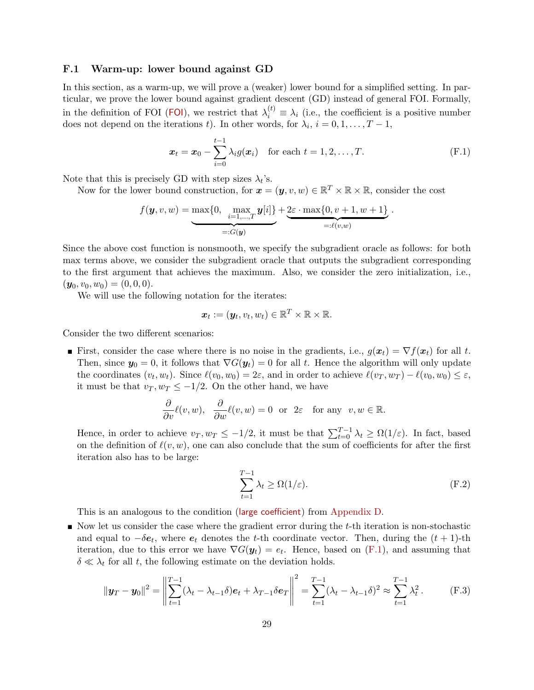### <span id="page-28-0"></span>F.1 Warm-up: lower bound against GD

In this section, as a warm-up, we will prove a (weaker) lower bound for a simplified setting. In particular, we prove the lower bound against gradient descent (GD) instead of general FOI. Formally, in the definition of [FOI](#page-5-1) (FOI), we restrict that  $\lambda_i^{(t)} \equiv \lambda_i$  (i.e., the coefficient is a positive number does not depend on the iterations t). In other words, for  $\lambda_i$ ,  $i = 0, 1, \ldots, T - 1$ ,

<span id="page-28-1"></span>
$$
\boldsymbol{x}_t = \boldsymbol{x}_0 - \sum_{i=0}^{t-1} \lambda_i g(\boldsymbol{x}_i) \quad \text{for each } t = 1, 2, \dots, T.
$$
 (F.1)

Note that this is precisely GD with step sizes  $\lambda_t$ 's.

Now for the lower bound construction, for  $\mathbf{x} = (\mathbf{y}, v, w) \in \mathbb{R}^T \times \mathbb{R} \times \mathbb{R}$ , consider the cost

$$
f(\mathbf{y}, v, w) = \underbrace{\max\{0, \max_{i=1,\dots,T} \mathbf{y}[i]\}}_{=:G(\mathbf{y})} + \underbrace{2\varepsilon \cdot \max\{0, v+1, w+1\}}_{=: \ell(v,w)}.
$$

Since the above cost function is nonsmooth, we specify the subgradient oracle as follows: for both max terms above, we consider the subgradient oracle that outputs the subgradient corresponding to the first argument that achieves the maximum. Also, we consider the zero initialization, i.e.,  $(\mathbf{y}_0, v_0, w_0) = (0, 0, 0).$ 

We will use the following notation for the iterates:

$$
\boldsymbol{x}_t := (\boldsymbol{y}_t, v_t, w_t) \in \mathbb{R}^T \times \mathbb{R} \times \mathbb{R}.
$$

Consider the two different scenarios:

First, consider the case where there is no noise in the gradients, i.e.,  $q(x_t) = \nabla f(x_t)$  for all t. Then, since  $y_0 = 0$ , it follows that  $\nabla G(y_t) = 0$  for all t. Hence the algorithm will only update the coordinates  $(v_t, w_t)$ . Since  $\ell(v_0, w_0) = 2\varepsilon$ , and in order to achieve  $\ell(v_T, w_T) - \ell(v_0, w_0) \le \varepsilon$ , it must be that  $v_T, w_T \leq -1/2$ . On the other hand, we have

$$
\frac{\partial}{\partial v}\ell(v,w), \quad \frac{\partial}{\partial w}\ell(v,w) = 0 \quad \text{or} \quad 2\varepsilon \quad \text{for any} \quad v, w \in \mathbb{R}.
$$

Hence, in order to achieve  $v_T, w_T \leq -1/2$ , it must be that  $\sum_{t=0}^{T-1} \lambda_t \geq \Omega(1/\varepsilon)$ . In fact, based on the definition of  $\ell(v, w)$ , one can also conclude that the sum of coefficients for after the first iteration also has to be large:

<span id="page-28-3"></span><span id="page-28-2"></span>
$$
\sum_{t=1}^{T-1} \lambda_t \ge \Omega(1/\varepsilon). \tag{F.2}
$$

This is an analogous to the condition ([large coefficient](#page-23-3)) from [Appendix D.](#page-22-0)

 $\blacksquare$  Now let us consider the case where the gradient error during the t-th iteration is non-stochastic and equal to  $-\delta e_t$ , where  $e_t$  denotes the t-th coordinate vector. Then, during the  $(t + 1)$ -th iteration, due to this error we have  $\nabla G(\mathbf{y}_t) = e_t$ . Hence, based on [\(F.1\)](#page-28-1), and assuming that  $\delta \ll \lambda_t$  for all t, the following estimate on the deviation holds.

$$
\|\mathbf{y}_T - \mathbf{y}_0\|^2 = \left\|\sum_{t=1}^{T-1} (\lambda_t - \lambda_{t-1}\delta)\mathbf{e}_t + \lambda_{T-1}\delta\mathbf{e}_T\right\|^2 = \sum_{t=1}^{T-1} (\lambda_t - \lambda_{t-1}\delta)^2 \approx \sum_{t=1}^{T-1} \lambda_t^2.
$$
 (F.3)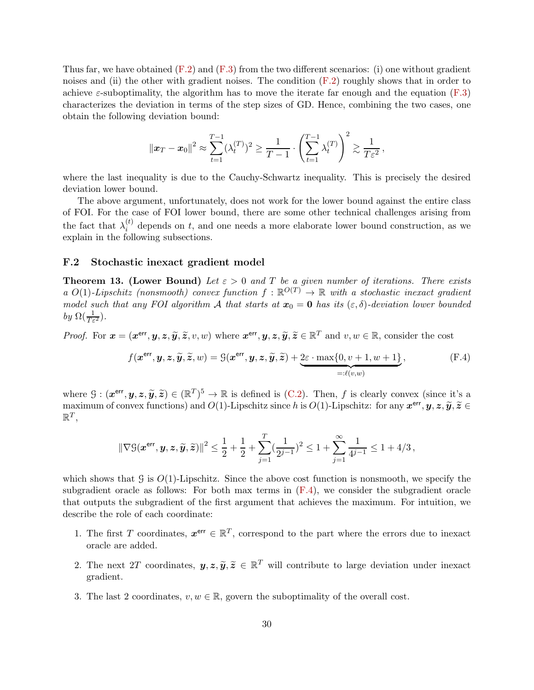Thus far, we have obtained  $(F.2)$  and  $(F.3)$  from the two different scenarios: (i) one without gradient noises and (ii) the other with gradient noises. The condition  $(F.2)$  roughly shows that in order to achieve  $\varepsilon$ -suboptimality, the algorithm has to move the iterate far enough and the equation [\(F.3\)](#page-28-3) characterizes the deviation in terms of the step sizes of GD. Hence, combining the two cases, one obtain the following deviation bound:

$$
\|\boldsymbol{x}_T - \boldsymbol{x}_0\|^2 \approx \sum_{t=1}^{T-1} (\lambda_t^{(T)})^2 \ge \frac{1}{T-1} \cdot \left(\sum_{t=1}^{T-1} \lambda_t^{(T)}\right)^2 \gtrsim \frac{1}{T\epsilon^2},
$$

where the last inequality is due to the Cauchy-Schwartz inequality. This is precisely the desired deviation lower bound.

The above argument, unfortunately, does not work for the lower bound against the entire class of FOI. For the case of FOI lower bound, there are some other technical challenges arising from the fact that  $\lambda_i^{(t)}$  $i<sup>(t)</sup>$  depends on t, and one needs a more elaborate lower bound construction, as we explain in the following subsections.

#### <span id="page-29-0"></span>F.2 Stochastic inexact gradient model

<span id="page-29-1"></span>**Theorem 13. (Lower Bound)** Let  $\varepsilon > 0$  and T be a given number of iterations. There exists a  $O(1)$ -Lipschitz (nonsmooth) convex function  $f : \mathbb{R}^{O(T)} \to \mathbb{R}$  with a stochastic inexact gradient model such that any FOI algorithm A that starts at  $x_0 = 0$  has its  $(\varepsilon, \delta)$ -deviation lower bounded by  $\Omega(\frac{1}{T\varepsilon^2})$ .

*Proof.* For  $\mathbf{x} = (\mathbf{x}^{\text{err}}, \mathbf{y}, \mathbf{z}, \widetilde{\mathbf{y}}, \widetilde{\mathbf{z}}, v, w)$  where  $\mathbf{x}^{\text{err}}, \mathbf{y}, \mathbf{z}, \widetilde{\mathbf{y}}, \widetilde{\mathbf{z}} \in \mathbb{R}^T$  and  $v, w \in \mathbb{R}$ , consider the cost

<span id="page-29-2"></span>
$$
f(\boldsymbol{x}^{\text{err}}, \boldsymbol{y}, \boldsymbol{z}, \widetilde{\boldsymbol{y}}, \widetilde{\boldsymbol{z}}, w) = \mathcal{G}(\boldsymbol{x}^{\text{err}}, \boldsymbol{y}, \boldsymbol{z}, \widetilde{\boldsymbol{y}}, \widetilde{\boldsymbol{z}}) + \underbrace{2\varepsilon \cdot \max\{0, v + 1, w + 1\}}_{=: \ell(v, w)},
$$
(F.4)

where  $G: (\mathbf{x}^{\text{err}}, \mathbf{y}, \mathbf{z}, \widetilde{\mathbf{y}}, \widetilde{\mathbf{z}}) \in (\mathbb{R}^T)^5 \to \mathbb{R}$  is defined is [\(C.2\)](#page-21-2). Then, f is clearly convex (since it's a  $\text{maximum of convex functions}$  and  $O(1)$ -Lipschitz since h is  $O(1)$ -Lipschitz: for any  $\mathbf{x}^{\text{err}}, \mathbf{y}, \mathbf{z}, \widetilde{\mathbf{y}}, \widetilde{\mathbf{z}} \in \mathbb{R}^T$  $\mathbb{R}^T$ 

$$
\|\nabla \mathcal{G}(\mathbf{\boldsymbol{x}^{err},\boldsymbol{y},\boldsymbol{z},\widetilde{\boldsymbol{y}},\widetilde{\boldsymbol{z}}})\|^2 \leq \frac{1}{2} + \frac{1}{2} + \sum_{j=1}^T (\frac{1}{2^{j-1}})^2 \leq 1 + \sum_{j=1}^\infty \frac{1}{4^{j-1}} \leq 1 + 4/3 \,,
$$

which shows that G is  $O(1)$ -Lipschitz. Since the above cost function is nonsmooth, we specify the subgradient oracle as follows: For both max terms in  $(F.4)$ , we consider the subgradient oracle that outputs the subgradient of the first argument that achieves the maximum. For intuition, we describe the role of each coordinate:

- 1. The first T coordinates,  $x^{err} \in \mathbb{R}^T$ , correspond to the part where the errors due to inexact oracle are added.
- 2. The next 2T coordinates,  $y, z, \tilde{y}, \tilde{z} \in \mathbb{R}^T$  will contribute to large deviation under inexact gradient.
- 3. The last 2 coordinates,  $v, w \in \mathbb{R}$ , govern the suboptimality of the overall cost.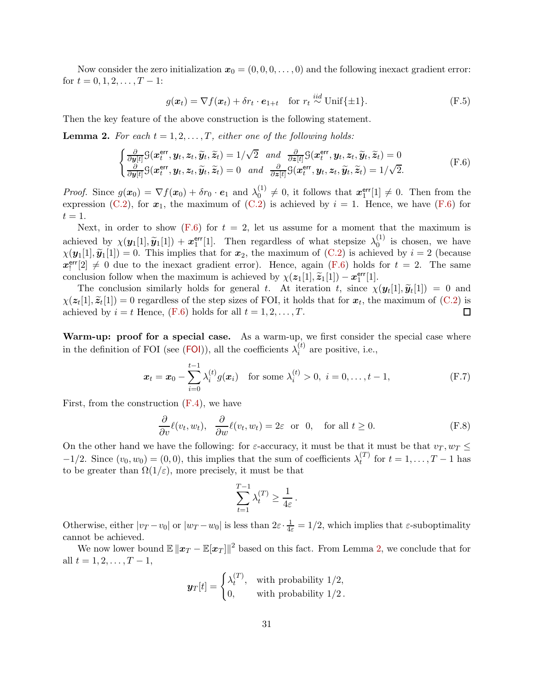Now consider the zero initialization  $x_0 = (0, 0, 0, \ldots, 0)$  and the following inexact gradient error: for  $t = 0, 1, 2, \ldots, T - 1$ :

<span id="page-30-2"></span><span id="page-30-0"></span>
$$
g(\boldsymbol{x}_t) = \nabla f(\boldsymbol{x}_t) + \delta r_t \cdot \boldsymbol{e}_{1+t} \quad \text{for } r_t \stackrel{iid}{\sim} \text{Unif}\{\pm 1\}. \tag{F.5}
$$

Then the key feature of the above construction is the following statement.

<span id="page-30-1"></span>**Lemma 2.** For each  $t = 1, 2, ..., T$ , either one of the following holds:

$$
\begin{cases}\n\frac{\partial}{\partial y[t]}\mathcal{G}(\mathbf{x}_{t}^{\text{err}}, \mathbf{y}_{t}, \mathbf{z}_{t}, \widetilde{\mathbf{y}}_{t}, \widetilde{\mathbf{z}}_{t}) = 1/\sqrt{2} \quad \text{and} \quad \frac{\partial}{\partial z[t]}\mathcal{G}(\mathbf{x}_{t}^{\text{err}}, \mathbf{y}_{t}, \mathbf{z}_{t}, \widetilde{\mathbf{y}}_{t}, \widetilde{\mathbf{z}}_{t}) = 0 \\
\frac{\partial}{\partial y[t]}\mathcal{G}(\mathbf{x}_{t}^{\text{err}}, \mathbf{y}_{t}, \mathbf{z}_{t}, \widetilde{\mathbf{y}}_{t}, \widetilde{\mathbf{z}}_{t}) = 0 \quad \text{and} \quad \frac{\partial}{\partial z[t]}\mathcal{G}(\mathbf{x}_{t}^{\text{err}}, \mathbf{y}_{t}, \mathbf{z}_{t}, \widetilde{\mathbf{y}}_{t}, \widetilde{\mathbf{z}}_{t}) = 1/\sqrt{2}.\n\end{cases} (F.6)
$$

*Proof.* Since  $g(x_0) = \nabla f(x_0) + \delta r_0 \cdot \mathbf{e}_1$  and  $\lambda_0^{(1)}$  $\mathbf{u}_{0}^{(1)} \neq 0$ , it follows that  $\mathbf{x}_{1}^{\text{err}}$  $_1^{\text{err}}[1] \neq 0$ . Then from the expression [\(C.2\)](#page-21-2), for  $x_1$ , the maximum of (C.2) is achieved by  $i = 1$ . Hence, we have [\(F.6\)](#page-30-0) for  $t=1$ .

Next, in order to show [\(F.6\)](#page-30-0) for  $t = 2$ , let us assume for a moment that the maximum is achieved by  $\chi(\mathbf{y}_1[1], \widetilde{\mathbf{y}}_1[1]) + \mathbf{x}_1^{\text{err}}$  $_1^{\text{err}}[1]$ . Then regardless of what stepsize  $\lambda_0^{(1)}$  $\int_0^{1}$  is chosen, we have  $\chi(\mathbf{y}_1[1], \widetilde{\mathbf{y}}_1[1]) = 0$ . This implies that for  $\mathbf{x}_2$ , the maximum of  $(C.2)$  is achieved by  $i = 2$  (because  $\widetilde{x_!}$ <sup>err</sup>  $\binom{err}{!2} \neq 0$  due to the inexact gradient error). Hence, again [\(F.6\)](#page-30-0) holds for  $t = 2$ . The same conclusion follow when the maximum is achieved by  $\chi(z_1[1], \tilde{z}_1[1]) - x_1^{\text{err}}$  $\frac{\text{err}}{1}[1].$ 

The conclusion similarly holds for general t. At iteration t, since  $\chi(\mathbf{y}_t[1], \widetilde{\mathbf{y}}_t[1]) = 0$  and  $[1] \approx [1]$  $\chi(z_t[1], \tilde{z}_t[1]) = 0$  regardless of the step sizes of FOI, it holds that for  $x_t$ , the maximum of [\(C.2\)](#page-21-2) is achieved by  $i = t$  Hence,  $(F.6)$  holds for all  $t = 1, 2, \ldots, T$ .  $\Box$ 

Warm-up: proof for a special case. As a warm-up, we first consider the special case where in the definition of [FOI](#page-5-1) (see (FOI)), all the coefficients  $\lambda_i^{(t)}$  $i^{(i)}$  are positive, i.e.,

$$
\boldsymbol{x}_t = \boldsymbol{x}_0 - \sum_{i=0}^{t-1} \lambda_i^{(t)} g(\boldsymbol{x}_i) \quad \text{for some } \lambda_i^{(t)} > 0, \ i = 0, \dots, t-1,
$$
 (F.7)

First, from the construction [\(F.4\)](#page-29-2), we have

$$
\frac{\partial}{\partial v}\ell(v_t, w_t), \quad \frac{\partial}{\partial w}\ell(v_t, w_t) = 2\varepsilon \quad \text{or} \quad 0, \quad \text{for all } t \ge 0.
$$
 (F.8)

On the other hand we have the following: for  $\varepsilon$ -accuracy, it must be that it must be that  $v_T$ ,  $w_T \leq$  $-1/2$ . Since  $(v_0, w_0) = (0, 0)$ , this implies that the sum of coefficients  $\lambda_t^{(T)}$  $t^{(1)}$  for  $t = 1, ..., T - 1$  has to be greater than  $\Omega(1/\varepsilon)$ , more precisely, it must be that

$$
\sum_{t=1}^{T-1} \lambda_t^{(T)} \ge \frac{1}{4\varepsilon}.
$$

Otherwise, either  $|v_T - v_0|$  or  $|w_T - w_0|$  is less than  $2\varepsilon \cdot \frac{1}{4\varepsilon} = 1/2$ , which implies that  $\varepsilon$ -suboptimality cannot be achieved.

We now lower bound  $\mathbb{E} \|x_T - \mathbb{E}[\boldsymbol{x}_T]\|^2$  based on this fact. From Lemma [2,](#page-30-1) we conclude that for all  $t = 1, 2, \ldots, T-1$ ,

$$
\mathbf{y}_T[t] = \begin{cases} \lambda_t^{(T)}, & \text{with probability } 1/2, \\ 0, & \text{with probability } 1/2. \end{cases}
$$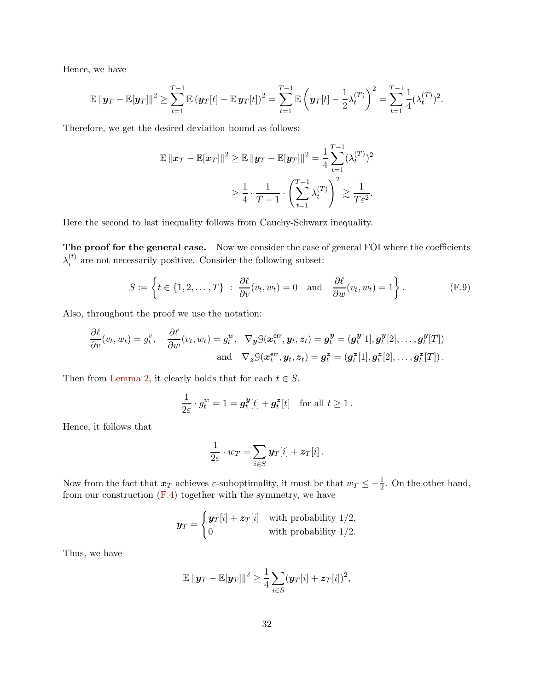Hence, we have

$$
\mathbb{E} \| \mathbf{y}_T - \mathbb{E}[\mathbf{y}_T] \|^2 \geq \sum_{t=1}^{T-1} \mathbb{E} (\mathbf{y}_T[t] - \mathbb{E} \mathbf{y}_T[t])^2 = \sum_{t=1}^{T-1} \mathbb{E} \left( \mathbf{y}_T[t] - \frac{1}{2} \lambda_t^{(T)} \right)^2 = \sum_{t=1}^{T-1} \frac{1}{4} (\lambda_t^{(T)})^2.
$$

Therefore, we get the desired deviation bound as follows:

$$
\mathbb{E} \left\| \boldsymbol{x}_T - \mathbb{E}[\boldsymbol{x}_T] \right\|^2 \geq \mathbb{E} \left\| \boldsymbol{y}_T - \mathbb{E}[\boldsymbol{y}_T] \right\|^2 = \frac{1}{4} \sum_{t=1}^{T-1} (\lambda_t^{(T)})^2
$$

$$
\geq \frac{1}{4} \cdot \frac{1}{T-1} \cdot \left( \sum_{t=1}^{T-1} \lambda_t^{(T)} \right)^2 \gtrsim \frac{1}{T \varepsilon^2}.
$$

Here the second to last inequality follows from Cauchy-Schwarz inequality.

The proof for the general case. Now we consider the case of general FOI where the coefficients  $\lambda_i^{(t)}$  $i<sup>(t)</sup>$  are not necessarily positive. Consider the following subset:

$$
S := \left\{ t \in \{1, 2, \dots, T\} \ : \ \frac{\partial \ell}{\partial v}(v_t, w_t) = 0 \quad \text{and} \quad \frac{\partial \ell}{\partial w}(v_t, w_t) = 1 \right\}.
$$
 (F.9)

Also, throughout the proof we use the notation:

$$
\frac{\partial \ell}{\partial v}(v_t, w_t) = g_t^v, \quad \frac{\partial \ell}{\partial w}(v_t, w_t) = g_t^w, \quad \nabla_{\boldsymbol{y}} \mathcal{G}(\boldsymbol{x}_t^{\text{err}}, \boldsymbol{y}_t, \boldsymbol{z}_t) = \boldsymbol{g}_t^{\boldsymbol{y}} = (\boldsymbol{g}_t^{\boldsymbol{y}}[1], \boldsymbol{g}_t^{\boldsymbol{y}}[2], \dots, \boldsymbol{g}_t^{\boldsymbol{y}}[T])
$$
\n
$$
\text{and} \quad \nabla_{\boldsymbol{z}} \mathcal{G}(\boldsymbol{x}_t^{\text{err}}, \boldsymbol{y}_t, \boldsymbol{z}_t) = \boldsymbol{g}_t^{\boldsymbol{z}} = (\boldsymbol{g}_t^{\boldsymbol{z}}[1], \boldsymbol{g}_t^{\boldsymbol{z}}[2], \dots, \boldsymbol{g}_t^{\boldsymbol{z}}[T]).
$$

Then from [Lemma 2,](#page-30-1) it clearly holds that for each  $t \in S$ ,

$$
\frac{1}{2\varepsilon} \cdot g_t^w = 1 = \mathbf{g}_t^{\mathbf{y}}[t] + \mathbf{g}_t^{\mathbf{z}}[t] \quad \text{for all } t \ge 1.
$$

Hence, it follows that

<span id="page-31-0"></span>
$$
\frac{1}{2\varepsilon}\cdot w_T=\sum_{i\in S}\boldsymbol{y}_T[i]+\boldsymbol{z}_T[i].
$$

Now from the fact that  $x_T$  achieves  $\varepsilon$ -suboptimality, it must be that  $w_T \leq -\frac{1}{2}$ . On the other hand, from our construction  $(F.4)$  together with the symmetry, we have

$$
\mathbf{y}_T = \begin{cases} \mathbf{y}_T[i] + \mathbf{z}_T[i] & \text{with probability } 1/2, \\ 0 & \text{with probability } 1/2. \end{cases}
$$

Thus, we have

$$
\mathbb{E} \left\| \boldsymbol{y}_T - \mathbb{E}[\boldsymbol{y}_T] \right\|^2 \geq \frac{1}{4} \sum_{i \in S} (\boldsymbol{y}_T[i] + \boldsymbol{z}_T[i])^2,
$$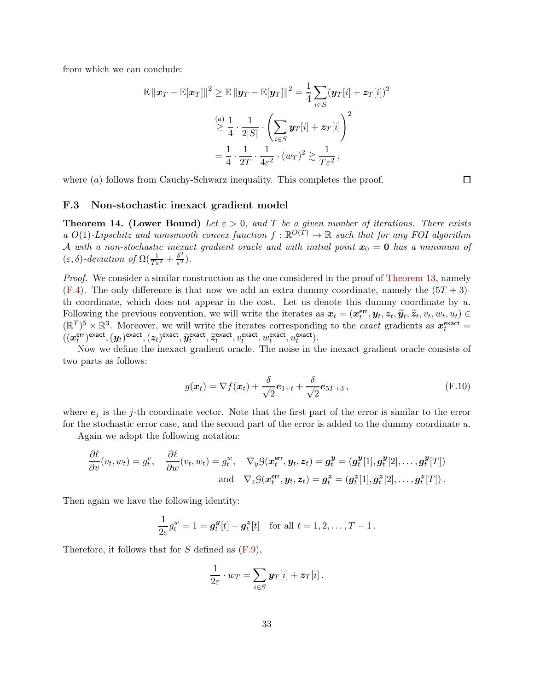from which we can conclude:

$$
\mathbb{E} \|\boldsymbol{x}_T - \mathbb{E}[\boldsymbol{x}_T]\|^2 \ge \mathbb{E} \|\boldsymbol{y}_T - \mathbb{E}[\boldsymbol{y}_T]\|^2 = \frac{1}{4} \sum_{i \in S} (\boldsymbol{y}_T[i] + \boldsymbol{z}_T[i])^2
$$

$$
\stackrel{(a)}{\geq} \frac{1}{4} \cdot \frac{1}{2|S|} \cdot \left(\sum_{i \in S} \boldsymbol{y}_T[i] + \boldsymbol{z}_T[i]\right)^2
$$

$$
= \frac{1}{4} \cdot \frac{1}{2T} \cdot \frac{1}{4\varepsilon^2} \cdot (w_T)^2 \gtrsim \frac{1}{T\varepsilon^2},
$$

<span id="page-32-1"></span>where  $(a)$  follows from Cauchy-Schwarz inequality. This completes the proof.

#### F.3 Non-stochastic inexact gradient model

<span id="page-32-0"></span>**Theorem 14. (Lower Bound)** Let  $\varepsilon > 0$ , and T be a given number of iterations. There exists a  $O(1)$ -Lipschitz and nonsmooth convex function  $f : \mathbb{R}^{O(T)} \to \mathbb{R}$  such that for any FOI algorithm A with a non-stochastic inexact gradient oracle and with initial point  $x_0 = 0$  has a minimum of  $(\varepsilon, \delta)$ -deviation of  $\Omega(\frac{1}{T\varepsilon^2} + \frac{\delta^2}{\varepsilon^2})$  $\frac{\partial^2}{\partial \epsilon^2}\Big).$ 

Proof. We consider a similar construction as the one considered in the proof of [Theorem 13,](#page-29-1) namely  $(F.4)$ . The only difference is that now we add an extra dummy coordinate, namely the  $(5T + 3)$ th coordinate, which does not appear in the cost. Let us denote this dummy coordinate by  $u$ . Following the previous convention, we will write the iterates as  $x_t = (x_t^{\text{err}})$ t , y<sup>t</sup> , z<sup>t</sup> , yet , zet , v<sup>t</sup> , w<sup>t</sup> , ut) ∈  $(\mathbb{R}^T)^5 \times \mathbb{R}^3$ . Moreover, we will write the iterates corresponding to the exact gradients as  $x_t^{\text{exact}} =$  $\hat{(\boldsymbol{x}^{\textsf{err}}_t}$ err) exact,  $(\mathbf{y}_t)$  exact,  $(\mathbf{z}_t)$  exact,  $\widetilde{\mathbf{y}}_t^{\text{exact}}$  $\widetilde{z}_t^{\text{exact}}, \widetilde{z}_t^{\text{exact}}$  $\hat{u}_t^{\text{exact}}, v_t^{\text{exact}}, w_t^{\text{exact}}, \hat{u}_t^{\text{exact}}).$ 

Now we define the inexact gradient oracle. The noise in the inexact gradient oracle consists of two parts as follows:

$$
g(\boldsymbol{x}_t) = \nabla f(\boldsymbol{x}_t) + \frac{\delta}{\sqrt{2}} \boldsymbol{e}_{1+t} + \frac{\delta}{\sqrt{2}} \boldsymbol{e}_{5T+3} \,, \tag{F.10}
$$

where  $e_i$  is the j-th coordinate vector. Note that the first part of the error is similar to the error for the stochastic error case, and the second part of the error is added to the dummy coordinate u.

Again we adopt the following notation:

$$
\frac{\partial \ell}{\partial v}(v_t, w_t) = g_t^v, \quad \frac{\partial \ell}{\partial w}(v_t, w_t) = g_t^w, \quad \nabla_y \mathcal{G}(\boldsymbol{x}_t^{\text{err}}, \boldsymbol{y}_t, \boldsymbol{z}_t) = \boldsymbol{g}_t^{\boldsymbol{y}} = (\boldsymbol{g}_t^{\boldsymbol{y}}[1], \boldsymbol{g}_t^{\boldsymbol{y}}[2], \dots, \boldsymbol{g}_t^{\boldsymbol{y}}[T])
$$
\n
$$
\text{and} \quad \nabla_z \mathcal{G}(\boldsymbol{x}_t^{\text{err}}, \boldsymbol{y}_t, \boldsymbol{z}_t) = \boldsymbol{g}_t^{\boldsymbol{z}} = (\boldsymbol{g}_t^{\boldsymbol{z}}[1], \boldsymbol{g}_t^{\boldsymbol{z}}[2], \dots, \boldsymbol{g}_t^{\boldsymbol{z}}[T]).
$$

Then again we have the following identity:

$$
\frac{1}{2\varepsilon}g_t^w = 1 = \mathbf{g}_t^{\mathbf{y}}[t] + \mathbf{g}_t^{\mathbf{z}}[t] \quad \text{for all } t = 1, 2, \dots, T - 1.
$$

Therefore, it follows that for  $S$  defined as  $(F.9)$ ,

$$
\frac{1}{2\varepsilon}\cdot w_T=\sum_{i\in S}\mathbf{y}_T[i]+z_T[i].
$$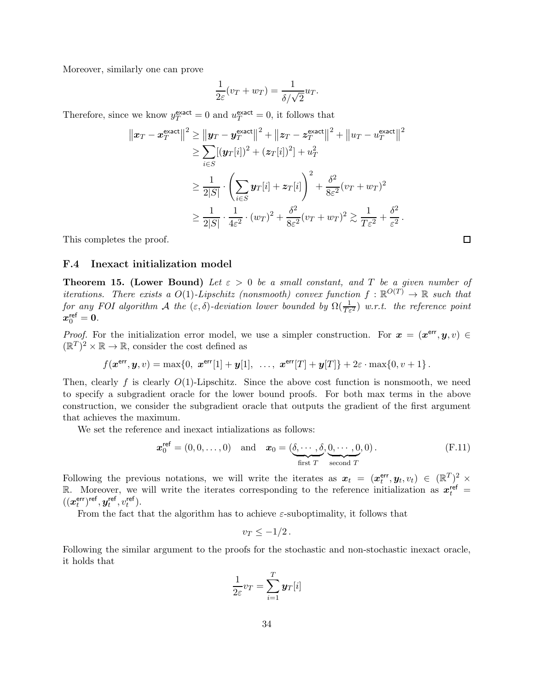Moreover, similarly one can prove

$$
\frac{1}{2\varepsilon}(v_T + w_T) = \frac{1}{\delta/\sqrt{2}} u_T.
$$

Therefore, since we know  $y_T^{\text{exact}} = 0$  and  $u_T^{\text{exact}} = 0$ , it follows that

$$
\|x_T - x_T^{\text{exact}}\|^2 \ge \|y_T - y_T^{\text{exact}}\|^2 + \|z_T - z_T^{\text{exact}}\|^2 + \|u_T - u_T^{\text{exact}}\|^2
$$
  

$$
\ge \sum_{i \in S} [(y_T[i])^2 + (z_T[i])^2] + u_T^2
$$
  

$$
\ge \frac{1}{2|S|} \cdot \left(\sum_{i \in S} y_T[i] + z_T[i]\right)^2 + \frac{\delta^2}{8\varepsilon^2} (v_T + w_T)^2
$$
  

$$
\ge \frac{1}{2|S|} \cdot \frac{1}{4\varepsilon^2} \cdot (w_T)^2 + \frac{\delta^2}{8\varepsilon^2} (v_T + w_T)^2 \ge \frac{1}{T\varepsilon^2} + \frac{\delta^2}{\varepsilon^2}.
$$

This completes the proof.

#### <span id="page-33-0"></span>F.4 Inexact initialization model

<span id="page-33-1"></span>**Theorem 15. (Lower Bound)** Let  $\varepsilon > 0$  be a small constant, and T be a given number of iterations. There exists a  $O(1)$ -Lipschitz (nonsmooth) convex function  $f : \mathbb{R}^{O(T)} \to \mathbb{R}$  such that for any FOI algorithm A the  $(\varepsilon, \delta)$ -deviation lower bounded by  $\Omega(\frac{1}{T\varepsilon^2})$  w.r.t. the reference point  $x_0^{\mathsf{ref}} = 0.$ 

*Proof.* For the initialization error model, we use a simpler construction. For  $x = (x^{\text{err}}, y, v) \in$  $(\mathbb{R}^T)^2 \times \mathbb{R} \to \mathbb{R}$ , consider the cost defined as

$$
f(\boldsymbol{x}^{\text{err}}, \boldsymbol{y}, v) = \max\{0, \ \boldsymbol{x}^{\text{err}}[1] + \boldsymbol{y}[1], \ \ldots, \ \boldsymbol{x}^{\text{err}}[T] + \boldsymbol{y}[T]\} + 2\varepsilon \cdot \max\{0, v + 1\}.
$$

Then, clearly f is clearly  $O(1)$ -Lipschitz. Since the above cost function is nonsmooth, we need to specify a subgradient oracle for the lower bound proofs. For both max terms in the above construction, we consider the subgradient oracle that outputs the gradient of the first argument that achieves the maximum.

We set the reference and inexact intializations as follows:

$$
\boldsymbol{x}_0^{\text{ref}} = (0, 0, \dots, 0) \quad \text{and} \quad \boldsymbol{x}_0 = (\underbrace{\delta, \cdots, \delta}_{\text{first } T}, \underbrace{0, \cdots, 0}_{\text{second } T}, 0).
$$
 (F.11)

Following the previous notations, we will write the iterates as  $x_t = (x_t^{\text{err}})$  $\mathbf{t}^{\text{err}}, \mathbf{y}_t, v_t) \in (\mathbb{R}^T)^2 \times$ R. Moreover, we will write the iterates corresponding to the reference initialization as  $x_t^{\text{ref}}$  =  $((\boldsymbol{x}^{\text{err}}_t$  $(t^{ter})^{ref}, y^{ref}_t$  $t^{\mathsf{ref}}, v_t^{\mathsf{ref}}$ ).

From the fact that the algorithm has to achieve  $\varepsilon$ -suboptimality, it follows that

$$
v_T \leq -1/2
$$

Following the similar argument to the proofs for the stochastic and non-stochastic inexact oracle, it holds that

$$
\frac{1}{2\varepsilon}v_T = \sum_{i=1}^T \boldsymbol{y}_T[i]
$$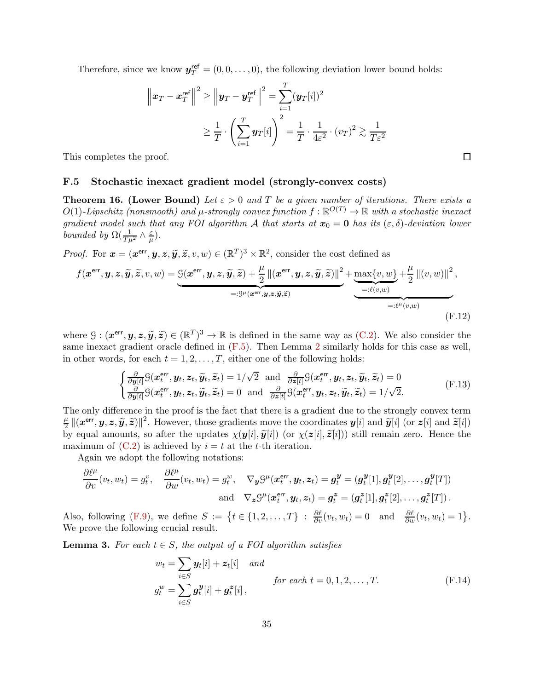Therefore, since we know  $y_T^{\text{ref}} = (0, 0, \dots, 0)$ , the following deviation lower bound holds:

$$
\left\|\boldsymbol{x}_T - \boldsymbol{x}_T^{\text{ref}}\right\|^2 \ge \left\|\boldsymbol{y}_T - \boldsymbol{y}_T^{\text{ref}}\right\|^2 = \sum_{i=1}^T (\boldsymbol{y}_T[i])^2
$$

$$
\ge \frac{1}{T} \cdot \left(\sum_{i=1}^T \boldsymbol{y}_T[i]\right)^2 = \frac{1}{T} \cdot \frac{1}{4\varepsilon^2} \cdot (v_T)^2 \gtrsim \frac{1}{T\varepsilon^2}
$$

<span id="page-34-0"></span>This completes the proof.

### F.5 Stochastic inexact gradient model (strongly-convex costs)

<span id="page-34-1"></span>**Theorem 16. (Lower Bound)** Let  $\varepsilon > 0$  and T be a given number of iterations. There exists a  $O(1)$ -Lipschitz (nonsmooth) and  $\mu$ -strongly convex function  $f : \mathbb{R}^{O(T)} \to \mathbb{R}$  with a stochastic inexact gradient model such that any FOI algorithm A that starts at  $x_0 = 0$  has its  $(\varepsilon, \delta)$ -deviation lower bounded by  $\Omega(\frac{1}{T\mu^2} \wedge \frac{\varepsilon}{\mu})$  $\frac{\varepsilon}{\mu}).$ 

*Proof.* For  $\mathbf{x} = (\mathbf{x}^{\text{err}}, \mathbf{y}, \mathbf{z}, \widetilde{\mathbf{y}}, \widetilde{\mathbf{z}}, v, w) \in (\mathbb{R}^T)^3 \times \mathbb{R}^2$ , consider the cost defined as

$$
f(\mathbf{x}^{\text{err}}, \mathbf{y}, \mathbf{z}, \widetilde{\mathbf{y}}, \widetilde{\mathbf{z}}, v, w) = \underbrace{\mathcal{G}(\mathbf{x}^{\text{err}}, \mathbf{y}, \mathbf{z}, \widetilde{\mathbf{y}}, \widetilde{\mathbf{z}}) + \frac{\mu}{2} ||(\mathbf{x}^{\text{err}}, \mathbf{y}, \mathbf{z}, \widetilde{\mathbf{y}}, \widetilde{\mathbf{z}})||^2}_{=: \mathcal{G}^{\mu}(\mathbf{x}^{\text{err}}, \mathbf{y}, \mathbf{z}, \widetilde{\mathbf{y}}, \widetilde{\mathbf{z}})} + \underbrace{\underbrace{\max\{v, w\}}_{=: \ell(v, w)} + \frac{\mu}{2} ||(v, w)||^2}_{=: \ell(v, w)},
$$
\n(F.12)

where  $\mathcal{G}: (\mathbf{x}^{\text{err}}, \mathbf{y}, \mathbf{z}, \widetilde{\mathbf{y}}, \widetilde{\mathbf{z}}) \in (\mathbb{R}^T)^3 \to \mathbb{R}$  is defined in the same way as  $(C.2)$ . We also consider the same inexact gradient oracle defined in [\(F.5\)](#page-30-2). Then Lemma [2](#page-30-1) similarly holds for this case as well, in other words, for each  $t = 1, 2, \ldots, T$ , either one of the following holds:

$$
\begin{cases} \frac{\partial}{\partial y[t]} \mathcal{G}(\boldsymbol{x}_t^{\text{err}}, \boldsymbol{y}_t, \boldsymbol{z}_t, \widetilde{\boldsymbol{y}}_t, \widetilde{\boldsymbol{z}}_t) = 1/\sqrt{2} \text{ and } \frac{\partial}{\partial z[t]} \mathcal{G}(\boldsymbol{x}_t^{\text{err}}, \boldsymbol{y}_t, \boldsymbol{z}_t, \widetilde{\boldsymbol{y}}_t, \widetilde{\boldsymbol{z}}_t) = 0\\ \frac{\partial}{\partial y[t]} \mathcal{G}(\boldsymbol{x}_t^{\text{err}}, \boldsymbol{y}_t, \boldsymbol{z}_t, \widetilde{\boldsymbol{y}}_t, \widetilde{\boldsymbol{z}}_t) = 0 \text{ and } \frac{\partial}{\partial z[t]} \mathcal{G}(\boldsymbol{x}_t^{\text{err}}, \boldsymbol{y}_t, \boldsymbol{z}_t, \widetilde{\boldsymbol{y}}_t, \widetilde{\boldsymbol{z}}_t) = 1/\sqrt{2}.\end{cases} \tag{F.13}
$$

The only difference in the proof is the fact that there is a gradient due to the strongly convex term  $\mu$  $\frac{\mu}{2} ||(x^{\text{err}}, y, z, \tilde{y}, \tilde{z})||^2$ . However, those gradients move the coordinates  $y[i]$  and  $\tilde{y}[i]$  (or  $z[i]$  and  $\tilde{z}[i]$ ) by equal amounts, so after the updates  $\chi(y[i], \tilde{y}[i])$  (or  $\chi(z[i], \tilde{z}[i])$ ) still remain zero. Hence the maximum of  $(C.2)$  is achieved by  $i = t$  at the t-th iteration.

Again we adopt the following notations:

$$
\frac{\partial \ell^{\mu}}{\partial v}(v_t, w_t) = g_t^v, \quad \frac{\partial \ell^{\mu}}{\partial w}(v_t, w_t) = g_t^w, \quad \nabla_{\mathbf{y}} \mathcal{G}^{\mu}(\mathbf{x}_t^{\text{err}}, \mathbf{y}_t, \mathbf{z}_t) = \mathbf{g}_t^{\mathbf{y}} = (\mathbf{g}_t^{\mathbf{y}}[1], \mathbf{g}_t^{\mathbf{y}}[2], \dots, \mathbf{g}_t^{\mathbf{y}}[T])
$$
\n
$$
\text{and} \quad \nabla_{\mathbf{z}} \mathcal{G}^{\mu}(\mathbf{x}_t^{\text{err}}, \mathbf{y}_t, \mathbf{z}_t) = \mathbf{g}_t^{\mathbf{z}} = (\mathbf{g}_t^{\mathbf{z}}[1], \mathbf{g}_t^{\mathbf{z}}[2], \dots, \mathbf{g}_t^{\mathbf{z}}[T]).
$$

Also, following [\(F.9\)](#page-31-0), we define  $S := \{t \in \{1, 2, ..., T\} : \frac{\partial \ell}{\partial v}(v_t, w_t) = 0 \text{ and } \frac{\partial \ell}{\partial w}(v_t, w_t) = 1\}.$ We prove the following crucial result.

<span id="page-34-2"></span>**Lemma 3.** For each  $t \in S$ , the output of a FOI algorithm satisfies

$$
w_t = \sum_{i \in S} \mathbf{y}_t[i] + \mathbf{z}_t[i] \quad and
$$
  
\n
$$
g_t^w = \sum_{i \in S} \mathbf{g}_t^{\mathbf{y}}[i] + \mathbf{g}_t^{\mathbf{z}}[i],
$$
 for each  $t = 0, 1, 2, ..., T$ . (F.14)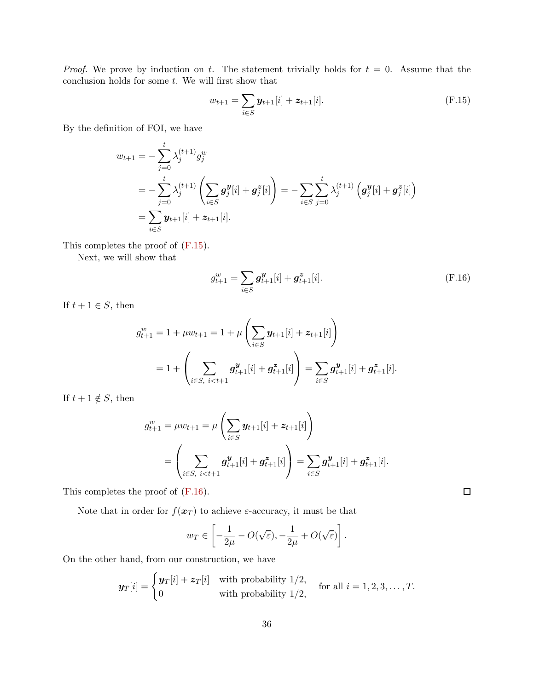*Proof.* We prove by induction on t. The statement trivially holds for  $t = 0$ . Assume that the conclusion holds for some  $t$ . We will first show that

<span id="page-35-0"></span>
$$
w_{t+1} = \sum_{i \in S} \mathbf{y}_{t+1}[i] + \mathbf{z}_{t+1}[i].
$$
 (F.15)

By the definition of FOI, we have

$$
w_{t+1} = -\sum_{j=0}^{t} \lambda_j^{(t+1)} g_j^w
$$
  
=  $-\sum_{j=0}^{t} \lambda_j^{(t+1)} \left( \sum_{i \in S} g_j^y[i] + g_j^z[i] \right) = -\sum_{i \in S} \sum_{j=0}^{t} \lambda_j^{(t+1)} \left( g_j^y[i] + g_j^z[i] \right)$   
=  $\sum_{i \in S} y_{t+1}[i] + z_{t+1}[i].$ 

This completes the proof of [\(F.15\)](#page-35-0).

Next, we will show that

<span id="page-35-1"></span>
$$
g_{t+1}^w = \sum_{i \in S} \mathbf{g}_{t+1}^{\mathbf{y}}[i] + \mathbf{g}_{t+1}^{\mathbf{z}}[i].
$$
 (F.16)

If  $t + 1 \in S$ , then

$$
g_{t+1}^w = 1 + \mu w_{t+1} = 1 + \mu \left( \sum_{i \in S} \mathbf{y}_{t+1}[i] + \mathbf{z}_{t+1}[i] \right)
$$
  
=  $1 + \left( \sum_{i \in S, i < t+1} \mathbf{g}_{t+1}^{\mathbf{y}}[i] + \mathbf{g}_{t+1}^{\mathbf{z}}[i] \right) = \sum_{i \in S} \mathbf{g}_{t+1}^{\mathbf{y}}[i] + \mathbf{g}_{t+1}^{\mathbf{z}}[i].$ 

If  $t + 1 \notin S$ , then

$$
g_{t+1}^w = \mu w_{t+1} = \mu \left( \sum_{i \in S} \mathbf{y}_{t+1}[i] + \mathbf{z}_{t+1}[i] \right)
$$
  
= 
$$
\left( \sum_{i \in S, i < t+1} \mathbf{g}_{t+1}^{\mathbf{y}}[i] + \mathbf{g}_{t+1}^{\mathbf{z}}[i] \right) = \sum_{i \in S} \mathbf{g}_{t+1}^{\mathbf{y}}[i] + \mathbf{g}_{t+1}^{\mathbf{z}}[i].
$$

This completes the proof of [\(F.16\)](#page-35-1).

Note that in order for  $f(\boldsymbol{x}_T)$  to achieve  $\varepsilon$ -accuracy, it must be that

$$
w_T \in \left[ -\frac{1}{2\mu} - O(\sqrt{\varepsilon}), -\frac{1}{2\mu} + O(\sqrt{\varepsilon}) \right].
$$

On the other hand, from our construction, we have

$$
\boldsymbol{y}_T[i] = \begin{cases} \boldsymbol{y}_T[i] + \boldsymbol{z}_T[i] & \text{with probability } 1/2, \\ 0 & \text{with probability } 1/2, \end{cases} \quad \text{for all } i = 1, 2, 3, \dots, T.
$$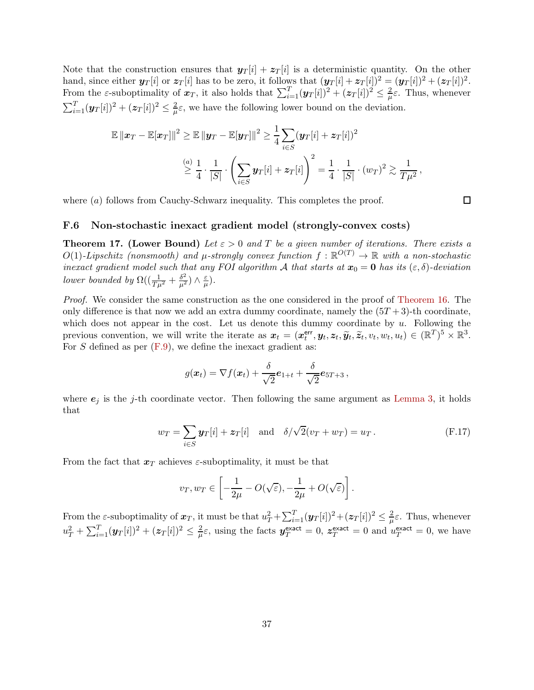Note that the construction ensures that  $y_T[i] + z_T[i]$  is a deterministic quantity. On the other hand, since either  $y_T[i]$  or  $z_T[i]$  has to be zero, it follows that  $(y_T[i] + z_T[i])^2 = (y_T[i])^2 + (z_T[i])^2$ . From the  $\varepsilon$ -suboptimality of  $x_T$ , it also holds that  $\sum_{i=1}^T (y_T[i])^2 + (z_T[i])^2 \leq \frac{2}{\mu}$  $\frac{2}{\mu}\varepsilon$ . Thus, whenever  $\sum_{i=1}^T (\bm{y}_T[i])^2 + (\bm{z}_T[i])^2 \leq \frac{2}{\mu}$  $\frac{2}{\mu}\varepsilon$ , we have the following lower bound on the deviation.

$$
\mathbb{E} \|x_T - \mathbb{E}[x_T]\|^2 \ge \mathbb{E} \|y_T - \mathbb{E}[y_T]\|^2 \ge \frac{1}{4} \sum_{i \in S} (y_T[i] + z_T[i])^2
$$
  

$$
\ge \frac{a}{4} \cdot \frac{1}{|S|} \cdot \left(\sum_{i \in S} y_T[i] + z_T[i]\right)^2 = \frac{1}{4} \cdot \frac{1}{|S|} \cdot (w_T)^2 \ge \frac{1}{T\mu^2},
$$

where  $(a)$  follows from Cauchy-Schwarz inequality. This completes the proof.

#### $\Box$

### <span id="page-36-0"></span>F.6 Non-stochastic inexact gradient model (strongly-convex costs)

<span id="page-36-1"></span>**Theorem 17. (Lower Bound)** Let  $\varepsilon > 0$  and T be a given number of iterations. There exists a  $O(1)$ -Lipschitz (nonsmooth) and  $\mu$ -strongly convex function  $f : \mathbb{R}^{O(T)} \to \mathbb{R}$  with a non-stochastic inexact gradient model such that any FOI algorithm A that starts at  $x_0 = 0$  has its  $(\varepsilon, \delta)$ -deviation lower bounded by  $\Omega((\frac{1}{T\mu^2} + \frac{\delta^2}{\mu^2}) \wedge \frac{\varepsilon}{\mu})$  $\frac{\varepsilon}{\mu}).$ 

Proof. We consider the same construction as the one considered in the proof of [Theorem 16.](#page-34-1) The only difference is that now we add an extra dummy coordinate, namely the  $(5T + 3)$ -th coordinate, which does not appear in the cost. Let us denote this dummy coordinate by  $u$ . Following the previous convention, we will write the iterate as  $x_t = (x_t^{\text{err}})$  $\mathbf{f}_{t}^{\mathsf{err}}, \mathbf{y}_t, \mathbf{z}_t, \widetilde{\mathbf{y}}_t, \widetilde{\mathbf{z}}_t, v_t, w_t, u_t) \in (\mathbb{R}^T)^5 \times \mathbb{R}^3.$ For S defined as per  $(F.9)$ , we define the inexact gradient as:

$$
g(\boldsymbol{x}_t) = \nabla f(\boldsymbol{x}_t) + \frac{\delta}{\sqrt{2}} \boldsymbol{e}_{1+t} + \frac{\delta}{\sqrt{2}} \boldsymbol{e}_{5T+3} ,
$$

where  $e_j$  is the j-th coordinate vector. Then following the same argument as [Lemma 3,](#page-34-2) it holds that

$$
w_T = \sum_{i \in S} \mathbf{y}_T[i] + \mathbf{z}_T[i] \quad \text{and} \quad \delta/\sqrt{2}(v_T + w_T) = u_T. \tag{F.17}
$$

From the fact that  $x_T$  achieves  $\varepsilon$ -suboptimality, it must be that

$$
v_T, w_T \in \left[ -\frac{1}{2\mu} - O(\sqrt{\varepsilon}), -\frac{1}{2\mu} + O(\sqrt{\varepsilon}) \right].
$$

From the  $\varepsilon$ -suboptimality of  $\bm x_T$ , it must be that  $u_T^2 + \sum_{i=1}^T (\bm y_T[i])^2 + (\bm z_T[i])^2 \leq \frac{2}{\mu}$  $\frac{2}{\mu}\varepsilon$ . Thus, whenever  $u_T^2 + \sum_{i=1}^T (\bm{y}_T[i])^2 + (\bm{z}_T[i])^2 \leq \frac{2}{\mu}$  $\frac{2}{\mu}\varepsilon$ , using the facts  $y_T^{\text{exact}} = 0$ ,  $z_T^{\text{exact}} = 0$  and  $u_T^{\text{exact}} = 0$ , we have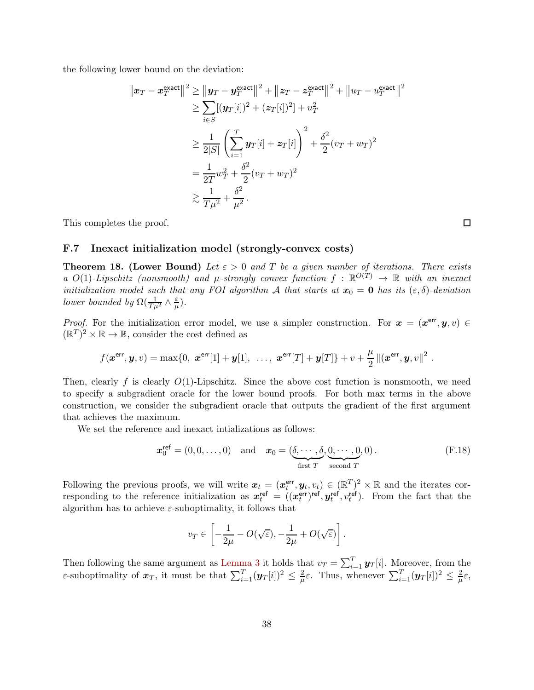the following lower bound on the deviation:

$$
\|x_T - x_T^{\text{exact}}\|^2 \ge \|y_T - y_T^{\text{exact}}\|^2 + \|z_T - z_T^{\text{exact}}\|^2 + \|u_T - u_T^{\text{exact}}\|^2
$$
  
\n
$$
\ge \sum_{i \in S} [(y_T[i])^2 + (z_T[i])^2] + u_T^2
$$
  
\n
$$
\ge \frac{1}{2|S|} \left(\sum_{i=1}^T y_T[i] + z_T[i]\right)^2 + \frac{\delta^2}{2}(v_T + w_T)^2
$$
  
\n
$$
= \frac{1}{2T} w_T^2 + \frac{\delta^2}{2} (v_T + w_T)^2
$$
  
\n
$$
\ge \frac{1}{T\mu^2} + \frac{\delta^2}{\mu^2}.
$$

<span id="page-37-0"></span>This completes the proof.

 $\Box$ 

### F.7 Inexact initialization model (strongly-convex costs)

<span id="page-37-1"></span>**Theorem 18. (Lower Bound)** Let  $\varepsilon > 0$  and T be a given number of iterations. There exists a  $O(1)$ -Lipschitz (nonsmooth) and  $\mu$ -strongly convex function  $f : \mathbb{R}^{O(T)} \to \mathbb{R}$  with an inexact initialization model such that any FOI algorithm A that starts at  $x_0 = 0$  has its  $(\varepsilon, \delta)$ -deviation lower bounded by  $\Omega(\frac{1}{T\mu^2} \wedge \frac{\varepsilon}{\mu})$  $\frac{\varepsilon}{\mu}).$ 

*Proof.* For the initialization error model, we use a simpler construction. For  $x = (x^{\text{err}}, y, v) \in$  $(\mathbb{R}^T)^2 \times \mathbb{R} \to \mathbb{R}$ , consider the cost defined as

$$
f(\mathbf{x}^{\text{err}}, \mathbf{y}, v) = \max\{0, \ \mathbf{x}^{\text{err}}[1] + \mathbf{y}[1], \ \ldots, \ \mathbf{x}^{\text{err}}[T] + \mathbf{y}[T]\} + v + \frac{\mu}{2} ||(\mathbf{x}^{\text{err}}, \mathbf{y}, v||^2).
$$

Then, clearly f is clearly  $O(1)$ -Lipschitz. Since the above cost function is nonsmooth, we need to specify a subgradient oracle for the lower bound proofs. For both max terms in the above construction, we consider the subgradient oracle that outputs the gradient of the first argument that achieves the maximum.

We set the reference and inexact intializations as follows:

$$
\boldsymbol{x}_0^{\text{ref}} = (0, 0, \dots, 0) \quad \text{and} \quad \boldsymbol{x}_0 = (\underbrace{\delta, \cdots, \delta}_{\text{first } T}, \underbrace{0, \cdots, 0}_{\text{second } T}, 0). \tag{F.18}
$$

Following the previous proofs, we will write  $x_t = (x_t^{\text{err}})$  $(\mathbf{F}_t^{\text{err}}, \mathbf{y}_t, v_t) \in (\mathbb{R}^T)^2 \times \mathbb{R}$  and the iterates corresponding to the reference initialization as  $x_t^{\text{ref}} = (x_t^{\text{err}})$  $(t^t)^{\mathsf{ref}}, \bm{y}^{\mathsf{ref}}_t$  $t_t^{\text{ref}}, v_t^{\text{ref}}$ ). From the fact that the algorithm has to achieve  $\varepsilon$ -suboptimality, it follows that

$$
v_T \in \left[ -\frac{1}{2\mu} - O(\sqrt{\varepsilon}), -\frac{1}{2\mu} + O(\sqrt{\varepsilon}) \right].
$$

Then following the same argument as [Lemma 3](#page-34-2) it holds that  $v_T = \sum_{i=1}^T \mathbf{y}_T[i]$ . Moreover, from the  $\varepsilon$ -suboptimality of  $x_T$ , it must be that  $\sum_{i=1}^T (y_T[i])^2 \leq \frac{2}{\mu}$  $\frac{2}{\mu}\varepsilon$ . Thus, whenever  $\sum_{i=1}^{T}(\mathbf{y}_T[i])^2 \leq \frac{2}{\mu}$  $\frac{2}{\mu}\varepsilon,$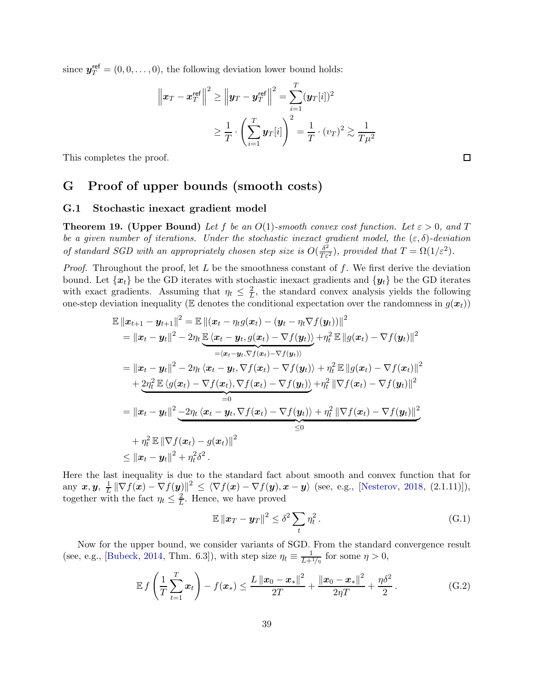since  $y_T^{\text{ref}} = (0, 0, \dots, 0)$ , the following deviation lower bound holds:

$$
\left\|\boldsymbol{x}_T - \boldsymbol{x}_T^{\text{ref}}\right\|^2 \ge \left\|\boldsymbol{y}_T - \boldsymbol{y}_T^{\text{ref}}\right\|^2 = \sum_{i=1}^T (\boldsymbol{y}_T[i])^2 \\ \ge \frac{1}{T} \cdot \left(\sum_{i=1}^T \boldsymbol{y}_T[i]\right)^2 = \frac{1}{T} \cdot (v_T)^2 \gtrsim \frac{1}{T\mu^2}
$$

<span id="page-38-0"></span>This completes the proof.

### G Proof of upper bounds (smooth costs)

### <span id="page-38-1"></span>G.1 Stochastic inexact gradient model

<span id="page-38-2"></span>**Theorem 19.** (Upper Bound) Let f be an  $O(1)$ -smooth convex cost function. Let  $\varepsilon > 0$ , and T be a given number of iterations. Under the stochastic inexact gradient model, the  $(\varepsilon, \delta)$ -deviation of standard SGD with an appropriately chosen step size is  $O(\frac{\delta^2}{T\epsilon^2})$ , provided that  $T = \Omega(1/\epsilon^2)$ .

*Proof.* Throughout the proof, let  $L$  be the smoothness constant of  $f$ . We first derive the deviation bound. Let  $\{x_t\}$  be the GD iterates with stochastic inexact gradients and  $\{y_t\}$  be the GD iterates with exact gradients. Assuming that  $\eta_t \leq \frac{2}{L}$  $\frac{2}{L}$ , the standard convex analysis yields the following one-step deviation inequality ( $E$  denotes the conditional expectation over the randomness in  $g(x_t)$ )

$$
\mathbb{E} ||x_{t+1} - y_{t+1}||^2 = \mathbb{E} ||(x_t - \eta_t g(x_t) - (y_t - \eta_t \nabla f(y_t))||^2
$$
\n
$$
= ||x_t - y_t||^2 - 2\eta_t \underbrace{\mathbb{E}\langle x_t - y_t, g(x_t) - \nabla f(y_t)\rangle}_{= \langle x_t - y_t, \nabla f(x_t) - \nabla f(y_t)\rangle} + \eta_t^2 \mathbb{E} ||g(x_t) - \nabla f(y_t)||^2
$$
\n
$$
= ||x_t - y_t||^2 - 2\eta_t \langle x_t - y_t, \nabla f(x_t) - \nabla f(y_t)\rangle + \eta_t^2 \mathbb{E} ||g(x_t) - \nabla f(x_t)||^2
$$
\n
$$
+ 2\eta_t^2 \mathbb{E} \langle g(x_t) - \nabla f(x_t), \nabla f(x_t) - \nabla f(y_t)\rangle + \eta_t^2 ||\nabla f(x_t) - \nabla f(y_t)||^2
$$
\n
$$
= ||x_t - y_t||^2 - 2\eta_t \langle x_t - y_t, \nabla f(x_t) - \nabla f(y_t)\rangle + \eta_t^2 ||\nabla f(x_t) - \nabla f(y_t)||^2
$$
\n
$$
+ \eta_t^2 \mathbb{E} ||\nabla f(x_t) - g(x_t)||^2
$$
\n
$$
\le ||x_t - y_t||^2 + \eta_t^2 \delta^2.
$$

Here the last inequality is due to the standard fact about smooth and convex function that for any  $\bm{x}, \bm{y},\;\frac{1}{L}$  $\frac{1}{L} \|\nabla f(\boldsymbol{x}) - \nabla f(\boldsymbol{y})\|^2 \leq \langle \nabla f(\boldsymbol{x}) - \nabla f(\boldsymbol{y}), \boldsymbol{x} - \boldsymbol{y} \rangle$  (see, e.g., [\[Nesterov,](#page-13-4) [2018](#page-13-4), (2.1.11)]), together with the fact  $\eta_t \leq \frac{2}{L}$  $\frac{2}{L}$ . Hence, we have proved

<span id="page-38-4"></span><span id="page-38-3"></span>
$$
\mathbb{E} \left\| \boldsymbol{x}_T - \boldsymbol{y}_T \right\|^2 \le \delta^2 \sum_t \eta_t^2 \,. \tag{G.1}
$$

Now for the upper bound, we consider variants of SGD. From the standard convergence result (see, e.g., [\[Bubeck](#page-12-11), [2014](#page-12-11), Thm. 6.3]), with step size  $\eta_t \equiv \frac{1}{L+1}$  $\frac{1}{L+1/\eta}$  for some  $\eta > 0$ ,

$$
\mathbb{E} f\left(\frac{1}{T}\sum_{t=1}^{T} \boldsymbol{x}_t\right) - f(\boldsymbol{x}_*) \leq \frac{L \left\|\boldsymbol{x}_0 - \boldsymbol{x}_*\right\|^2}{2T} + \frac{\left\|\boldsymbol{x}_0 - \boldsymbol{x}_*\right\|^2}{2\eta T} + \frac{\eta \delta^2}{2}.
$$
 (G.2)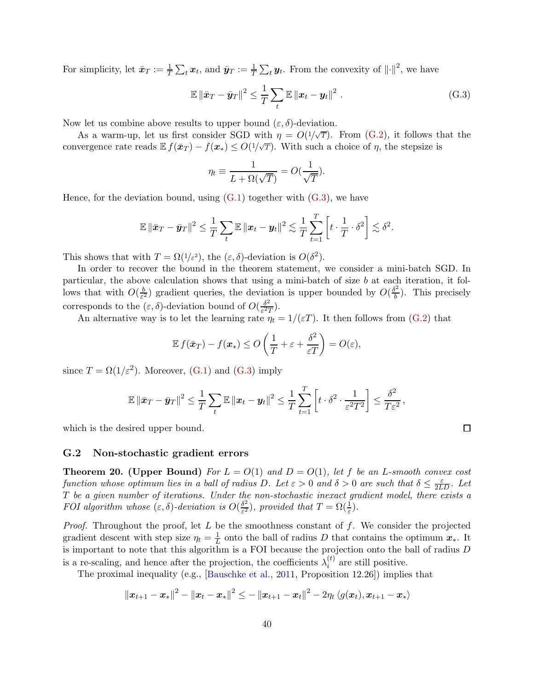For simplicity, let  $\bar{x}_T := \frac{1}{T} \sum_t x_t$ , and  $\bar{y}_T := \frac{1}{T} \sum_t y_t$ . From the convexity of  $\|\cdot\|^2$ , we have

$$
\mathbb{E} \left\| \bar{\boldsymbol{x}}_T - \bar{\boldsymbol{y}}_T \right\|^2 \leq \frac{1}{T} \sum_t \mathbb{E} \left\| \boldsymbol{x}_t - \boldsymbol{y}_t \right\|^2.
$$
 (G.3)

Now let us combine above results to upper bound  $(\varepsilon, \delta)$ -deviation.

As a warm-up, let us first consider SGD with  $\eta = O(1/\sqrt{T})$ . From [\(G.2\)](#page-38-3), it follows that the convergence rate reads  $\mathbb{E} f(\bar{x}_T) - f(x_*) \leq O(1/\sqrt{T})$ . With such a choice of  $\eta$ , the stepsize is

<span id="page-39-2"></span>
$$
\eta_t \equiv \frac{1}{L + \Omega(\sqrt{T})} = O(\frac{1}{\sqrt{T}}).
$$

Hence, for the deviation bound, using  $(G.1)$  together with  $(G.3)$ , we have

$$
\mathbb{E} \left\| \bar{\boldsymbol{x}}_T - \bar{\boldsymbol{y}}_T \right\|^2 \leq \frac{1}{T} \sum_t \mathbb{E} \left\| \boldsymbol{x}_t - \boldsymbol{y}_t \right\|^2 \lesssim \frac{1}{T} \sum_{t=1}^T \left[ t \cdot \frac{1}{T} \cdot \delta^2 \right] \lesssim \delta^2.
$$

This shows that with  $T = \Omega(1/\varepsilon^2)$ , the  $(\varepsilon, \delta)$ -deviation is  $O(\delta^2)$ .

In order to recover the bound in the theorem statement, we consider a mini-batch SGD. In particular, the above calculation shows that using a mini-batch of size  $b$  at each iteration, it follows that with  $O(\frac{b}{\epsilon^2})$  $\frac{b}{\varepsilon^2}$ ) gradient queries, the deviation is upper bounded by  $O(\frac{\delta^2}{b})$  $\frac{b^2}{b}$ ). This precisely corresponds to the  $(\varepsilon, \delta)$ -deviation bound of  $O(\frac{\delta^2}{\varepsilon^2})$  $\frac{\partial^2}{\partial \varepsilon^2 T}$ ).

An alternative way is to let the learning rate  $\eta_t = 1/(\varepsilon T)$ . It then follows from [\(G.2\)](#page-38-3) that

$$
\mathbb{E} f(\bar{\boldsymbol{x}}_T) - f(\boldsymbol{x}_*) \le O\left(\frac{1}{T} + \varepsilon + \frac{\delta^2}{\varepsilon T}\right) = O(\varepsilon),
$$

since  $T = \Omega(1/\varepsilon^2)$ . Moreover, [\(G.1\)](#page-38-4) and [\(G.3\)](#page-39-2) imply

$$
\mathbb{E} \left\| \bar{\boldsymbol{x}}_T - \bar{\boldsymbol{y}}_T \right\|^2 \leq \frac{1}{T} \sum_t \mathbb{E} \left\| \boldsymbol{x}_t - \boldsymbol{y}_t \right\|^2 \leq \frac{1}{T} \sum_{t=1}^T \left[ t \cdot \delta^2 \cdot \frac{1}{\varepsilon^2 T^2} \right] \leq \frac{\delta^2}{T \varepsilon^2},
$$

which is the desired upper bound.

#### <span id="page-39-0"></span>G.2 Non-stochastic gradient errors

<span id="page-39-1"></span>**Theorem 20.** (Upper Bound) For  $L = O(1)$  and  $D = O(1)$ , let f be an L-smooth convex cost function whose optimum lies in a ball of radius D. Let  $\varepsilon > 0$  and  $\delta > 0$  are such that  $\delta \leq \frac{\varepsilon}{2LD}$ . Let T be a given number of iterations. Under the non-stochastic inexact gradient model, there exists a FOI algorithm whose  $(\varepsilon, \delta)$ -deviation is  $O(\frac{\delta^2}{\varepsilon^2})$  $\frac{\delta^2}{\epsilon^2}$ , provided that  $T = \Omega(\frac{1}{\epsilon})$ .

*Proof.* Throughout the proof, let  $L$  be the smoothness constant of  $f$ . We consider the projected gradient descent with step size  $\eta_t = \frac{1}{L}$  onto the ball of radius D that contains the optimum  $x_*$ . It is important to note that this algorithm is a FOI because the projection onto the ball of radius D is a re-scaling, and hence after the projection, the coefficients  $\lambda_i^{(t)}$  $i^{(i)}$  are still positive.

The proximal inequality (e.g., [\[Bauschke et al.](#page-12-12), [2011](#page-12-12), Proposition 12.26]) implies that

$$
\|\bm{x}_{t+1}-\bm{x}_{*}\|^{2}-\|\bm{x}_{t}-\bm{x}_{*}\|^{2}\leq-\|\bm{x}_{t+1}-\bm{x}_{t}\|^{2}-2\eta_{t}\left\langle g(\bm{x}_{t}),\bm{x}_{t+1}-\bm{x}_{*}\right\rangle
$$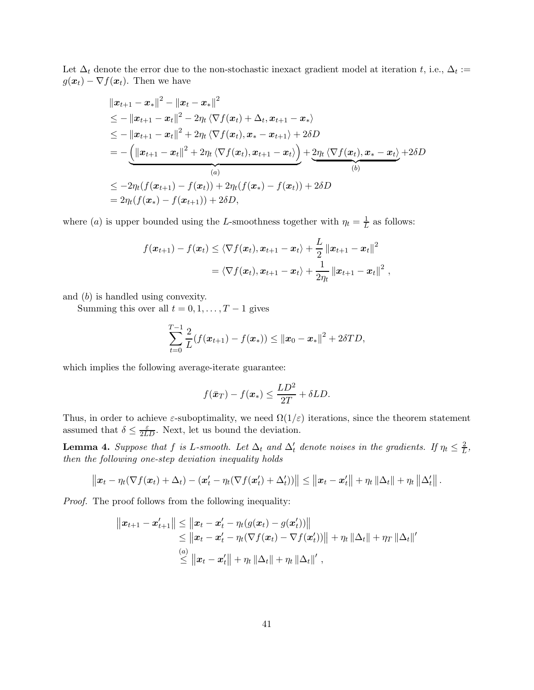Let  $\Delta_t$  denote the error due to the non-stochastic inexact gradient model at iteration t, i.e.,  $\Delta_t :=$  $g(\boldsymbol{x}_t) - \nabla f(\boldsymbol{x}_t)$ . Then we have

$$
||x_{t+1} - x_*||^2 - ||x_t - x_*||^2
$$
  
\n
$$
\leq -||x_{t+1} - x_t||^2 - 2\eta_t \langle \nabla f(x_t) + \Delta_t, x_{t+1} - x_* \rangle
$$
  
\n
$$
\leq -||x_{t+1} - x_t||^2 + 2\eta_t \langle \nabla f(x_t), x_* - x_{t+1} \rangle + 2\delta D
$$
  
\n
$$
= -\underbrace{(||x_{t+1} - x_t||^2 + 2\eta_t \langle \nabla f(x_t), x_{t+1} - x_t \rangle)}_{(a)} + \underbrace{2\eta_t \langle \nabla f(x_t), x_* - x_t \rangle}_{(b)} + 2\delta D
$$
  
\n
$$
\leq -2\eta_t(f(x_{t+1}) - f(x_t)) + 2\eta_t(f(x_*) - f(x_t)) + 2\delta D
$$
  
\n
$$
= 2\eta_t(f(x_*) - f(x_{t+1})) + 2\delta D,
$$

where (a) is upper bounded using the L-smoothness together with  $\eta_t = \frac{1}{L}$  as follows:

$$
f(\boldsymbol{x}_{t+1}) - f(\boldsymbol{x}_{t}) \leq \langle \nabla f(\boldsymbol{x}_{t}), \boldsymbol{x}_{t+1} - \boldsymbol{x}_{t} \rangle + \frac{L}{2} ||\boldsymbol{x}_{t+1} - \boldsymbol{x}_{t}||^{2}
$$
  
=  $\langle \nabla f(\boldsymbol{x}_{t}), \boldsymbol{x}_{t+1} - \boldsymbol{x}_{t} \rangle + \frac{1}{2\eta_{t}} ||\boldsymbol{x}_{t+1} - \boldsymbol{x}_{t}||^{2}$ ,

and (b) is handled using convexity.

Summing this over all  $t = 0, 1, \ldots, T - 1$  gives

$$
\sum_{t=0}^{T-1} \frac{2}{L} (f(\boldsymbol{x}_{t+1}) - f(\boldsymbol{x}_*)) \le ||\boldsymbol{x}_0 - \boldsymbol{x}_*||^2 + 2\delta TD,
$$

which implies the following average-iterate guarantee:

$$
f(\bar{\boldsymbol{x}}_T) - f(\boldsymbol{x}_*) \le \frac{LD^2}{2T} + \delta LD.
$$

Thus, in order to achieve  $\varepsilon$ -suboptimality, we need  $\Omega(1/\varepsilon)$  iterations, since the theorem statement assumed that  $\delta \leq \frac{\varepsilon}{2LD}$ . Next, let us bound the deviation.

<span id="page-40-0"></span>**Lemma 4.** Suppose that f is L-smooth. Let  $\Delta_t$  and  $\Delta'_t$  denote noises in the gradients. If  $\eta_t \leq \frac{2}{L}$  $\frac{2}{L}$ , then the following one-step deviation inequality holds

$$
\|\boldsymbol{x}_t-\eta_t(\nabla f(\boldsymbol{x}_t)+\Delta_t)-(\boldsymbol{x}'_t-\eta_t(\nabla f(\boldsymbol{x}'_t)+\Delta'_t))\|\leq \|\boldsymbol{x}_t-\boldsymbol{x}'_t\|+\eta_t\|\Delta_t\|+\eta_t\|\Delta'_t\|.
$$

Proof. The proof follows from the following inequality:

$$
||x_{t+1} - x'_{t+1}|| \le ||x_t - x'_t - \eta_t(g(x_t) - g(x'_t))||
$$
  
\n
$$
\le ||x_t - x'_t - \eta_t(\nabla f(x_t) - \nabla f(x'_t))|| + \eta_t ||\Delta_t|| + \eta_T ||\Delta_t||'
$$
  
\n
$$
\le ||x_t - x'_t|| + \eta_t ||\Delta_t|| + \eta_t ||\Delta_t||',
$$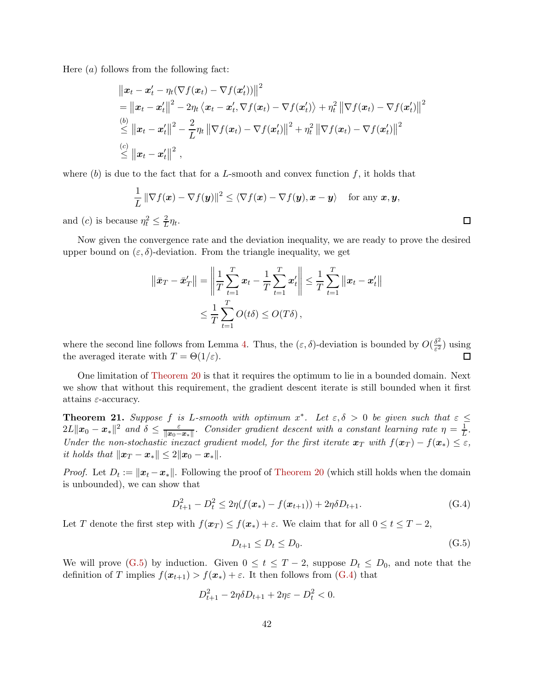Here  $(a)$  follows from the following fact:

$$
\|x_t - x'_t - \eta_t(\nabla f(x_t) - \nabla f(x'_t))\|^2
$$
  
\n
$$
= \|x_t - x'_t\|^2 - 2\eta_t \langle x_t - x'_t, \nabla f(x_t) - \nabla f(x'_t) \rangle + \eta_t^2 \|\nabla f(x_t) - \nabla f(x'_t)\|^2
$$
  
\n
$$
\overset{(b)}{\leq} \|x_t - x'_t\|^2 - \frac{2}{L} \eta_t \|\nabla f(x_t) - \nabla f(x'_t)\|^2 + \eta_t^2 \|\nabla f(x_t) - \nabla f(x'_t)\|^2
$$
  
\n
$$
\overset{(c)}{\leq} \|x_t - x'_t\|^2,
$$

where  $(b)$  is due to the fact that for a L-smooth and convex function f, it holds that

$$
\frac{1}{L} \|\nabla f(\boldsymbol{x}) - \nabla f(\boldsymbol{y})\|^2 \le \langle \nabla f(\boldsymbol{x}) - \nabla f(\boldsymbol{y}), \boldsymbol{x} - \boldsymbol{y} \rangle \quad \text{for any } \boldsymbol{x}, \boldsymbol{y},
$$

and (*c*) is because  $\eta_t^2 \leq \frac{2}{L}$  $\frac{2}{L}\eta_t$ .

Now given the convergence rate and the deviation inequality, we are ready to prove the desired upper bound on  $(\varepsilon, \delta)$ -deviation. From the triangle inequality, we get

$$
\|\bar{\mathbf{x}}_T - \bar{\mathbf{x}}_T'\| = \left\|\frac{1}{T}\sum_{t=1}^T \mathbf{x}_t - \frac{1}{T}\sum_{t=1}^T \mathbf{x}_t'\right\| \le \frac{1}{T}\sum_{t=1}^T \|\mathbf{x}_t - \mathbf{x}_t'\|
$$
  

$$
\le \frac{1}{T}\sum_{t=1}^T O(t\delta) \le O(T\delta),
$$

where the second line follows from Lemma [4.](#page-40-0) Thus, the  $(\varepsilon, \delta)$ -deviation is bounded by  $O(\frac{\delta^2}{\varepsilon^2})$  $\frac{\partial^2}{\partial \epsilon^2}$ ) using the averaged iterate with  $T = \Theta(1/\varepsilon)$ .  $\Box$ 

One limitation of [Theorem 20](#page-39-1) is that it requires the optimum to lie in a bounded domain. Next we show that without this requirement, the gradient descent iterate is still bounded when it first attains  $\varepsilon$ -accuracy.

<span id="page-41-0"></span>**Theorem 21.** Suppose f is L-smooth with optimum  $x^*$ . Let  $\varepsilon, \delta > 0$  be given such that  $\varepsilon \leq$  $2L\|\boldsymbol{x}_0 - \boldsymbol{x}_*\|^2$  and  $\delta \leq \frac{\varepsilon}{\|\boldsymbol{x}_0 - \boldsymbol{x}_0\|^2}$  $\frac{\varepsilon}{\|\bm{x}_0-\bm{x}_*\|}$ . Consider gradient descent with a constant learning rate  $\eta=\frac{1}{L}$  $\frac{1}{L}$ . Under the non-stochastic inexact gradient model, for the first iterate  $x_T$  with  $f(x_T) - f(x_*) \leq \varepsilon$ , it holds that  $||x_T - x_*|| \leq 2||x_0 - x_*||$ .

*Proof.* Let  $D_t := ||x_t - x_*||$ . Following the proof of [Theorem 20](#page-39-1) (which still holds when the domain is unbounded), we can show that

$$
D_{t+1}^{2} - D_{t}^{2} \le 2\eta (f(\boldsymbol{x}_{*}) - f(\boldsymbol{x}_{t+1})) + 2\eta \delta D_{t+1}.
$$
 (G.4)

Let T denote the first step with  $f(x_T) \leq f(x_*) + \varepsilon$ . We claim that for all  $0 \leq t \leq T-2$ ,

<span id="page-41-2"></span><span id="page-41-1"></span>
$$
D_{t+1} \le D_t \le D_0. \tag{G.5}
$$

We will prove [\(G.5\)](#page-41-1) by induction. Given  $0 \le t \le T-2$ , suppose  $D_t \le D_0$ , and note that the definition of T implies  $f(\mathbf{x}_{t+1}) > f(\mathbf{x}_{*}) + \varepsilon$ . It then follows from [\(G.4\)](#page-41-2) that

$$
D_{t+1}^2 - 2\eta \delta D_{t+1} + 2\eta \varepsilon - D_t^2 < 0.
$$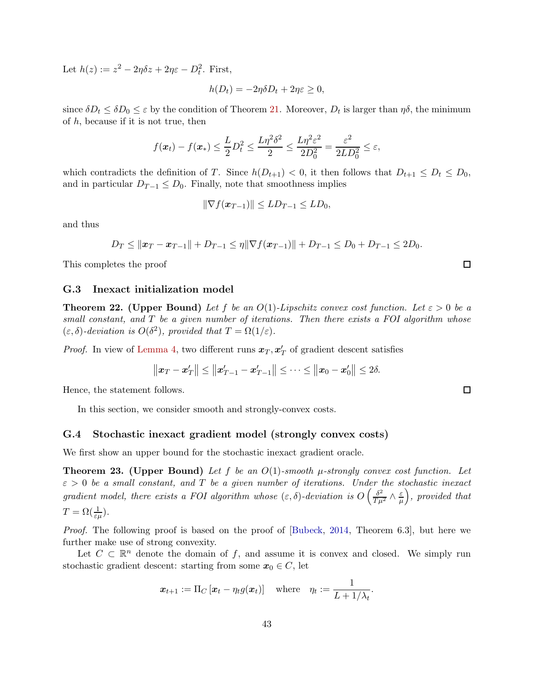Let  $h(z) := z^2 - 2\eta \delta z + 2\eta \varepsilon - D_t^2$ . First,

$$
h(D_t) = -2\eta \delta D_t + 2\eta \varepsilon \ge 0,
$$

since  $\delta D_t \le \delta D_0 \le \varepsilon$  by the condition of Theorem [21.](#page-41-0) Moreover,  $D_t$  is larger than  $\eta \delta$ , the minimum of  $h$ , because if it is not true, then

$$
f(\boldsymbol{x}_t) - f(\boldsymbol{x}_*) \leq \frac{L}{2}D_t^2 \leq \frac{L\eta^2\delta^2}{2} \leq \frac{L\eta^2\varepsilon^2}{2D_0^2} = \frac{\varepsilon^2}{2LD_0^2} \leq \varepsilon,
$$

which contradicts the definition of T. Since  $h(D_{t+1}) < 0$ , it then follows that  $D_{t+1} \leq D_t \leq D_0$ , and in particular  $D_{T-1} \leq D_0$ . Finally, note that smoothness implies

$$
\|\nabla f(\boldsymbol{x}_{T-1})\| \leq LD_{T-1} \leq LD_0,
$$

and thus

$$
D_T \le ||x_T - x_{T-1}|| + D_{T-1} \le \eta ||\nabla f(x_{T-1})|| + D_{T-1} \le D_0 + D_{T-1} \le 2D_0.
$$

<span id="page-42-0"></span>This completes the proof

#### G.3 Inexact initialization model

<span id="page-42-2"></span>**Theorem 22.** (Upper Bound) Let f be an  $O(1)$ -Lipschitz convex cost function. Let  $\varepsilon > 0$  be a small constant, and  $T$  be a given number of iterations. Then there exists a FOI algorithm whose  $(\varepsilon, \delta)$ -deviation is  $O(\delta^2)$ , provided that  $T = \Omega(1/\varepsilon)$ .

*Proof.* In view of [Lemma 4,](#page-40-0) two different runs  $x_T, x'_T$  of gradient descent satisfies

$$
||x_T - x'_T|| \le ||x'_{T-1} - x'_{T-1}|| \le \cdots \le ||x_0 - x'_0|| \le 2\delta.
$$

Hence, the statement follows.

In this section, we consider smooth and strongly-convex costs.

#### <span id="page-42-1"></span>G.4 Stochastic inexact gradient model (strongly convex costs)

We first show an upper bound for the stochastic inexact gradient oracle.

<span id="page-42-3"></span>**Theorem 23.** (Upper Bound) Let f be an  $O(1)$ -smooth  $\mu$ -strongly convex cost function. Let  $\varepsilon > 0$  be a small constant, and T be a given number of iterations. Under the stochastic inexact gradient model, there exists a FOI algorithm whose  $(\varepsilon, \delta)$ -deviation is  $O\left(\frac{\delta^2}{T\mu^2} \wedge \frac{\varepsilon}{\mu}\right)$  $\mu$  , provided that  $T = \Omega(\frac{1}{\varepsilon \mu}).$ 

Proof. The following proof is based on the proof of [\[Bubeck](#page-12-11), [2014,](#page-12-11) Theorem 6.3], but here we further make use of strong convexity.

Let  $C \subset \mathbb{R}^n$  denote the domain of f, and assume it is convex and closed. We simply run stochastic gradient descent: starting from some  $x_0 \in C$ , let

$$
\boldsymbol{x}_{t+1} := \Pi_C \left[ \boldsymbol{x}_t - \eta_t g(\boldsymbol{x}_t) \right] \quad \text{where} \quad \eta_t := \frac{1}{L+1/\lambda_t}.
$$

|   | I |
|---|---|
| I | ٧ |

 $\Box$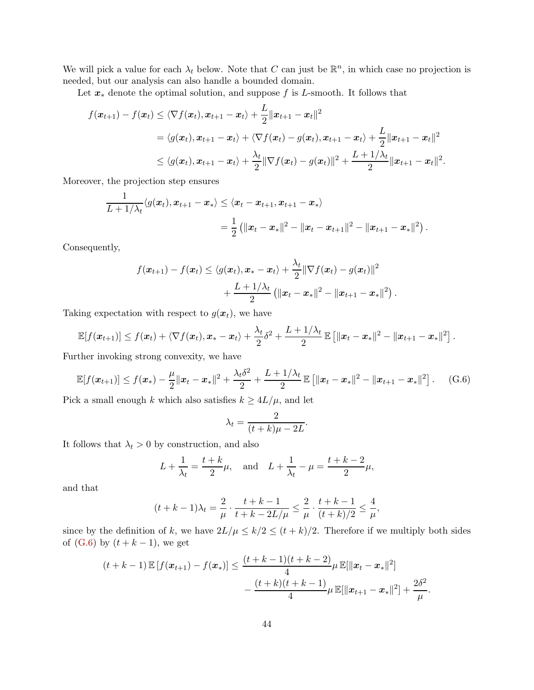We will pick a value for each  $\lambda_t$  below. Note that C can just be  $\mathbb{R}^n$ , in which case no projection is needed, but our analysis can also handle a bounded domain.

Let  $x_*$  denote the optimal solution, and suppose f is L-smooth. It follows that

$$
f(\boldsymbol{x}_{t+1}) - f(\boldsymbol{x}_t) \leq \langle \nabla f(\boldsymbol{x}_t), \boldsymbol{x}_{t+1} - \boldsymbol{x}_t \rangle + \frac{L}{2} ||\boldsymbol{x}_{t+1} - \boldsymbol{x}_t||^2
$$
  
\n
$$
= \langle g(\boldsymbol{x}_t), \boldsymbol{x}_{t+1} - \boldsymbol{x}_t \rangle + \langle \nabla f(\boldsymbol{x}_t) - g(\boldsymbol{x}_t), \boldsymbol{x}_{t+1} - \boldsymbol{x}_t \rangle + \frac{L}{2} ||\boldsymbol{x}_{t+1} - \boldsymbol{x}_t||^2
$$
  
\n
$$
\leq \langle g(\boldsymbol{x}_t), \boldsymbol{x}_{t+1} - \boldsymbol{x}_t \rangle + \frac{\lambda_t}{2} ||\nabla f(\boldsymbol{x}_t) - g(\boldsymbol{x}_t)||^2 + \frac{L + 1/\lambda_t}{2} ||\boldsymbol{x}_{t+1} - \boldsymbol{x}_t||^2.
$$

Moreover, the projection step ensures

$$
\frac{1}{L+1/\lambda_t} \langle g(x_t), x_{t+1} - x_* \rangle \leq \langle x_t - x_{t+1}, x_{t+1} - x_* \rangle
$$
  
= 
$$
\frac{1}{2} (||x_t - x_*||^2 - ||x_t - x_{t+1}||^2 - ||x_{t+1} - x_*||^2).
$$

Consequently,

$$
f(\boldsymbol{x}_{t+1}) - f(\boldsymbol{x}_t) \leq \langle g(\boldsymbol{x}_t), \boldsymbol{x}_* - \boldsymbol{x}_t \rangle + \frac{\lambda_t}{2} \|\nabla f(\boldsymbol{x}_t) - g(\boldsymbol{x}_t)\|^2 + \frac{L + 1/\lambda_t}{2} \left( \|\boldsymbol{x}_t - \boldsymbol{x}_*\|^2 - \|\boldsymbol{x}_{t+1} - \boldsymbol{x}_*\|^2 \right).
$$

Taking expectation with respect to  $g(x_t)$ , we have

$$
\mathbb{E}[f(\boldsymbol{x}_{t+1})] \leq f(\boldsymbol{x}_t) + \langle \nabla f(\boldsymbol{x}_t), \boldsymbol{x}_* - \boldsymbol{x}_t \rangle + \frac{\lambda_t}{2} \delta^2 + \frac{L+1/\lambda_t}{2} \mathbb{E}\left[ \|\boldsymbol{x}_t - \boldsymbol{x}_*\|^2 - \|\boldsymbol{x}_{t+1} - \boldsymbol{x}_*\|^2 \right].
$$

Further invoking strong convexity, we have

$$
\mathbb{E}[f(\boldsymbol{x}_{t+1})] \leq f(\boldsymbol{x}_*) - \frac{\mu}{2} ||\boldsymbol{x}_t - \boldsymbol{x}_*||^2 + \frac{\lambda_t \delta^2}{2} + \frac{L + 1/\lambda_t}{2} \mathbb{E}[||\boldsymbol{x}_t - \boldsymbol{x}_*||^2 - ||\boldsymbol{x}_{t+1} - \boldsymbol{x}_*||^2]. \tag{G.6}
$$

Pick a small enough k which also satisfies  $k \geq 4L/\mu$ , and let

$$
\lambda_t = \frac{2}{(t+k)\mu - 2L}.
$$

It follows that  $\lambda_t > 0$  by construction, and also

$$
L + \frac{1}{\lambda_t} = \frac{t+k}{2}\mu
$$
, and  $L + \frac{1}{\lambda_t} - \mu = \frac{t+k-2}{2}\mu$ ,

and that

$$
(t+k-1)\lambda_t = \frac{2}{\mu} \cdot \frac{t+k-1}{t+k-2L/\mu} \le \frac{2}{\mu} \cdot \frac{t+k-1}{(t+k)/2} \le \frac{4}{\mu},
$$

since by the definition of k, we have  $2L/\mu \leq k/2 \leq (t+k)/2$ . Therefore if we multiply both sides of  $(G.6)$  by  $(t + k - 1)$ , we get

$$
(t + k - 1) \mathbb{E} [f(\boldsymbol{x}_{t+1}) - f(\boldsymbol{x}_*)] \leq \frac{(t + k - 1)(t + k - 2)}{4} \mu \mathbb{E}[\|\boldsymbol{x}_t - \boldsymbol{x}_*\|^2] - \frac{(t + k)(t + k - 1)}{4} \mu \mathbb{E}[\|\boldsymbol{x}_{t+1} - \boldsymbol{x}_*\|^2] + \frac{2\delta^2}{\mu}
$$

<span id="page-43-0"></span>.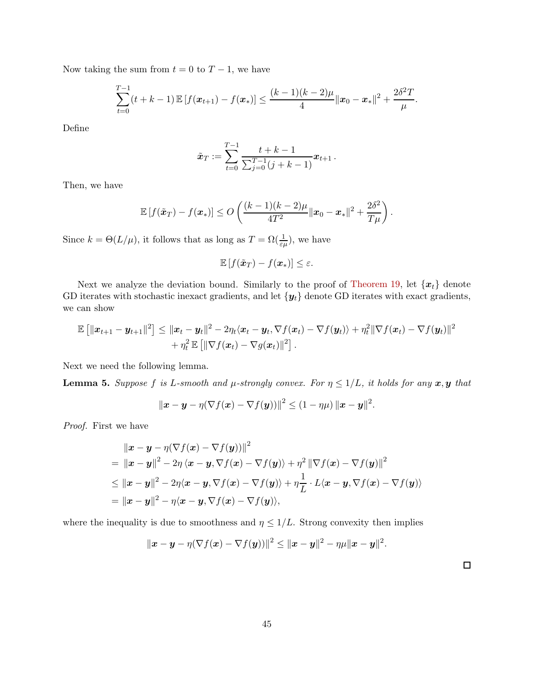Now taking the sum from  $t = 0$  to  $T - 1$ , we have

$$
\sum_{t=0}^{T-1} (t+k-1) \mathbb{E} \left[ f(\boldsymbol{x}_{t+1}) - f(\boldsymbol{x}_*) \right] \leq \frac{(k-1)(k-2)\mu}{4} ||\boldsymbol{x}_0 - \boldsymbol{x}_*||^2 + \frac{2\delta^2 T}{\mu}.
$$

Define

$$
\tilde{\boldsymbol{x}}_T := \sum_{t=0}^{T-1} \frac{t+k-1}{\sum_{j=0}^{T-1} (j+k-1)} \boldsymbol{x}_{t+1} \, .
$$

Then, we have

$$
\mathbb{E}\left[f(\tilde{\boldsymbol{x}}_T)-f(\boldsymbol{x}_*)\right]\leq O\left(\frac{(k-1)(k-2)\mu}{4T^2}\|\boldsymbol{x}_0-\boldsymbol{x}_*\|^2+\frac{2\delta^2}{T\mu}\right).
$$

Since  $k = \Theta(L/\mu)$ , it follows that as long as  $T = \Omega(\frac{1}{\varepsilon\mu})$ , we have

$$
\mathbb{E}\left[f(\tilde{\boldsymbol{x}}_T)-f(\boldsymbol{x}_*)\right] \leq \varepsilon.
$$

Next we analyze the deviation bound. Similarly to the proof of [Theorem 19,](#page-38-2) let  $\{x_t\}$  denote GD iterates with stochastic inexact gradients, and let  $\{y_t\}$  denote GD iterates with exact gradients, we can show

$$
\mathbb{E} \left[ \|\boldsymbol{x}_{t+1}-\boldsymbol{y}_{t+1}\|^2 \right] \leq \|\boldsymbol{x}_t-\boldsymbol{y}_t\|^2 - 2\eta_t \langle \boldsymbol{x}_t-\boldsymbol{y}_t, \nabla f(\boldsymbol{x}_t) - \nabla f(\boldsymbol{y}_t) \rangle + \eta_t^2 \|\nabla f(\boldsymbol{x}_t) - \nabla f(\boldsymbol{y}_t)\|^2 \\ + \eta_t^2 \mathbb{E} \left[ \|\nabla f(\boldsymbol{x}_t) - \nabla g(\boldsymbol{x}_t)\|^2 \right].
$$

Next we need the following lemma.

<span id="page-44-0"></span>**Lemma 5.** Suppose f is L-smooth and  $\mu$ -strongly convex. For  $\eta \leq 1/L$ , it holds for any  $x, y$  that

$$
\|\boldsymbol{x}-\boldsymbol{y}-\eta(\nabla f(\boldsymbol{x})-\nabla f(\boldsymbol{y}))\|^2\leq (1-\eta\mu)\|\boldsymbol{x}-\boldsymbol{y}\|^2.
$$

Proof. First we have

$$
\|x - y - \eta(\nabla f(x) - \nabla f(y))\|^2
$$
  
= 
$$
\|x - y\|^2 - 2\eta \langle x - y, \nabla f(x) - \nabla f(y) \rangle + \eta^2 \|\nabla f(x) - \nabla f(y)\|^2
$$
  

$$
\leq \|x - y\|^2 - 2\eta \langle x - y, \nabla f(x) - \nabla f(y) \rangle + \eta \frac{1}{L} \cdot L \langle x - y, \nabla f(x) - \nabla f(y) \rangle
$$
  
= 
$$
\|x - y\|^2 - \eta \langle x - y, \nabla f(x) - \nabla f(y) \rangle,
$$

where the inequality is due to smoothness and  $\eta \leq 1/L$ . Strong convexity then implies

$$
\|\bm{x}-\bm{y}-\eta(\nabla f(\bm{x})-\nabla f(\bm{y}))\|^2\leq \|\bm{x}-\bm{y}\|^2-\eta\mu\|\bm{x}-\bm{y}\|^2.
$$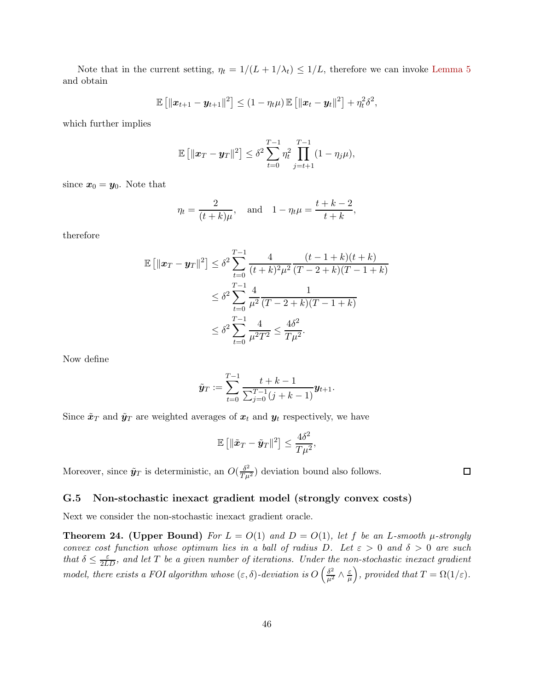Note that in the current setting,  $\eta_t = 1/(L + 1/\lambda_t) \leq 1/L$ , therefore we can invoke [Lemma 5](#page-44-0) and obtain

$$
\mathbb{E}\left[\|\boldsymbol{x}_{t+1}-\boldsymbol{y}_{t+1}\|^2\right] \leq (1-\eta_t\mu)\,\mathbb{E}\left[\|\boldsymbol{x}_t-\boldsymbol{y}_t\|^2\right]+\eta_t^2\delta^2,
$$

which further implies

$$
\mathbb{E} [||x_T - y_T||^2] \leq \delta^2 \sum_{t=0}^{T-1} \eta_t^2 \prod_{j=t+1}^{T-1} (1 - \eta_j \mu),
$$

since  $x_0 = y_0$ . Note that

$$
\eta_t = \frac{2}{(t+k)\mu}
$$
, and  $1 - \eta_t \mu = \frac{t+k-2}{t+k}$ ,

therefore

$$
\mathbb{E} \left[ \|\boldsymbol{x}_T - \boldsymbol{y}_T\|^2 \right] \leq \delta^2 \sum_{t=0}^{T-1} \frac{4}{(t+k)^2 \mu^2} \frac{(t-1+k)(t+k)}{(T-2+k)(T-1+k)}
$$
  

$$
\leq \delta^2 \sum_{t=0}^{T-1} \frac{4}{\mu^2} \frac{1}{(T-2+k)(T-1+k)}
$$
  

$$
\leq \delta^2 \sum_{t=0}^{T-1} \frac{4}{\mu^2 T^2} \leq \frac{4\delta^2}{T\mu^2}.
$$

Now define

$$
\tilde{\mathbf{y}}_T := \sum_{t=0}^{T-1} \frac{t+k-1}{\sum_{j=0}^{T-1} (j+k-1)} \mathbf{y}_{t+1}.
$$

Since  $\tilde{\boldsymbol{x}}_T$  and  $\tilde{\boldsymbol{y}}_T$  are weighted averages of  $\boldsymbol{x}_t$  and  $\boldsymbol{y}_t$  respectively, we have

$$
\mathbb{E}\left[\|\tilde{\boldsymbol{x}}_T-\tilde{\boldsymbol{y}}_T\|^2\right]\leq \frac{4\delta^2}{T\mu^2},
$$

Moreover, since  $\tilde{\mathbf{y}}_T$  is deterministic, an  $O(\frac{\delta^2}{T\mu^2})$  deviation bound also follows.

### <span id="page-45-0"></span>G.5 Non-stochastic inexact gradient model (strongly convex costs)

Next we consider the non-stochastic inexact gradient oracle.

<span id="page-45-1"></span>**Theorem 24. (Upper Bound)** For  $L = O(1)$  and  $D = O(1)$ , let f be an L-smooth  $\mu$ -strongly convex cost function whose optimum lies in a ball of radius D. Let  $\varepsilon > 0$  and  $\delta > 0$  are such that  $\delta \leq \frac{\varepsilon}{2LD}$ , and let T be a given number of iterations. Under the non-stochastic inexact gradient model, there exists a FOI algorithm whose  $(\varepsilon, \delta)$ -deviation is  $O\left(\frac{\delta^2}{\mu^2} \wedge \frac{\varepsilon}{\mu} \right)$  $\mu$ ), provided that  $T = \Omega(1/\varepsilon)$ .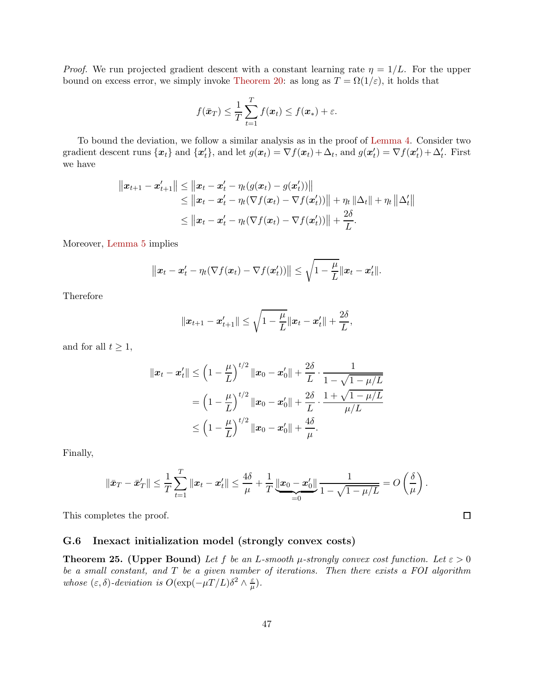*Proof.* We run projected gradient descent with a constant learning rate  $\eta = 1/L$ . For the upper bound on excess error, we simply invoke [Theorem 20:](#page-39-1) as long as  $T = \Omega(1/\varepsilon)$ , it holds that

$$
f(\bar{\boldsymbol{x}}_T) \leq \frac{1}{T} \sum_{t=1}^T f(\boldsymbol{x}_t) \leq f(\boldsymbol{x}_*) + \varepsilon.
$$

To bound the deviation, we follow a similar analysis as in the proof of [Lemma 4.](#page-40-0) Consider two gradient descent runs  $\{x_t\}$  and  $\{x'_t\}$ , and let  $g(x_t) = \nabla f(x_t) + \Delta_t$ , and  $g(x'_t) = \nabla f(x'_t) + \Delta'_t$ . First we have

$$
||x_{t+1} - x'_{t+1}|| \le ||x_t - x'_t - \eta_t(g(x_t) - g(x'_t))||
$$
  
\n
$$
\le ||x_t - x'_t - \eta_t(\nabla f(x_t) - \nabla f(x'_t))|| + \eta_t ||\Delta_t|| + \eta_t ||\Delta'_t||
$$
  
\n
$$
\le ||x_t - x'_t - \eta_t(\nabla f(x_t) - \nabla f(x'_t))|| + \frac{2\delta}{L}.
$$

Moreover, [Lemma 5](#page-44-0) implies

$$
\|\boldsymbol{x}_t-\boldsymbol{x}'_t-\eta_t(\nabla f(\boldsymbol{x}_t)-\nabla f(\boldsymbol{x}'_t))\|\leq \sqrt{1-\frac{\mu}{L}}\|\boldsymbol{x}_t-\boldsymbol{x}'_t\|.
$$

Therefore

$$
||x_{t+1}-x'_{t+1}|| \leq \sqrt{1-\frac{\mu}{L}}||x_t-x'_t|| + \frac{2\delta}{L},
$$

and for all  $t \geq 1$ ,

$$
\begin{aligned} \|x_t - x_t'\| &\leq \left(1 - \frac{\mu}{L}\right)^{t/2} \|x_0 - x_0'\| + \frac{2\delta}{L} \cdot \frac{1}{1 - \sqrt{1 - \mu/L}} \\&= \left(1 - \frac{\mu}{L}\right)^{t/2} \|x_0 - x_0'\| + \frac{2\delta}{L} \cdot \frac{1 + \sqrt{1 - \mu/L}}{\mu/L} \\&\leq \left(1 - \frac{\mu}{L}\right)^{t/2} \|x_0 - x_0'\| + \frac{4\delta}{\mu}. \end{aligned}
$$

Finally,

$$
\|\bar{\mathbf{x}}_T - \bar{\mathbf{x}}_T'\| \leq \frac{1}{T} \sum_{t=1}^T \|\mathbf{x}_t - \mathbf{x}_t'\| \leq \frac{4\delta}{\mu} + \frac{1}{T} \underbrace{\|\mathbf{x}_0 - \mathbf{x}_0'\|}_{=0} \frac{1}{1 - \sqrt{1 - \mu/L}} = O\left(\frac{\delta}{\mu}\right).
$$

This completes the proof.

### <span id="page-46-0"></span>G.6 Inexact initialization model (strongly convex costs)

<span id="page-46-1"></span>**Theorem 25. (Upper Bound)** Let f be an L-smooth  $\mu$ -strongly convex cost function. Let  $\varepsilon > 0$ be a small constant, and T be a given number of iterations. Then there exists a FOI algorithm whose  $(\varepsilon, \delta)$ -deviation is  $O(\exp(-\mu T/L)\delta^2 \wedge \frac{\varepsilon}{\mu})$  $\frac{\varepsilon}{\mu}).$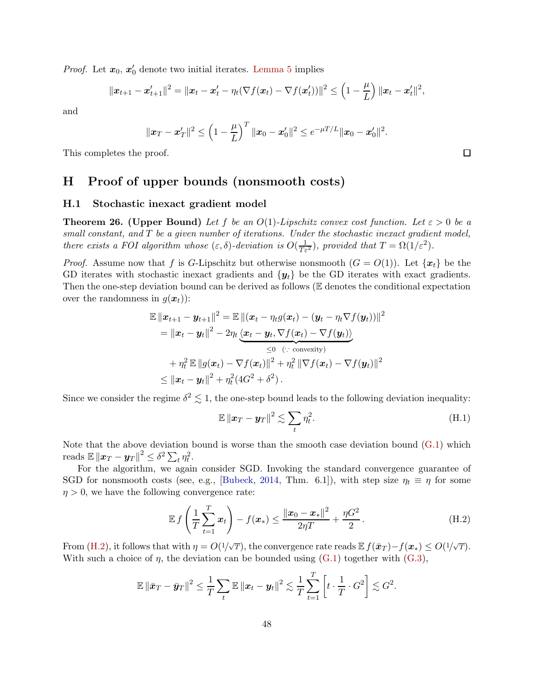*Proof.* Let  $x_0, x'_0$  denote two initial iterates. [Lemma 5](#page-44-0) implies

$$
\|\boldsymbol{x}_{t+1}-\boldsymbol{x}'_{t+1}\|^2 = \|\boldsymbol{x}_t-\boldsymbol{x}'_t-\eta_t(\nabla f(\boldsymbol{x}_t)-\nabla f(\boldsymbol{x}'_t))\|^2 \leq \left(1-\frac{\mu}{L}\right)\|\boldsymbol{x}_t-\boldsymbol{x}'_t\|^2,
$$

and

$$
\|\boldsymbol{x}_T - \boldsymbol{x}_T'\|^2 \le \left(1 - \frac{\mu}{L}\right)^T \|\boldsymbol{x}_0 - \boldsymbol{x}_0'\|^2 \le e^{-\mu T/L} \|\boldsymbol{x}_0 - \boldsymbol{x}_0'\|^2.
$$

<span id="page-47-0"></span>This completes the proof.

### <span id="page-47-1"></span>H Proof of upper bounds (nonsmooth costs)

### H.1 Stochastic inexact gradient model

<span id="page-47-2"></span>**Theorem 26. (Upper Bound)** Let f be an  $O(1)$ -Lipschitz convex cost function. Let  $\varepsilon > 0$  be a small constant, and T be a given number of iterations. Under the stochastic inexact gradient model, there exists a FOI algorithm whose  $(\varepsilon, \delta)$ -deviation is  $O(\frac{1}{T\varepsilon^2})$ , provided that  $T = \Omega(1/\varepsilon^2)$ .

*Proof.* Assume now that f is G-Lipschitz but otherwise nonsmooth  $(G = O(1))$ . Let  $\{x_t\}$  be the GD iterates with stochastic inexact gradients and  $\{y_t\}$  be the GD iterates with exact gradients. Then the one-step deviation bound can be derived as follows (E denotes the conditional expectation over the randomness in  $q(\boldsymbol{x}_t)$ :

$$
\mathbb{E} \left\| \boldsymbol{x}_{t+1} - \boldsymbol{y}_{t+1} \right\|^2 = \mathbb{E} \left\| (\boldsymbol{x}_t - \eta_t g(\boldsymbol{x}_t) - (\boldsymbol{y}_t - \eta_t \nabla f(\boldsymbol{y}_t)) \right\|^2
$$
\n
$$
= \left\| \boldsymbol{x}_t - \boldsymbol{y}_t \right\|^2 - 2\eta_t \underbrace{\langle \boldsymbol{x}_t - \boldsymbol{y}_t, \nabla f(\boldsymbol{x}_t) - \nabla f(\boldsymbol{y}_t) \rangle}_{\leq 0 \quad (\because \text{ convexity})}
$$
\n
$$
+ \eta_t^2 \mathbb{E} \left\| g(\boldsymbol{x}_t) - \nabla f(\boldsymbol{x}_t) \right\|^2 + \eta_t^2 \left\| \nabla f(\boldsymbol{x}_t) - \nabla f(\boldsymbol{y}_t) \right\|^2
$$
\n
$$
\leq \left\| \boldsymbol{x}_t - \boldsymbol{y}_t \right\|^2 + \eta_t^2 (4G^2 + \delta^2).
$$

Since we consider the regime  $\delta^2 \lesssim 1$ , the one-step bound leads to the following deviation inequality:

<span id="page-47-3"></span>
$$
\mathbb{E} \left\| \boldsymbol{x}_T - \boldsymbol{y}_T \right\|^2 \lesssim \sum_t \eta_t^2. \tag{H.1}
$$

Note that the above deviation bound is worse than the smooth case deviation bound  $(G.1)$  which reads  $\mathbb{E} \|x_T - y_T\|^2 \leq \delta^2 \sum_t \eta_t^2$ .

For the algorithm, we again consider SGD. Invoking the standard convergence guarantee of SGD for nonsmooth costs (see, e.g., [\[Bubeck](#page-12-11), [2014,](#page-12-11) Thm. 6.1]), with step size  $\eta_t \equiv \eta$  for some  $\eta > 0$ , we have the following convergence rate:

$$
\mathbb{E} f\left(\frac{1}{T}\sum_{t=1}^{T} x_t\right) - f(x_*) \le \frac{\|x_0 - x_*\|^2}{2\eta T} + \frac{\eta G^2}{2}.
$$
 (H.2)

From [\(H.2\)](#page-47-3), it follows that with  $\eta = O(1/\sqrt{T})$ , the convergence rate reads  $\mathbb{E} f(\bar{x}_T) - f(\bar{x}_*) \leq O(1/\sqrt{T})$ . With such a choice of  $\eta$ , the deviation can be bounded using [\(G.1\)](#page-38-4) together with [\(G.3\)](#page-39-2),

$$
\mathbb{E} \left\| \bar{\boldsymbol{x}}_T - \bar{\boldsymbol{y}}_T \right\|^2 \leq \frac{1}{T} \sum_t \mathbb{E} \left\| \boldsymbol{x}_t - \boldsymbol{y}_t \right\|^2 \lesssim \frac{1}{T} \sum_{t=1}^T \left[ t \cdot \frac{1}{T} \cdot G^2 \right] \lesssim G^2.
$$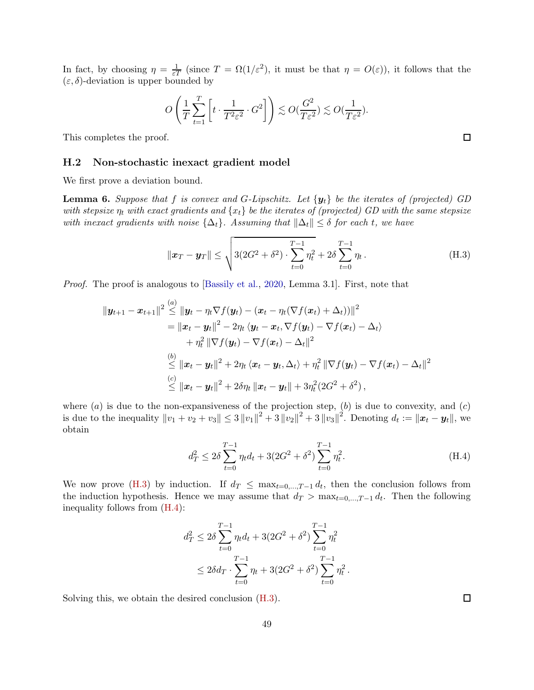In fact, by choosing  $\eta = \frac{1}{\varepsilon T}$  (since  $T = \Omega(1/\varepsilon^2)$ , it must be that  $\eta = O(\varepsilon)$ ), it follows that the  $(\varepsilon, \delta)$ -deviation is upper bounded by

$$
O\left(\frac{1}{T}\sum_{t=1}^T \left[t \cdot \frac{1}{T^2 \varepsilon^2} \cdot G^2\right]\right) \lesssim O(\frac{G^2}{T \varepsilon^2}) \lesssim O(\frac{1}{T \varepsilon^2}).
$$

<span id="page-48-0"></span>This completes the proof.

#### H.2 Non-stochastic inexact gradient model

We first prove a deviation bound.

<span id="page-48-3"></span>**Lemma 6.** Suppose that f is convex and G-Lipschitz. Let  $\{y_t\}$  be the iterates of (projected) GD with stepsize  $\eta_t$  with exact gradients and  $\{x_t\}$  be the iterates of (projected) GD with the same stepsize with inexact gradients with noise  $\{\Delta_t\}$ . Assuming that  $\|\Delta_t\| \leq \delta$  for each t, we have

<span id="page-48-1"></span>
$$
\|\boldsymbol{x}_T - \boldsymbol{y}_T\| \le \sqrt{3(2G^2 + \delta^2) \cdot \sum_{t=0}^{T-1} \eta_t^2 + 2\delta \sum_{t=0}^{T-1} \eta_t}.
$$
 (H.3)

Proof. The proof is analogous to [\[Bassily et al.](#page-12-13), [2020,](#page-12-13) Lemma 3.1]. First, note that

$$
\|\boldsymbol{y}_{t+1}-\boldsymbol{x}_{t+1}\|^2 \overset{(a)}{\leq} \|\boldsymbol{y}_t-\eta_t\nabla f(\boldsymbol{y}_t)-(\boldsymbol{x}_t-\eta_t(\nabla f(\boldsymbol{x}_t)+\Delta_t))\|^2 \n= \|\boldsymbol{x}_t-\boldsymbol{y}_t\|^2-2\eta_t\langle \boldsymbol{y}_t-\boldsymbol{x}_t, \nabla f(\boldsymbol{y}_t)-\nabla f(\boldsymbol{x}_t)-\Delta_t\rangle \n+\eta_t^2 \|\nabla f(\boldsymbol{y}_t)-\nabla f(\boldsymbol{x}_t)-\Delta_t\|^2 \n\overset{(b)}{\leq} \|\boldsymbol{x}_t-\boldsymbol{y}_t\|^2+2\eta_t\langle \boldsymbol{x}_t-\boldsymbol{y}_t, \Delta_t\rangle+\eta_t^2 \|\nabla f(\boldsymbol{y}_t)-\nabla f(\boldsymbol{x}_t)-\Delta_t\|^2 \n\overset{(c)}{\leq} \|\boldsymbol{x}_t-\boldsymbol{y}_t\|^2+2\delta\eta_t \|\boldsymbol{x}_t-\boldsymbol{y}_t\|+3\eta_t^2(2G^2+\delta^2),
$$

where  $(a)$  is due to the non-expansiveness of the projection step,  $(b)$  is due to convexity, and  $(c)$ is due to the inequality  $||v_1 + v_2 + v_3|| \leq 3 ||v_1||^2 + 3 ||v_2||^2 + 3 ||v_3||^2$ . Denoting  $d_t := ||x_t - y_t||$ , we obtain

$$
d_T^2 \le 2\delta \sum_{t=0}^{T-1} \eta_t d_t + 3(2G^2 + \delta^2) \sum_{t=0}^{T-1} \eta_t^2.
$$
 (H.4)

We now prove [\(H.3\)](#page-48-1) by induction. If  $d_T \leq \max_{t=0,\dots,T-1} d_t$ , then the conclusion follows from the induction hypothesis. Hence we may assume that  $d_T > \max_{t=0,\dots,T-1} d_t$ . Then the following inequality follows from [\(H.4\)](#page-48-2):

$$
d_T^2 \le 2\delta \sum_{t=0}^{T-1} \eta_t d_t + 3(2G^2 + \delta^2) \sum_{t=0}^{T-1} \eta_t^2
$$
  
 
$$
\le 2\delta d_T \cdot \sum_{t=0}^{T-1} \eta_t + 3(2G^2 + \delta^2) \sum_{t=0}^{T-1} \eta_t^2.
$$

Solving this, we obtain the desired conclusion [\(H.3\)](#page-48-1).

<span id="page-48-2"></span> $\Box$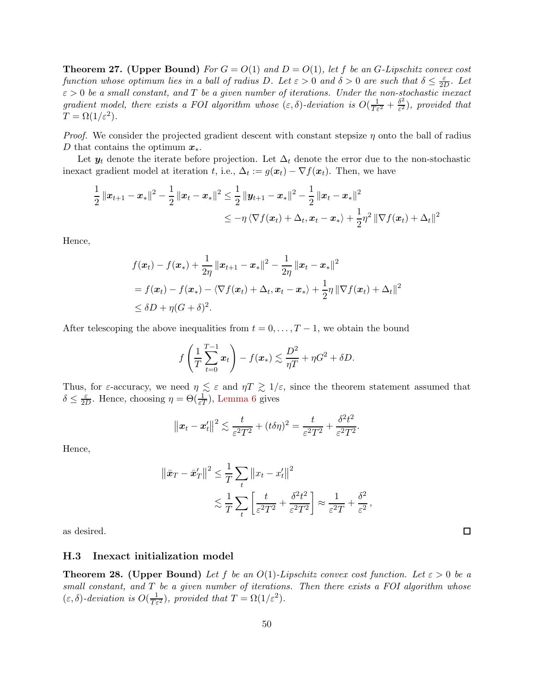<span id="page-49-0"></span>**Theorem 27.** (Upper Bound) For  $G = O(1)$  and  $D = O(1)$ , let f be an G-Lipschitz convex cost function whose optimum lies in a ball of radius D. Let  $\varepsilon > 0$  and  $\delta > 0$  are such that  $\delta \leq \frac{\varepsilon}{2l}$  $rac{\varepsilon}{2D}$ . Let  $\varepsilon > 0$  be a small constant, and T be a given number of iterations. Under the non-stochastic inexact gradient model, there exists a FOI algorithm whose  $(\varepsilon, \delta)$ -deviation is  $O(\frac{1}{T\varepsilon^2} + \frac{\delta^2}{\varepsilon^2})$  $\frac{\partial^2}{\partial \epsilon^2}$ ), provided that  $T = \Omega(1/\varepsilon^2).$ 

*Proof.* We consider the projected gradient descent with constant stepsize  $\eta$  onto the ball of radius D that contains the optimum  $x^*$ .

Let  $y_t$  denote the iterate before projection. Let  $\Delta_t$  denote the error due to the non-stochastic inexact gradient model at iteration t, i.e.,  $\Delta_t := g(x_t) - \nabla f(x_t)$ . Then, we have

$$
\begin{aligned} \frac{1}{2} \left\| x_{t+1} - x_* \right\|^2 - \frac{1}{2} \left\| x_t - x_* \right\|^2 &\leq \frac{1}{2} \left\| y_{t+1} - x_* \right\|^2 - \frac{1}{2} \left\| x_t - x_* \right\|^2 \\ &\leq - \eta \left\langle \nabla f(x_t) + \Delta_t, x_t - x_* \right\rangle + \frac{1}{2} \eta^2 \left\| \nabla f(x_t) + \Delta_t \right\|^2 \end{aligned}
$$

Hence,

$$
f(\boldsymbol{x}_t) - f(\boldsymbol{x}_*) + \frac{1}{2\eta} ||\boldsymbol{x}_{t+1} - \boldsymbol{x}_*||^2 - \frac{1}{2\eta} ||\boldsymbol{x}_t - \boldsymbol{x}_*||^2
$$
  
=  $f(\boldsymbol{x}_t) - f(\boldsymbol{x}_*) - \langle \nabla f(\boldsymbol{x}_t) + \Delta_t, \boldsymbol{x}_t - \boldsymbol{x}_* \rangle + \frac{1}{2}\eta ||\nabla f(\boldsymbol{x}_t) + \Delta_t||^2$   
 $\leq \delta D + \eta (G + \delta)^2.$ 

After telescoping the above inequalities from  $t = 0, \ldots, T-1$ , we obtain the bound

$$
f\left(\frac{1}{T}\sum_{t=0}^{T-1} \boldsymbol{x}_t\right) - f(\boldsymbol{x}_*) \lesssim \frac{D^2}{\eta T} + \eta G^2 + \delta D.
$$

Thus, for  $\varepsilon$ -accuracy, we need  $\eta \lesssim \varepsilon$  and  $\eta T \gtrsim 1/\varepsilon$ , since the theorem statement assumed that  $\delta \leq \frac{\varepsilon}{2I}$  $\frac{\varepsilon}{2D}$ . Hence, choosing  $\eta = \Theta(\frac{1}{\varepsilon T})$ , [Lemma 6](#page-48-3) gives

$$
\|\boldsymbol{x}_t-\boldsymbol{x}'_t\|^2 \lesssim \frac{t}{\varepsilon^2 T^2} + (t\delta\eta)^2 = \frac{t}{\varepsilon^2 T^2} + \frac{\delta^2 t^2}{\varepsilon^2 T^2}.
$$

Hence,

$$
\|\bar{\mathbf{x}}_T - \bar{\mathbf{x}}_T'\|^2 \leq \frac{1}{T} \sum_t \|x_t - x_t'\|^2
$$
  
 
$$
\lesssim \frac{1}{T} \sum_t \left[\frac{t}{\varepsilon^2 T^2} + \frac{\delta^2 t^2}{\varepsilon^2 T^2}\right] \approx \frac{1}{\varepsilon^2 T} + \frac{\delta^2}{\varepsilon^2},
$$

<span id="page-49-1"></span>as desired.

#### H.3 Inexact initialization model

<span id="page-49-2"></span>**Theorem 28. (Upper Bound)** Let f be an  $O(1)$ -Lipschitz convex cost function. Let  $\varepsilon > 0$  be a small constant, and T be a given number of iterations. Then there exists a FOI algorithm whose  $(\varepsilon, \delta)$ -deviation is  $O(\frac{1}{T\varepsilon^2})$ , provided that  $T = \Omega(1/\varepsilon^2)$ .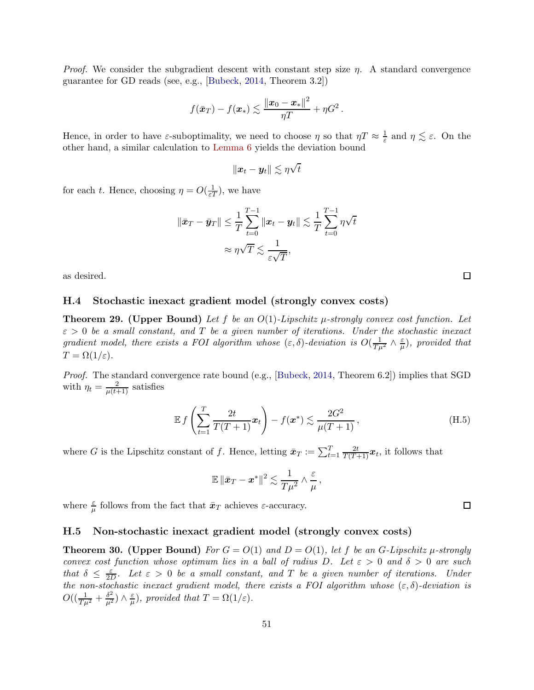*Proof.* We consider the subgradient descent with constant step size  $\eta$ . A standard convergence guarantee for GD reads (see, e.g., [\[Bubeck](#page-12-11), [2014](#page-12-11), Theorem 3.2])

$$
f(\bar{\boldsymbol{x}}_T) - f(\boldsymbol{x}_*) \lesssim \frac{\left\|\boldsymbol{x}_0 - \boldsymbol{x}_*\right\|^2}{\eta T} + \eta G^2\,.
$$

Hence, in order to have  $\varepsilon$ -suboptimality, we need to choose  $\eta$  so that  $\eta T \approx \frac{1}{\varepsilon}$  $\frac{1}{\varepsilon}$  and  $\eta \lesssim \varepsilon$ . On the other hand, a similar calculation to [Lemma 6](#page-48-3) yields the deviation bound

$$
\|\boldsymbol{x}_t-\boldsymbol{y}_t\|\lesssim \eta\sqrt{t}
$$

for each t. Hence, choosing  $\eta = O(\frac{1}{\varepsilon T})$ , we have

$$
\|\bar{\boldsymbol{x}}_T - \bar{\boldsymbol{y}}_T\| \leq \frac{1}{T} \sum_{t=0}^{T-1} \|\boldsymbol{x}_t - \boldsymbol{y}_t\| \lesssim \frac{1}{T} \sum_{t=0}^{T-1} \eta \sqrt{t}
$$

$$
\approx \eta \sqrt{T} \lesssim \frac{1}{\varepsilon \sqrt{T}},
$$

<span id="page-50-0"></span>as desired.

### H.4 Stochastic inexact gradient model (strongly convex costs)

<span id="page-50-2"></span>**Theorem 29.** (Upper Bound) Let f be an  $O(1)$ -Lipschitz  $\mu$ -strongly convex cost function. Let  $\varepsilon > 0$  be a small constant, and T be a given number of iterations. Under the stochastic inexact gradient model, there exists a FOI algorithm whose  $(\varepsilon, \delta)$ -deviation is  $O(\frac{1}{T\mu^2} \wedge \frac{\varepsilon}{\mu})$  $\frac{\varepsilon}{\mu}$ ), provided that  $T = \Omega(1/\varepsilon)$ .

Proof. The standard convergence rate bound (e.g., [\[Bubeck](#page-12-11), [2014](#page-12-11), Theorem 6.2]) implies that SGD with  $\eta_t = \frac{2}{\mu(t+1)}$  satisfies

$$
\mathbb{E} f\left(\sum_{t=1}^{T} \frac{2t}{T(T+1)} \mathbf{x}_t\right) - f(\mathbf{x}^*) \lesssim \frac{2G^2}{\mu(T+1)},\tag{H.5}
$$

where G is the Lipschitz constant of f. Hence, letting  $\bar{x}_T := \sum_{t=1}^T \frac{2t}{T(T+1)} x_t$ , it follows that

$$
\mathbb{E} \left\| \bar{\boldsymbol{x}}_T - \boldsymbol{x}^* \right\|^2 \lesssim \frac{1}{T \mu^2} \wedge \frac{\varepsilon}{\mu},
$$

where  $\frac{\varepsilon}{\mu}$  follows from the fact that  $\bar{x}_T$  achieves  $\varepsilon$ -accuracy.

### <span id="page-50-1"></span>H.5 Non-stochastic inexact gradient model (strongly convex costs)

<span id="page-50-3"></span>**Theorem 30.** (Upper Bound) For  $G = O(1)$  and  $D = O(1)$ , let f be an G-Lipschitz  $\mu$ -strongly convex cost function whose optimum lies in a ball of radius D. Let  $\varepsilon > 0$  and  $\delta > 0$  are such that  $\delta \leq \frac{\varepsilon}{2l}$  $\frac{\varepsilon}{2D}$ . Let  $\varepsilon > 0$  be a small constant, and T be a given number of iterations. Under the non-stochastic inexact gradient model, there exists a FOI algorithm whose  $(\varepsilon, \delta)$ -deviation is  $O((\frac{1}{T\mu^2}+\frac{\delta^2}{\mu^2})\wedge \frac{\varepsilon}{\mu}$  $(\frac{\varepsilon}{\mu})$ , provided that  $T = \Omega(1/\varepsilon)$ .

 $\Box$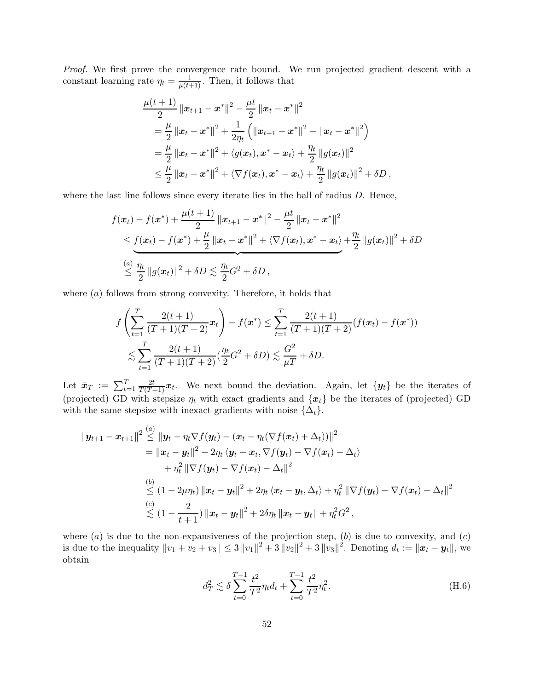Proof. We first prove the convergence rate bound. We run projected gradient descent with a constant learning rate  $\eta_t = \frac{1}{\mu(t+1)}$ . Then, it follows that

$$
\frac{\mu(t+1)}{2} \|x_{t+1} - x^*\|^2 - \frac{\mu t}{2} \|x_t - x^*\|^2
$$
\n
$$
= \frac{\mu}{2} \|x_t - x^*\|^2 + \frac{1}{2\eta_t} ( \|x_{t+1} - x^*\|^2 - \|x_t - x^*\|^2 )
$$
\n
$$
= \frac{\mu}{2} \|x_t - x^*\|^2 + \langle g(x_t), x^* - x_t \rangle + \frac{\eta_t}{2} \|g(x_t)\|^2
$$
\n
$$
\leq \frac{\mu}{2} \|x_t - x^*\|^2 + \langle \nabla f(x_t), x^* - x_t \rangle + \frac{\eta_t}{2} \|g(x_t)\|^2 + \delta D,
$$

where the last line follows since every iterate lies in the ball of radius  $D$ . Hence,

$$
f(\boldsymbol{x}_t) - f(\boldsymbol{x}^*) + \frac{\mu(t+1)}{2} \|\boldsymbol{x}_{t+1} - \boldsymbol{x}^*\|^2 - \frac{\mu t}{2} \|\boldsymbol{x}_t - \boldsymbol{x}^*\|^2
$$
  
\$\leq \underline{f}(\boldsymbol{x}\_t) - f(\boldsymbol{x}^\*) + \frac{\mu}{2} \|\boldsymbol{x}\_t - \boldsymbol{x}^\*\|^2 + \langle \nabla f(\boldsymbol{x}\_t), \boldsymbol{x}^\* - \boldsymbol{x}\_t \rangle + \frac{\eta\_t}{2} \|g(\boldsymbol{x}\_t)\|^2 + \delta D\$  
\$\leq \frac{\eta\_t}{2} \|\boldsymbol{g}(\boldsymbol{x}\_t)\|^2 + \delta D \lesssim \frac{\eta\_t}{2} G^2 + \delta D\$,

where  $(a)$  follows from strong convexity. Therefore, it holds that

$$
f\left(\sum_{t=1}^{T} \frac{2(t+1)}{(T+1)(T+2)} x_t\right) - f(x^*) \leq \sum_{t=1}^{T} \frac{2(t+1)}{(T+1)(T+2)} (f(x_t) - f(x^*))
$$
  

$$
\lesssim \sum_{t=1}^{T} \frac{2(t+1)}{(T+1)(T+2)} (\frac{\eta_t}{2} G^2 + \delta D) \lesssim \frac{G^2}{\mu T} + \delta D.
$$

Let  $\bar{x}_T := \sum_{t=1}^T \frac{2t}{T(T+1)} x_t$ . We next bound the deviation. Again, let  $\{y_t\}$  be the iterates of (projected) GD with stepsize  $\eta_t$  with exact gradients and  $\{\boldsymbol{x}_t\}$  be the iterates of (projected) GD with the same stepsize with inexact gradients with noise  $\{\Delta_t\}.$ 

$$
\|\boldsymbol{y}_{t+1}-\boldsymbol{x}_{t+1}\|^2 \overset{(a)}{\leq} \|\boldsymbol{y}_t-\eta_t\nabla f(\boldsymbol{y}_t)-(\boldsymbol{x}_t-\eta_t(\nabla f(\boldsymbol{x}_t)+\Delta_t))\|^2 \n= \|\boldsymbol{x}_t-\boldsymbol{y}_t\|^2-2\eta_t\langle \boldsymbol{y}_t-\boldsymbol{x}_t, \nabla f(\boldsymbol{y}_t)-\nabla f(\boldsymbol{x}_t)-\Delta_t\rangle \n+\eta_t^2\|\nabla f(\boldsymbol{y}_t)-\nabla f(\boldsymbol{x}_t)-\Delta_t\|^2 \n\overset{(b)}{\leq} (1-2\mu\eta_t)\|\boldsymbol{x}_t-\boldsymbol{y}_t\|^2+2\eta_t\langle \boldsymbol{x}_t-\boldsymbol{y}_t,\Delta_t\rangle+\eta_t^2\|\nabla f(\boldsymbol{y}_t)-\nabla f(\boldsymbol{x}_t)-\Delta_t\|^2 \n\overset{(c)}{\lesssim} (1-\frac{2}{t+1})\|\boldsymbol{x}_t-\boldsymbol{y}_t\|^2+2\delta\eta_t\|\boldsymbol{x}_t-\boldsymbol{y}_t\|+\eta_t^2G^2,
$$

where  $(a)$  is due to the non-expansiveness of the projection step,  $(b)$  is due to convexity, and  $(c)$ is due to the inequality  $||v_1 + v_2 + v_3|| \leq 3 ||v_1||^2 + 3 ||v_2||^2 + 3 ||v_3||^2$ . Denoting  $d_t := ||x_t - y_t||$ , we obtain

$$
d_T^2 \lesssim \delta \sum_{t=0}^{T-1} \frac{t^2}{T^2} \eta_t d_t + \sum_{t=0}^{T-1} \frac{t^2}{T^2} \eta_t^2.
$$
 (H.6)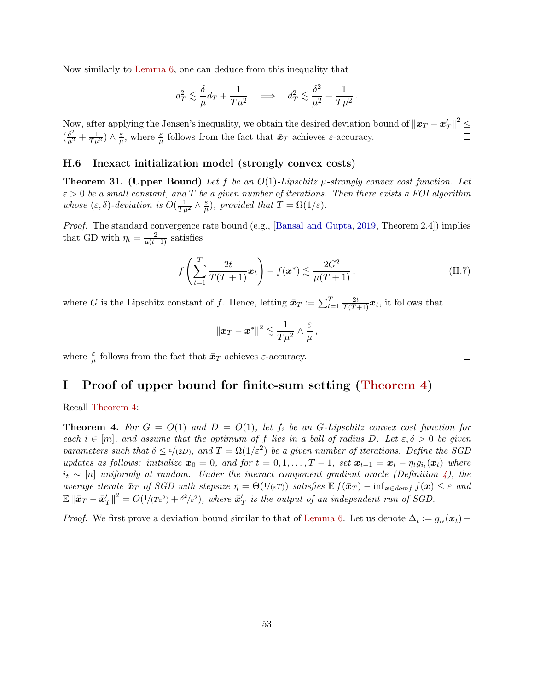Now similarly to [Lemma 6,](#page-48-3) one can deduce from this inequality that

$$
d_T^2 \lesssim \frac{\delta}{\mu} d_T + \frac{1}{T \mu^2} \quad \Longrightarrow \quad d_T^2 \lesssim \frac{\delta^2}{\mu^2} + \frac{1}{T \mu^2} \, .
$$

Now, after applying the Jensen's inequality, we obtain the desired deviation bound of  $\|\bar{\mathbf{x}}_T - \bar{\mathbf{x}}_T'\|^2 \leq$  $\left(\frac{\delta^2}{\mu^2}+\frac{1}{T\mu^2}\right)\wedge \frac{\varepsilon}{\mu}$  $\frac{\varepsilon}{\mu}$ , where  $\frac{\varepsilon}{\mu}$  follows from the fact that  $\bar{\mathbf{x}}_T$  achieves  $\varepsilon$ -accuracy. □

### <span id="page-52-1"></span>H.6 Inexact initialization model (strongly convex costs)

<span id="page-52-2"></span>**Theorem 31.** (Upper Bound) Let f be an  $O(1)$ -Lipschitz  $\mu$ -strongly convex cost function. Let  $\varepsilon > 0$  be a small constant, and T be a given number of iterations. Then there exists a FOI algorithm whose  $(\varepsilon, \delta)$ -deviation is  $O(\frac{1}{T\mu^2} \wedge \frac{\varepsilon}{\mu})$  $(\frac{\varepsilon}{\mu})$ , provided that  $T = \Omega(1/\varepsilon)$ .

Proof. The standard convergence rate bound (e.g., [\[Bansal and Gupta,](#page-12-14) [2019](#page-12-14), Theorem 2.4]) implies that GD with  $\eta_t = \frac{2}{\mu(t+1)}$  satisfies

$$
f\left(\sum_{t=1}^{T}\frac{2t}{T(T+1)}\boldsymbol{x}_t\right) - f(\boldsymbol{x}^*) \lesssim \frac{2G^2}{\mu(T+1)},
$$
\n(H.7)

where G is the Lipschitz constant of f. Hence, letting  $\bar{x}_T := \sum_{t=1}^T \frac{2t}{T(T+1)} x_t$ , it follows that

$$
\left\|\bar{\bm{x}}_{T}-\bm{x}^{*}\right\|^{2} \lesssim \frac{1}{T\mu^{2}}\wedge\frac{\varepsilon}{\mu}\,,
$$

where  $\frac{\varepsilon}{\mu}$  follows from the fact that  $\bar{x}_T$  achieves  $\varepsilon$ -accuracy.

### <span id="page-52-0"></span>I Proof of upper bound for finite-sum setting [\(Theorem 4\)](#page-10-0)

Recall [Theorem 4:](#page-10-0)

**Theorem 4.** For  $G = O(1)$  and  $D = O(1)$ , let  $f_i$  be an G-Lipschitz convex cost function for each  $i \in [m]$ , and assume that the optimum of f lies in a ball of radius D. Let  $\varepsilon, \delta > 0$  be given parameters such that  $\delta \le \epsilon/(2D)$ , and  $T = \Omega(1/\epsilon^2)$  be a given number of iterations. Define the SGD updates as follows: initialize  $x_0 = 0$ , and for  $t = 0, 1, \ldots, T-1$ , set  $x_{t+1} = x_t - \eta_t g_{i_t}(x_t)$  where  $i_t \sim [n]$  uniformly at random. Under the inexact component gradient oracle (Definition [4\)](#page-10-1), the average iterate  $\bar{x}_T$  of SGD with stepsize  $\eta = \Theta(1/(\epsilon T))$  satisfies  $\mathbb{E} f(\bar{x}_T) - \inf_{\bm{x} \in domf} f(\bm{x}) \leq \epsilon$  and  $\mathbb{E}\|\bar{\boldsymbol{x}}_T - \bar{\boldsymbol{x}}_T'\|^2 = O(1/(T\varepsilon^2) + \delta^2/\varepsilon^2)$ , where  $\bar{\boldsymbol{x}}_T'$  is the output of an independent run of SGD.

*Proof.* We first prove a deviation bound similar to that of [Lemma 6.](#page-48-3) Let us denote  $\Delta_t := g_{i_t}(x_t) -$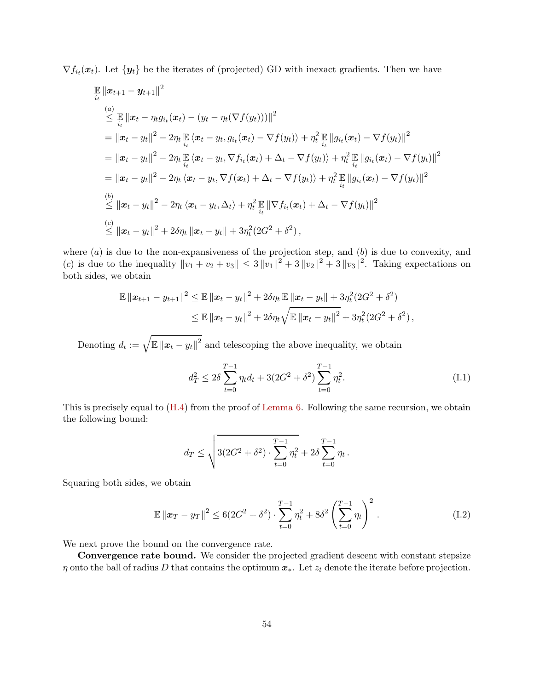$\nabla f_{i_t}(\boldsymbol{x}_t)$ . Let  $\{\boldsymbol{y}_t\}$  be the iterates of (projected) GD with inexact gradients. Then we have

$$
\mathbb{E} ||x_{t+1} - y_{t+1}||^2
$$
\n
$$
\leq \mathbb{E} ||x_t - \eta_t g_{i_t}(x_t) - (y_t - \eta_t (\nabla f(y_t)))||^2
$$
\n
$$
= ||x_t - y_t||^2 - 2\eta_t \mathbb{E} \langle x_t - y_t, g_{i_t}(x_t) - \nabla f(y_t) \rangle + \eta_t^2 \mathbb{E} ||g_{i_t}(x_t) - \nabla f(y_t)||^2
$$
\n
$$
= ||x_t - y_t||^2 - 2\eta_t \mathbb{E} \langle x_t - y_t, \nabla f_{i_t}(x_t) + \Delta_t - \nabla f(y_t) \rangle + \eta_t^2 \mathbb{E} ||g_{i_t}(x_t) - \nabla f(y_t)||^2
$$
\n
$$
= ||x_t - y_t||^2 - 2\eta_t \langle x_t - y_t, \nabla f(x_t) + \Delta_t - \nabla f(y_t) \rangle + \eta_t^2 \mathbb{E} ||g_{i_t}(x_t) - \nabla f(y_t)||^2
$$
\n
$$
\leq ||x_t - y_t||^2 - 2\eta_t \langle x_t - y_t, \Delta_t \rangle + \eta_t^2 \mathbb{E} ||\nabla f_{i_t}(x_t) + \Delta_t - \nabla f(y_t)||^2
$$
\n
$$
\leq ||x_t - y_t||^2 + 2\delta \eta_t ||x_t - y_t|| + 3\eta_t^2 (2G^2 + \delta^2),
$$

where  $(a)$  is due to the non-expansiveness of the projection step, and  $(b)$  is due to convexity, and (c) is due to the inequality  $||v_1 + v_2 + v_3|| \leq 3 ||v_1||^2 + 3 ||v_2||^2 + 3 ||v_3||^2$ . Taking expectations on both sides, we obtain

$$
\mathbb{E} \|x_{t+1} - y_{t+1}\|^2 \leq \mathbb{E} \|x_t - y_t\|^2 + 2\delta \eta_t \mathbb{E} \|x_t - y_t\| + 3\eta_t^2 (2G^2 + \delta^2)
$$
  

$$
\leq \mathbb{E} \|x_t - y_t\|^2 + 2\delta \eta_t \sqrt{\mathbb{E} \|x_t - y_t\|^2} + 3\eta_t^2 (2G^2 + \delta^2),
$$

Denoting  $d_t := \sqrt{\mathbb{E} ||x_t - y_t||^2}$  and telescoping the above inequality, we obtain

$$
d_T^2 \le 2\delta \sum_{t=0}^{T-1} \eta_t d_t + 3(2G^2 + \delta^2) \sum_{t=0}^{T-1} \eta_t^2.
$$
 (I.1)

This is precisely equal to [\(H.4\)](#page-48-2) from the proof of [Lemma 6.](#page-48-3) Following the same recursion, we obtain the following bound:

$$
d_T \le \sqrt{3(2G^2 + \delta^2) \cdot \sum_{t=0}^{T-1} \eta_t^2 + 2\delta \sum_{t=0}^{T-1} \eta_t}.
$$

Squaring both sides, we obtain

$$
\mathbb{E} \|x_T - y_T\|^2 \le 6(2G^2 + \delta^2) \cdot \sum_{t=0}^{T-1} \eta_t^2 + 8\delta^2 \left(\sum_{t=0}^{T-1} \eta_t\right)^2.
$$
 (I.2)

We next prove the bound on the convergence rate.

Convergence rate bound. We consider the projected gradient descent with constant stepsize  $\eta$  onto the ball of radius D that contains the optimum  $x_{*}$ . Let  $z_{t}$  denote the iterate before projection.